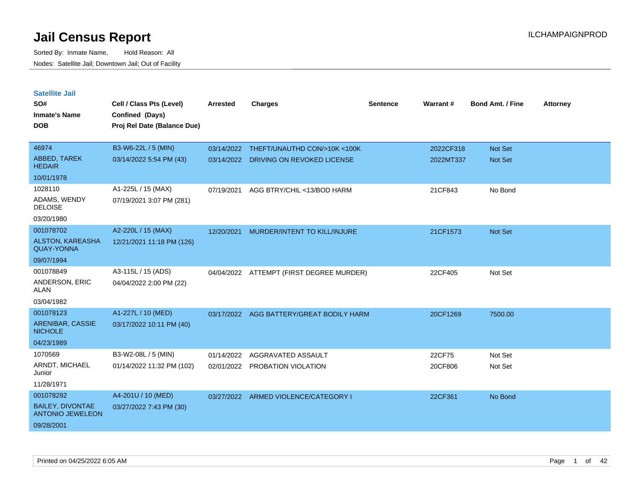| <b>Satellite Jail</b><br>SO#<br>Inmate's Name      | Cell / Class Pts (Level)<br>Confined (Days) | <b>Arrested</b> | <b>Charges</b>                | <b>Sentence</b> | Warrant#  | <b>Bond Amt. / Fine</b> | <b>Attorney</b> |
|----------------------------------------------------|---------------------------------------------|-----------------|-------------------------------|-----------------|-----------|-------------------------|-----------------|
| <b>DOB</b>                                         | Proj Rel Date (Balance Due)                 |                 |                               |                 |           |                         |                 |
| 46974                                              | B3-W6-22L / 5 (MIN)                         | 03/14/2022      | THEFT/UNAUTHD CON/>10K <100K  |                 | 2022CF318 | <b>Not Set</b>          |                 |
| ABBED, TAREK<br><b>HEDAIR</b>                      | 03/14/2022 5:54 PM (43)                     | 03/14/2022      | DRIVING ON REVOKED LICENSE    |                 | 2022MT337 | <b>Not Set</b>          |                 |
| 10/01/1978                                         |                                             |                 |                               |                 |           |                         |                 |
| 1028110                                            | A1-225L / 15 (MAX)                          | 07/19/2021      | AGG BTRY/CHIL <13/BOD HARM    |                 | 21CF843   | No Bond                 |                 |
| ADAMS, WENDY<br><b>DELOISE</b>                     | 07/19/2021 3:07 PM (281)                    |                 |                               |                 |           |                         |                 |
| 03/20/1980                                         |                                             |                 |                               |                 |           |                         |                 |
| 001078702                                          | A2-220L / 15 (MAX)                          | 12/20/2021      | MURDER/INTENT TO KILL/INJURE  |                 | 21CF1573  | <b>Not Set</b>          |                 |
| <b>ALSTON, KAREASHA</b><br><b>QUAY-YONNA</b>       | 12/21/2021 11:18 PM (126)                   |                 |                               |                 |           |                         |                 |
| 09/07/1994                                         |                                             |                 |                               |                 |           |                         |                 |
| 001078849                                          | A3-115L / 15 (ADS)                          | 04/04/2022      | ATTEMPT (FIRST DEGREE MURDER) |                 | 22CF405   | Not Set                 |                 |
| ANDERSON, ERIC<br>ALAN                             | 04/04/2022 2:00 PM (22)                     |                 |                               |                 |           |                         |                 |
| 03/04/1982                                         |                                             |                 |                               |                 |           |                         |                 |
| 001078123                                          | A1-227L / 10 (MED)                          | 03/17/2022      | AGG BATTERY/GREAT BODILY HARM |                 | 20CF1269  | 7500.00                 |                 |
| <b>ARENIBAR, CASSIE</b><br><b>NICHOLE</b>          | 03/17/2022 10:11 PM (40)                    |                 |                               |                 |           |                         |                 |
| 04/23/1989                                         |                                             |                 |                               |                 |           |                         |                 |
| 1070569                                            | B3-W2-08L / 5 (MIN)                         | 01/14/2022      | AGGRAVATED ASSAULT            |                 | 22CF75    | Not Set                 |                 |
| ARNDT, MICHAEL<br>Junior                           | 01/14/2022 11:32 PM (102)                   | 02/01/2022      | <b>PROBATION VIOLATION</b>    |                 | 20CF806   | Not Set                 |                 |
| 11/28/1971                                         |                                             |                 |                               |                 |           |                         |                 |
| 001078292                                          | A4-201U / 10 (MED)                          | 03/27/2022      | ARMED VIOLENCE/CATEGORY I     |                 | 22CF361   | No Bond                 |                 |
| <b>BAILEY, DIVONTAE</b><br><b>ANTONIO JEWELEON</b> | 03/27/2022 7:43 PM (30)                     |                 |                               |                 |           |                         |                 |
| 09/28/2001                                         |                                             |                 |                               |                 |           |                         |                 |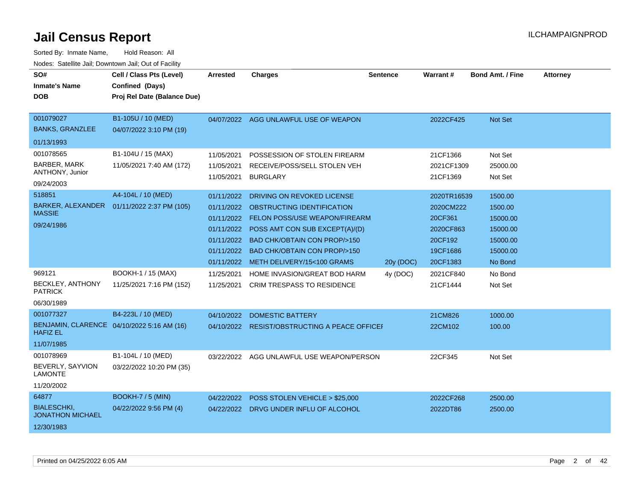| SO#<br><b>Inmate's Name</b><br><b>DOB</b>                            | Cell / Class Pts (Level)<br>Confined (Days)<br>Proj Rel Date (Balance Due) | <b>Arrested</b>                                                                  | <b>Charges</b>                                                                                                                                                                                                                                           | <b>Sentence</b> | Warrant#                                                                            | <b>Bond Amt. / Fine</b>                                                       | <b>Attorney</b> |
|----------------------------------------------------------------------|----------------------------------------------------------------------------|----------------------------------------------------------------------------------|----------------------------------------------------------------------------------------------------------------------------------------------------------------------------------------------------------------------------------------------------------|-----------------|-------------------------------------------------------------------------------------|-------------------------------------------------------------------------------|-----------------|
| 001079027<br><b>BANKS, GRANZLEE</b>                                  | B1-105U / 10 (MED)<br>04/07/2022 3:10 PM (19)                              | 04/07/2022                                                                       | AGG UNLAWFUL USE OF WEAPON                                                                                                                                                                                                                               |                 | 2022CF425                                                                           | Not Set                                                                       |                 |
| 01/13/1993                                                           |                                                                            |                                                                                  |                                                                                                                                                                                                                                                          |                 |                                                                                     |                                                                               |                 |
| 001078565<br><b>BARBER, MARK</b><br>ANTHONY, Junior<br>09/24/2003    | B1-104U / 15 (MAX)<br>11/05/2021 7:40 AM (172)                             | 11/05/2021<br>11/05/2021<br>11/05/2021                                           | POSSESSION OF STOLEN FIREARM<br>RECEIVE/POSS/SELL STOLEN VEH<br><b>BURGLARY</b>                                                                                                                                                                          |                 | 21CF1366<br>2021CF1309<br>21CF1369                                                  | Not Set<br>25000.00<br>Not Set                                                |                 |
| 518851<br>BARKER, ALEXANDER<br><b>MASSIE</b><br>09/24/1986           | A4-104L / 10 (MED)<br>01/11/2022 2:37 PM (105)                             | 01/11/2022<br>01/11/2022<br>01/11/2022<br>01/11/2022<br>01/11/2022<br>01/11/2022 | DRIVING ON REVOKED LICENSE<br>OBSTRUCTING IDENTIFICATION<br>FELON POSS/USE WEAPON/FIREARM<br>POSS AMT CON SUB EXCEPT(A)/(D)<br><b>BAD CHK/OBTAIN CON PROP/&gt;150</b><br><b>BAD CHK/OBTAIN CON PROP/&gt;150</b><br>01/11/2022 METH DELIVERY/15<100 GRAMS | 20y (DOC)       | 2020TR16539<br>2020CM222<br>20CF361<br>2020CF863<br>20CF192<br>19CF1686<br>20CF1383 | 1500.00<br>1500.00<br>15000.00<br>15000.00<br>15000.00<br>15000.00<br>No Bond |                 |
| 969121<br>BECKLEY, ANTHONY<br><b>PATRICK</b><br>06/30/1989           | BOOKH-1 / 15 (MAX)<br>11/25/2021 7:16 PM (152)                             | 11/25/2021<br>11/25/2021                                                         | HOME INVASION/GREAT BOD HARM<br><b>CRIM TRESPASS TO RESIDENCE</b>                                                                                                                                                                                        | 4y (DOC)        | 2021CF840<br>21CF1444                                                               | No Bond<br>Not Set                                                            |                 |
| 001077327<br><b>HAFIZ EL</b><br>11/07/1985                           | B4-223L / 10 (MED)<br>BENJAMIN, CLARENCE 04/10/2022 5:16 AM (16)           | 04/10/2022                                                                       | <b>DOMESTIC BATTERY</b><br>04/10/2022 RESIST/OBSTRUCTING A PEACE OFFICE                                                                                                                                                                                  |                 | 21CM826<br>22CM102                                                                  | 1000.00<br>100.00                                                             |                 |
| 001078969<br>BEVERLY, SAYVION<br><b>LAMONTE</b><br>11/20/2002        | B1-104L / 10 (MED)<br>03/22/2022 10:20 PM (35)                             | 03/22/2022                                                                       | AGG UNLAWFUL USE WEAPON/PERSON                                                                                                                                                                                                                           |                 | 22CF345                                                                             | Not Set                                                                       |                 |
| 64877<br><b>BIALESCHKI,</b><br><b>JONATHON MICHAEL</b><br>12/30/1983 | <b>BOOKH-7 / 5 (MIN)</b><br>04/22/2022 9:56 PM (4)                         | 04/22/2022                                                                       | POSS STOLEN VEHICLE > \$25,000<br>04/22/2022 DRVG UNDER INFLU OF ALCOHOL                                                                                                                                                                                 |                 | 2022CF268<br>2022DT86                                                               | 2500.00<br>2500.00                                                            |                 |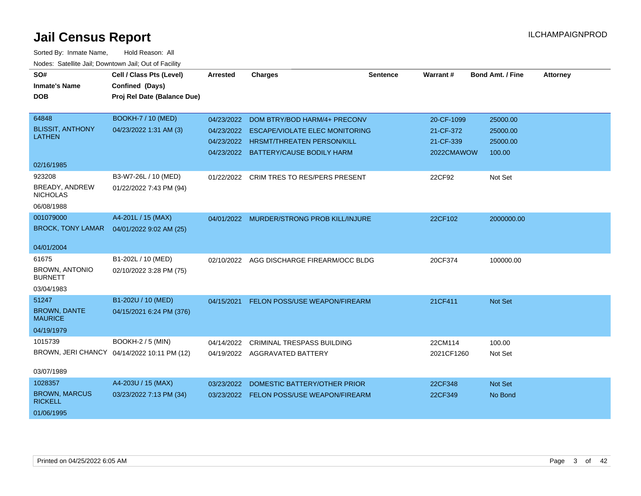| SO#<br><b>Inmate's Name</b>              | Cell / Class Pts (Level)<br>Confined (Days) | <b>Arrested</b> | <b>Charges</b>                            | <b>Sentence</b> | Warrant#   | <b>Bond Amt. / Fine</b> | <b>Attorney</b> |
|------------------------------------------|---------------------------------------------|-----------------|-------------------------------------------|-----------------|------------|-------------------------|-----------------|
| <b>DOB</b>                               | Proj Rel Date (Balance Due)                 |                 |                                           |                 |            |                         |                 |
|                                          |                                             |                 |                                           |                 |            |                         |                 |
| 64848                                    | <b>BOOKH-7 / 10 (MED)</b>                   | 04/23/2022      | DOM BTRY/BOD HARM/4+ PRECONV              |                 | 20-CF-1099 | 25000.00                |                 |
| <b>BLISSIT, ANTHONY</b><br><b>LATHEN</b> | 04/23/2022 1:31 AM (3)                      | 04/23/2022      | <b>ESCAPE/VIOLATE ELEC MONITORING</b>     |                 | 21-CF-372  | 25000.00                |                 |
|                                          |                                             | 04/23/2022      | <b>HRSMT/THREATEN PERSON/KILL</b>         |                 | 21-CF-339  | 25000.00                |                 |
|                                          |                                             | 04/23/2022      | <b>BATTERY/CAUSE BODILY HARM</b>          |                 | 2022CMAWOW | 100.00                  |                 |
| 02/16/1985                               |                                             |                 |                                           |                 |            |                         |                 |
| 923208                                   | B3-W7-26L / 10 (MED)                        | 01/22/2022      | CRIM TRES TO RES/PERS PRESENT             |                 | 22CF92     | Not Set                 |                 |
| <b>BREADY, ANDREW</b><br><b>NICHOLAS</b> | 01/22/2022 7:43 PM (94)                     |                 |                                           |                 |            |                         |                 |
| 06/08/1988                               |                                             |                 |                                           |                 |            |                         |                 |
| 001079000                                | A4-201L / 15 (MAX)                          |                 | 04/01/2022 MURDER/STRONG PROB KILL/INJURE |                 | 22CF102    | 2000000.00              |                 |
| <b>BROCK, TONY LAMAR</b>                 | 04/01/2022 9:02 AM (25)                     |                 |                                           |                 |            |                         |                 |
| 04/01/2004                               |                                             |                 |                                           |                 |            |                         |                 |
| 61675                                    | B1-202L / 10 (MED)                          | 02/10/2022      | AGG DISCHARGE FIREARM/OCC BLDG            |                 | 20CF374    | 100000.00               |                 |
| <b>BROWN, ANTONIO</b><br><b>BURNETT</b>  | 02/10/2022 3:28 PM (75)                     |                 |                                           |                 |            |                         |                 |
| 03/04/1983                               |                                             |                 |                                           |                 |            |                         |                 |
| 51247                                    | B1-202U / 10 (MED)                          | 04/15/2021      | <b>FELON POSS/USE WEAPON/FIREARM</b>      |                 | 21CF411    | Not Set                 |                 |
| <b>BROWN, DANTE</b><br><b>MAURICE</b>    | 04/15/2021 6:24 PM (376)                    |                 |                                           |                 |            |                         |                 |
| 04/19/1979                               |                                             |                 |                                           |                 |            |                         |                 |
| 1015739                                  | <b>BOOKH-2 / 5 (MIN)</b>                    | 04/14/2022      | <b>CRIMINAL TRESPASS BUILDING</b>         |                 | 22CM114    | 100.00                  |                 |
|                                          | BROWN, JERI CHANCY 04/14/2022 10:11 PM (12) |                 | 04/19/2022 AGGRAVATED BATTERY             |                 | 2021CF1260 | Not Set                 |                 |
| 03/07/1989                               |                                             |                 |                                           |                 |            |                         |                 |
| 1028357                                  | A4-203U / 15 (MAX)                          | 03/23/2022      | DOMESTIC BATTERY/OTHER PRIOR              |                 | 22CF348    | Not Set                 |                 |
| <b>BROWN, MARCUS</b><br><b>RICKELL</b>   | 03/23/2022 7:13 PM (34)                     |                 | 03/23/2022 FELON POSS/USE WEAPON/FIREARM  |                 | 22CF349    | No Bond                 |                 |
| 01/06/1995                               |                                             |                 |                                           |                 |            |                         |                 |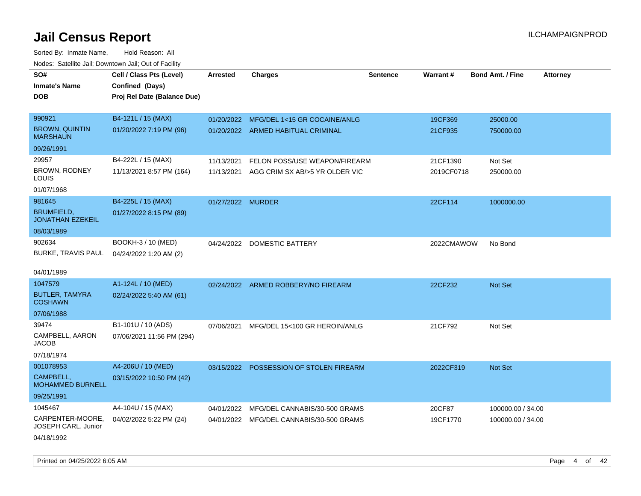| SO#                                          | Cell / Class Pts (Level)    | <b>Arrested</b>   | <b>Charges</b>                           | <b>Sentence</b> | Warrant#   | <b>Bond Amt. / Fine</b> | <b>Attorney</b> |
|----------------------------------------------|-----------------------------|-------------------|------------------------------------------|-----------------|------------|-------------------------|-----------------|
| <b>Inmate's Name</b>                         | Confined (Days)             |                   |                                          |                 |            |                         |                 |
| <b>DOB</b>                                   | Proj Rel Date (Balance Due) |                   |                                          |                 |            |                         |                 |
|                                              |                             |                   |                                          |                 |            |                         |                 |
| 990921                                       | B4-121L / 15 (MAX)          |                   | 01/20/2022 MFG/DEL 1<15 GR COCAINE/ANLG  |                 | 19CF369    | 25000.00                |                 |
| <b>BROWN, QUINTIN</b><br><b>MARSHAUN</b>     | 01/20/2022 7:19 PM (96)     |                   | 01/20/2022 ARMED HABITUAL CRIMINAL       |                 | 21CF935    | 750000.00               |                 |
| 09/26/1991                                   |                             |                   |                                          |                 |            |                         |                 |
| 29957                                        | B4-222L / 15 (MAX)          | 11/13/2021        | FELON POSS/USE WEAPON/FIREARM            |                 | 21CF1390   | Not Set                 |                 |
| BROWN, RODNEY<br>LOUIS                       | 11/13/2021 8:57 PM (164)    | 11/13/2021        | AGG CRIM SX AB/>5 YR OLDER VIC           |                 | 2019CF0718 | 250000.00               |                 |
| 01/07/1968                                   |                             |                   |                                          |                 |            |                         |                 |
| 981645                                       | B4-225L / 15 (MAX)          | 01/27/2022 MURDER |                                          |                 | 22CF114    | 1000000.00              |                 |
| <b>BRUMFIELD,</b><br><b>JONATHAN EZEKEIL</b> | 01/27/2022 8:15 PM (89)     |                   |                                          |                 |            |                         |                 |
| 08/03/1989                                   |                             |                   |                                          |                 |            |                         |                 |
| 902634                                       | BOOKH-3 / 10 (MED)          |                   | 04/24/2022 DOMESTIC BATTERY              |                 | 2022CMAWOW | No Bond                 |                 |
| <b>BURKE, TRAVIS PAUL</b>                    | 04/24/2022 1:20 AM (2)      |                   |                                          |                 |            |                         |                 |
|                                              |                             |                   |                                          |                 |            |                         |                 |
| 04/01/1989                                   |                             |                   |                                          |                 |            |                         |                 |
| 1047579                                      | A1-124L / 10 (MED)          |                   | 02/24/2022 ARMED ROBBERY/NO FIREARM      |                 | 22CF232    | <b>Not Set</b>          |                 |
| <b>BUTLER, TAMYRA</b><br><b>COSHAWN</b>      | 02/24/2022 5:40 AM (61)     |                   |                                          |                 |            |                         |                 |
| 07/06/1988                                   |                             |                   |                                          |                 |            |                         |                 |
| 39474                                        | B1-101U / 10 (ADS)          |                   | 07/06/2021 MFG/DEL 15<100 GR HEROIN/ANLG |                 | 21CF792    | Not Set                 |                 |
| CAMPBELL, AARON<br><b>JACOB</b>              | 07/06/2021 11:56 PM (294)   |                   |                                          |                 |            |                         |                 |
| 07/18/1974                                   |                             |                   |                                          |                 |            |                         |                 |
| 001078953                                    | A4-206U / 10 (MED)          |                   | 03/15/2022 POSSESSION OF STOLEN FIREARM  |                 | 2022CF319  | Not Set                 |                 |
| CAMPBELL,<br><b>MOHAMMED BURNELL</b>         | 03/15/2022 10:50 PM (42)    |                   |                                          |                 |            |                         |                 |
| 09/25/1991                                   |                             |                   |                                          |                 |            |                         |                 |
| 1045467                                      | A4-104U / 15 (MAX)          | 04/01/2022        | MFG/DEL CANNABIS/30-500 GRAMS            |                 | 20CF87     | 100000.00 / 34.00       |                 |
| CARPENTER-MOORE,<br>JOSEPH CARL, Junior      | 04/02/2022 5:22 PM (24)     |                   | 04/01/2022 MFG/DEL CANNABIS/30-500 GRAMS |                 | 19CF1770   | 100000.00 / 34.00       |                 |
| 04/18/1992                                   |                             |                   |                                          |                 |            |                         |                 |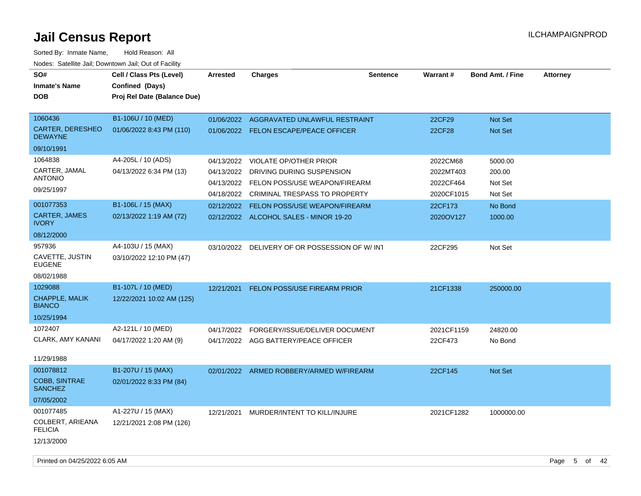| SO#<br><b>Inmate's Name</b><br><b>DOB</b>  | Cell / Class Pts (Level)<br>Confined (Days)<br>Proj Rel Date (Balance Due) | Arrested   | <b>Charges</b>                           | <b>Sentence</b> | <b>Warrant#</b> | <b>Bond Amt. / Fine</b> | <b>Attorney</b> |
|--------------------------------------------|----------------------------------------------------------------------------|------------|------------------------------------------|-----------------|-----------------|-------------------------|-----------------|
| 1060436                                    | B1-106U / 10 (MED)                                                         |            | 01/06/2022 AGGRAVATED UNLAWFUL RESTRAINT |                 | 22CF29          | Not Set                 |                 |
| CARTER, DERESHEO<br><b>DEWAYNE</b>         | 01/06/2022 8:43 PM (110)                                                   |            | 01/06/2022 FELON ESCAPE/PEACE OFFICER    |                 | 22CF28          | Not Set                 |                 |
| 09/10/1991                                 |                                                                            |            |                                          |                 |                 |                         |                 |
| 1064838                                    | A4-205L / 10 (ADS)                                                         | 04/13/2022 | <b>VIOLATE OP/OTHER PRIOR</b>            |                 | 2022CM68        | 5000.00                 |                 |
| CARTER, JAMAL<br><b>ANTONIO</b>            | 04/13/2022 6:34 PM (13)                                                    | 04/13/2022 | DRIVING DURING SUSPENSION                |                 | 2022MT403       | 200.00                  |                 |
| 09/25/1997                                 |                                                                            |            | 04/13/2022 FELON POSS/USE WEAPON/FIREARM |                 | 2022CF464       | Not Set                 |                 |
|                                            |                                                                            |            | 04/18/2022 CRIMINAL TRESPASS TO PROPERTY |                 | 2020CF1015      | Not Set                 |                 |
| 001077353                                  | B1-106L / 15 (MAX)                                                         |            | 02/12/2022 FELON POSS/USE WEAPON/FIREARM |                 | 22CF173         | No Bond                 |                 |
| <b>CARTER, JAMES</b><br><b>IVORY</b>       | 02/13/2022 1:19 AM (72)                                                    |            | 02/12/2022 ALCOHOL SALES - MINOR 19-20   |                 | 2020OV127       | 1000.00                 |                 |
| 08/12/2000                                 |                                                                            |            |                                          |                 |                 |                         |                 |
| 957936<br>CAVETTE, JUSTIN<br><b>EUGENE</b> | A4-103U / 15 (MAX)<br>03/10/2022 12:10 PM (47)                             | 03/10/2022 | DELIVERY OF OR POSSESSION OF W/INT       |                 | 22CF295         | Not Set                 |                 |
| 08/02/1988                                 |                                                                            |            |                                          |                 |                 |                         |                 |
| 1029088                                    | B1-107L / 10 (MED)                                                         | 12/21/2021 | <b>FELON POSS/USE FIREARM PRIOR</b>      |                 | 21CF1338        | 250000.00               |                 |
| CHAPPLE, MALIK<br><b>BIANCO</b>            | 12/22/2021 10:02 AM (125)                                                  |            |                                          |                 |                 |                         |                 |
| 10/25/1994                                 |                                                                            |            |                                          |                 |                 |                         |                 |
| 1072407                                    | A2-121L / 10 (MED)                                                         | 04/17/2022 | FORGERY/ISSUE/DELIVER DOCUMENT           |                 | 2021CF1159      | 24820.00                |                 |
| CLARK, AMY KANANI                          | 04/17/2022 1:20 AM (9)                                                     |            | 04/17/2022 AGG BATTERY/PEACE OFFICER     |                 | 22CF473         | No Bond                 |                 |
| 11/29/1988                                 |                                                                            |            |                                          |                 |                 |                         |                 |
| 001078812                                  | B1-207U / 15 (MAX)                                                         | 02/01/2022 | ARMED ROBBERY/ARMED W/FIREARM            |                 | 22CF145         | Not Set                 |                 |
| <b>COBB, SINTRAE</b><br><b>SANCHEZ</b>     | 02/01/2022 8:33 PM (84)                                                    |            |                                          |                 |                 |                         |                 |
| 07/05/2002                                 |                                                                            |            |                                          |                 |                 |                         |                 |
| 001077485                                  | A1-227U / 15 (MAX)                                                         |            | 12/21/2021 MURDER/INTENT TO KILL/INJURE  |                 | 2021CF1282      | 1000000.00              |                 |
| COLBERT, ARIEANA<br><b>FELICIA</b>         | 12/21/2021 2:08 PM (126)                                                   |            |                                          |                 |                 |                         |                 |
| 12/13/2000                                 |                                                                            |            |                                          |                 |                 |                         |                 |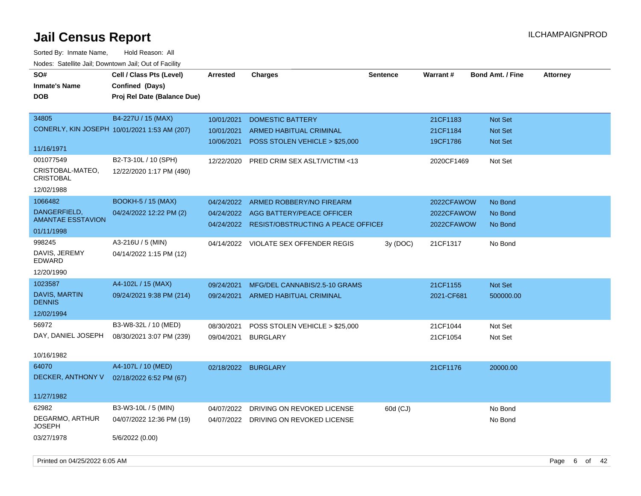| rouce. Calcinic Jan, Downtown Jan, Out or Facility |                                              |                     |                                               |                 |            |                         |                 |
|----------------------------------------------------|----------------------------------------------|---------------------|-----------------------------------------------|-----------------|------------|-------------------------|-----------------|
| SO#                                                | Cell / Class Pts (Level)                     | <b>Arrested</b>     | <b>Charges</b>                                | <b>Sentence</b> | Warrant#   | <b>Bond Amt. / Fine</b> | <b>Attorney</b> |
| <b>Inmate's Name</b>                               | Confined (Days)                              |                     |                                               |                 |            |                         |                 |
| <b>DOB</b>                                         | Proj Rel Date (Balance Due)                  |                     |                                               |                 |            |                         |                 |
|                                                    |                                              |                     |                                               |                 |            |                         |                 |
| 34805                                              | B4-227U / 15 (MAX)                           | 10/01/2021          | <b>DOMESTIC BATTERY</b>                       |                 | 21CF1183   | Not Set                 |                 |
|                                                    | CONERLY, KIN JOSEPH 10/01/2021 1:53 AM (207) | 10/01/2021          | <b>ARMED HABITUAL CRIMINAL</b>                |                 | 21CF1184   | Not Set                 |                 |
|                                                    |                                              | 10/06/2021          | POSS STOLEN VEHICLE > \$25,000                |                 | 19CF1786   | Not Set                 |                 |
| 11/16/1971                                         |                                              |                     |                                               |                 |            |                         |                 |
| 001077549                                          | B2-T3-10L / 10 (SPH)                         | 12/22/2020          | PRED CRIM SEX ASLT/VICTIM <13                 |                 | 2020CF1469 | Not Set                 |                 |
| CRISTOBAL-MATEO,<br><b>CRISTOBAL</b>               | 12/22/2020 1:17 PM (490)                     |                     |                                               |                 |            |                         |                 |
| 12/02/1988                                         |                                              |                     |                                               |                 |            |                         |                 |
| 1066482                                            | <b>BOOKH-5 / 15 (MAX)</b>                    | 04/24/2022          | ARMED ROBBERY/NO FIREARM                      |                 | 2022CFAWOW | No Bond                 |                 |
| DANGERFIELD,                                       | 04/24/2022 12:22 PM (2)                      |                     | 04/24/2022 AGG BATTERY/PEACE OFFICER          |                 | 2022CFAWOW | No Bond                 |                 |
| <b>AMANTAE ESSTAVION</b>                           |                                              |                     | 04/24/2022 RESIST/OBSTRUCTING A PEACE OFFICEH |                 | 2022CFAWOW | No Bond                 |                 |
| 01/11/1998                                         |                                              |                     |                                               |                 |            |                         |                 |
| 998245                                             | A3-216U / 5 (MIN)                            |                     | 04/14/2022 VIOLATE SEX OFFENDER REGIS         | 3y (DOC)        | 21CF1317   | No Bond                 |                 |
| DAVIS, JEREMY<br><b>EDWARD</b>                     | 04/14/2022 1:15 PM (12)                      |                     |                                               |                 |            |                         |                 |
| 12/20/1990                                         |                                              |                     |                                               |                 |            |                         |                 |
| 1023587                                            | A4-102L / 15 (MAX)                           | 09/24/2021          | MFG/DEL CANNABIS/2.5-10 GRAMS                 |                 | 21CF1155   | Not Set                 |                 |
| <b>DAVIS, MARTIN</b><br><b>DENNIS</b>              | 09/24/2021 9:38 PM (214)                     |                     | 09/24/2021 ARMED HABITUAL CRIMINAL            |                 | 2021-CF681 | 500000.00               |                 |
| 12/02/1994                                         |                                              |                     |                                               |                 |            |                         |                 |
| 56972                                              | B3-W8-32L / 10 (MED)                         | 08/30/2021          | POSS STOLEN VEHICLE > \$25,000                |                 | 21CF1044   | Not Set                 |                 |
| DAY, DANIEL JOSEPH                                 | 08/30/2021 3:07 PM (239)                     | 09/04/2021          | <b>BURGLARY</b>                               |                 | 21CF1054   | Not Set                 |                 |
|                                                    |                                              |                     |                                               |                 |            |                         |                 |
| 10/16/1982                                         |                                              |                     |                                               |                 |            |                         |                 |
| 64070                                              | A4-107L / 10 (MED)                           | 02/18/2022 BURGLARY |                                               |                 | 21CF1176   | 20000.00                |                 |
| DECKER, ANTHONY V                                  | 02/18/2022 6:52 PM (67)                      |                     |                                               |                 |            |                         |                 |
|                                                    |                                              |                     |                                               |                 |            |                         |                 |
| 11/27/1982                                         |                                              |                     |                                               |                 |            |                         |                 |
| 62982                                              | B3-W3-10L / 5 (MIN)                          |                     | 04/07/2022 DRIVING ON REVOKED LICENSE         | 60d (CJ)        |            | No Bond                 |                 |
| DEGARMO, ARTHUR<br><b>JOSEPH</b>                   | 04/07/2022 12:36 PM (19)                     |                     | 04/07/2022 DRIVING ON REVOKED LICENSE         |                 |            | No Bond                 |                 |
| 03/27/1978                                         | 5/6/2022 (0.00)                              |                     |                                               |                 |            |                         |                 |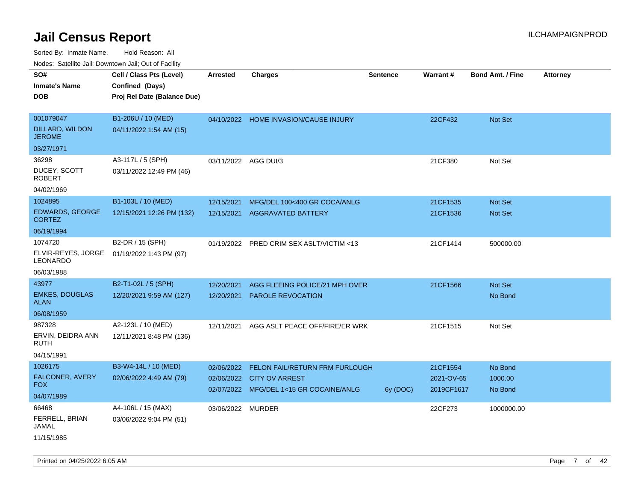| ivous. Saleling Jali, Downlown Jali, Out of Facility |                             |                      |                                           |                 |            |                         |                 |
|------------------------------------------------------|-----------------------------|----------------------|-------------------------------------------|-----------------|------------|-------------------------|-----------------|
| SO#                                                  | Cell / Class Pts (Level)    | <b>Arrested</b>      | <b>Charges</b>                            | <b>Sentence</b> | Warrant#   | <b>Bond Amt. / Fine</b> | <b>Attorney</b> |
| <b>Inmate's Name</b>                                 | Confined (Days)             |                      |                                           |                 |            |                         |                 |
| <b>DOB</b>                                           | Proj Rel Date (Balance Due) |                      |                                           |                 |            |                         |                 |
|                                                      |                             |                      |                                           |                 |            |                         |                 |
| 001079047                                            | B1-206U / 10 (MED)          |                      | 04/10/2022 HOME INVASION/CAUSE INJURY     |                 | 22CF432    | Not Set                 |                 |
| DILLARD, WILDON<br><b>JEROME</b>                     | 04/11/2022 1:54 AM (15)     |                      |                                           |                 |            |                         |                 |
| 03/27/1971                                           |                             |                      |                                           |                 |            |                         |                 |
| 36298                                                | A3-117L / 5 (SPH)           | 03/11/2022 AGG DUI/3 |                                           |                 | 21CF380    | Not Set                 |                 |
| DUCEY, SCOTT<br><b>ROBERT</b>                        | 03/11/2022 12:49 PM (46)    |                      |                                           |                 |            |                         |                 |
| 04/02/1969                                           |                             |                      |                                           |                 |            |                         |                 |
| 1024895                                              | B1-103L / 10 (MED)          | 12/15/2021           | MFG/DEL 100<400 GR COCA/ANLG              |                 | 21CF1535   | Not Set                 |                 |
| <b>EDWARDS, GEORGE</b><br><b>CORTEZ</b>              | 12/15/2021 12:26 PM (132)   | 12/15/2021           | <b>AGGRAVATED BATTERY</b>                 |                 | 21CF1536   | <b>Not Set</b>          |                 |
| 06/19/1994                                           |                             |                      |                                           |                 |            |                         |                 |
| 1074720                                              | B2-DR / 15 (SPH)            |                      | 01/19/2022 PRED CRIM SEX ASLT/VICTIM <13  |                 | 21CF1414   | 500000.00               |                 |
| ELVIR-REYES, JORGE<br>LEONARDO                       | 01/19/2022 1:43 PM (97)     |                      |                                           |                 |            |                         |                 |
| 06/03/1988                                           |                             |                      |                                           |                 |            |                         |                 |
| 43977                                                | B2-T1-02L / 5 (SPH)         | 12/20/2021           | AGG FLEEING POLICE/21 MPH OVER            |                 | 21CF1566   | Not Set                 |                 |
| <b>EMKES, DOUGLAS</b><br><b>ALAN</b>                 | 12/20/2021 9:59 AM (127)    | 12/20/2021           | <b>PAROLE REVOCATION</b>                  |                 |            | No Bond                 |                 |
| 06/08/1959                                           |                             |                      |                                           |                 |            |                         |                 |
| 987328                                               | A2-123L / 10 (MED)          | 12/11/2021           | AGG ASLT PEACE OFF/FIRE/ER WRK            |                 | 21CF1515   | Not Set                 |                 |
| ERVIN, DEIDRA ANN<br><b>RUTH</b>                     | 12/11/2021 8:48 PM (136)    |                      |                                           |                 |            |                         |                 |
| 04/15/1991                                           |                             |                      |                                           |                 |            |                         |                 |
| 1026175                                              | B3-W4-14L / 10 (MED)        |                      | 02/06/2022 FELON FAIL/RETURN FRM FURLOUGH |                 | 21CF1554   | No Bond                 |                 |
| FALCONER, AVERY<br>FOX.                              | 02/06/2022 4:49 AM (79)     |                      | 02/06/2022 CITY OV ARREST                 |                 | 2021-OV-65 | 1000.00                 |                 |
| 04/07/1989                                           |                             |                      | 02/07/2022 MFG/DEL 1<15 GR COCAINE/ANLG   | 6y (DOC)        | 2019CF1617 | No Bond                 |                 |
| 66468                                                | A4-106L / 15 (MAX)          | 03/06/2022 MURDER    |                                           |                 | 22CF273    | 1000000.00              |                 |
| FERRELL, BRIAN<br>JAMAL                              | 03/06/2022 9:04 PM (51)     |                      |                                           |                 |            |                         |                 |
| 11/15/1985                                           |                             |                      |                                           |                 |            |                         |                 |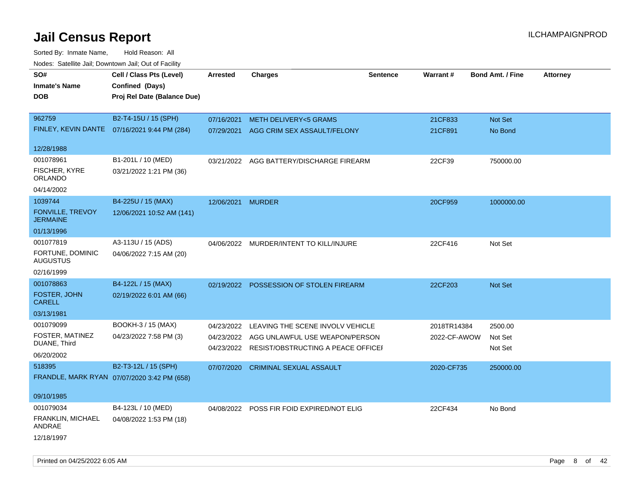| Noues. Salemie Jan, Downtown Jan, Out of Facility |                                              |            |                                           |                 |              |                         |                 |
|---------------------------------------------------|----------------------------------------------|------------|-------------------------------------------|-----------------|--------------|-------------------------|-----------------|
| SO#                                               | Cell / Class Pts (Level)                     | Arrested   | <b>Charges</b>                            | <b>Sentence</b> | Warrant#     | <b>Bond Amt. / Fine</b> | <b>Attorney</b> |
| <b>Inmate's Name</b>                              | Confined (Days)                              |            |                                           |                 |              |                         |                 |
| <b>DOB</b>                                        | Proj Rel Date (Balance Due)                  |            |                                           |                 |              |                         |                 |
|                                                   |                                              |            |                                           |                 |              |                         |                 |
| 962759                                            | B2-T4-15U / 15 (SPH)                         | 07/16/2021 | <b>METH DELIVERY&lt;5 GRAMS</b>           |                 | 21CF833      | <b>Not Set</b>          |                 |
|                                                   | FINLEY, KEVIN DANTE 07/16/2021 9:44 PM (284) | 07/29/2021 | AGG CRIM SEX ASSAULT/FELONY               |                 | 21CF891      | No Bond                 |                 |
|                                                   |                                              |            |                                           |                 |              |                         |                 |
| 12/28/1988                                        |                                              |            |                                           |                 |              |                         |                 |
| 001078961                                         | B1-201L / 10 (MED)                           |            | 03/21/2022 AGG BATTERY/DISCHARGE FIREARM  |                 | 22CF39       | 750000.00               |                 |
| FISCHER, KYRE<br>ORLANDO                          | 03/21/2022 1:21 PM (36)                      |            |                                           |                 |              |                         |                 |
| 04/14/2002                                        |                                              |            |                                           |                 |              |                         |                 |
| 1039744                                           | B4-225U / 15 (MAX)                           | 12/06/2021 | <b>MURDER</b>                             |                 | 20CF959      | 1000000.00              |                 |
| FONVILLE, TREVOY<br><b>JERMAINE</b>               | 12/06/2021 10:52 AM (141)                    |            |                                           |                 |              |                         |                 |
| 01/13/1996                                        |                                              |            |                                           |                 |              |                         |                 |
| 001077819                                         | A3-113U / 15 (ADS)                           |            | 04/06/2022 MURDER/INTENT TO KILL/INJURE   |                 | 22CF416      | Not Set                 |                 |
| FORTUNE, DOMINIC<br><b>AUGUSTUS</b>               | 04/06/2022 7:15 AM (20)                      |            |                                           |                 |              |                         |                 |
| 02/16/1999                                        |                                              |            |                                           |                 |              |                         |                 |
| 001078863                                         | B4-122L / 15 (MAX)                           | 02/19/2022 | <b>POSSESSION OF STOLEN FIREARM</b>       |                 | 22CF203      | Not Set                 |                 |
| FOSTER, JOHN<br><b>CARELL</b>                     | 02/19/2022 6:01 AM (66)                      |            |                                           |                 |              |                         |                 |
| 03/13/1981                                        |                                              |            |                                           |                 |              |                         |                 |
| 001079099                                         | BOOKH-3 / 15 (MAX)                           | 04/23/2022 | LEAVING THE SCENE INVOLV VEHICLE          |                 | 2018TR14384  | 2500.00                 |                 |
| FOSTER, MATINEZ                                   | 04/23/2022 7:58 PM (3)                       | 04/23/2022 | AGG UNLAWFUL USE WEAPON/PERSON            |                 | 2022-CF-AWOW | Not Set                 |                 |
| DUANE, Third                                      |                                              | 04/23/2022 | RESIST/OBSTRUCTING A PEACE OFFICEF        |                 |              | Not Set                 |                 |
| 06/20/2002                                        |                                              |            |                                           |                 |              |                         |                 |
| 518395                                            | B2-T3-12L / 15 (SPH)                         | 07/07/2020 | <b>CRIMINAL SEXUAL ASSAULT</b>            |                 | 2020-CF735   | 250000.00               |                 |
|                                                   | FRANDLE, MARK RYAN 07/07/2020 3:42 PM (658)  |            |                                           |                 |              |                         |                 |
|                                                   |                                              |            |                                           |                 |              |                         |                 |
| 09/10/1985                                        |                                              |            |                                           |                 |              |                         |                 |
| 001079034                                         | B4-123L / 10 (MED)                           |            | 04/08/2022 POSS FIR FOID EXPIRED/NOT ELIG |                 | 22CF434      | No Bond                 |                 |
| FRANKLIN, MICHAEL<br>ANDRAE                       | 04/08/2022 1:53 PM (18)                      |            |                                           |                 |              |                         |                 |
| 12/18/1997                                        |                                              |            |                                           |                 |              |                         |                 |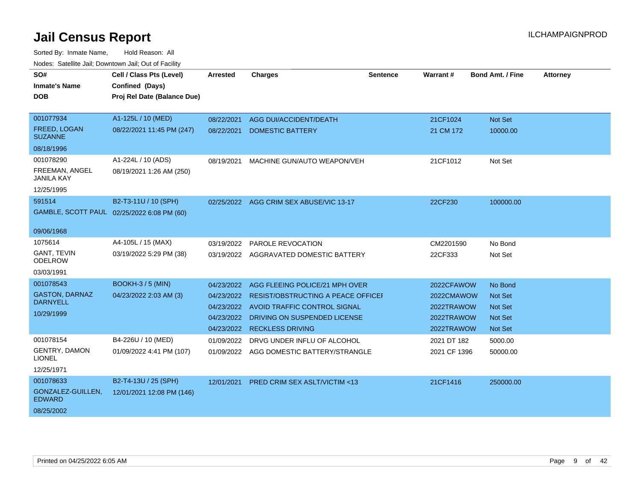| SO#                                      | Cell / Class Pts (Level)                       | <b>Arrested</b> | <b>Charges</b>                            | <b>Sentence</b> | Warrant#     | <b>Bond Amt. / Fine</b> | <b>Attorney</b> |
|------------------------------------------|------------------------------------------------|-----------------|-------------------------------------------|-----------------|--------------|-------------------------|-----------------|
| <b>Inmate's Name</b><br><b>DOB</b>       | Confined (Days)<br>Proj Rel Date (Balance Due) |                 |                                           |                 |              |                         |                 |
|                                          |                                                |                 |                                           |                 |              |                         |                 |
| 001077934                                | A1-125L / 10 (MED)                             | 08/22/2021      | AGG DUI/ACCIDENT/DEATH                    |                 | 21CF1024     | Not Set                 |                 |
| FREED, LOGAN<br><b>SUZANNE</b>           | 08/22/2021 11:45 PM (247)                      | 08/22/2021      | <b>DOMESTIC BATTERY</b>                   |                 | 21 CM 172    | 10000.00                |                 |
| 08/18/1996                               |                                                |                 |                                           |                 |              |                         |                 |
| 001078290                                | A1-224L / 10 (ADS)                             | 08/19/2021      | MACHINE GUN/AUTO WEAPON/VEH               |                 | 21CF1012     | Not Set                 |                 |
| FREEMAN, ANGEL<br><b>JANILA KAY</b>      | 08/19/2021 1:26 AM (250)                       |                 |                                           |                 |              |                         |                 |
| 12/25/1995                               |                                                |                 |                                           |                 |              |                         |                 |
| 591514                                   | B2-T3-11U / 10 (SPH)                           | 02/25/2022      | AGG CRIM SEX ABUSE/VIC 13-17              |                 | 22CF230      | 100000.00               |                 |
|                                          | GAMBLE, SCOTT PAUL 02/25/2022 6:08 PM (60)     |                 |                                           |                 |              |                         |                 |
| 09/06/1968                               |                                                |                 |                                           |                 |              |                         |                 |
| 1075614                                  | A4-105L / 15 (MAX)                             | 03/19/2022      | PAROLE REVOCATION                         |                 | CM2201590    | No Bond                 |                 |
| <b>GANT, TEVIN</b><br><b>ODELROW</b>     | 03/19/2022 5:29 PM (38)                        |                 | 03/19/2022 AGGRAVATED DOMESTIC BATTERY    |                 | 22CF333      | Not Set                 |                 |
| 03/03/1991                               |                                                |                 |                                           |                 |              |                         |                 |
| 001078543                                | <b>BOOKH-3/5 (MIN)</b>                         | 04/23/2022      | AGG FLEEING POLICE/21 MPH OVER            |                 | 2022CFAWOW   | No Bond                 |                 |
| <b>GASTON, DARNAZ</b><br><b>DARNYELL</b> | 04/23/2022 2:03 AM (3)                         | 04/23/2022      | <b>RESIST/OBSTRUCTING A PEACE OFFICEF</b> |                 | 2022CMAWOW   | Not Set                 |                 |
| 10/29/1999                               |                                                | 04/23/2022      | AVOID TRAFFIC CONTROL SIGNAL              |                 | 2022TRAWOW   | <b>Not Set</b>          |                 |
|                                          |                                                | 04/23/2022      | DRIVING ON SUSPENDED LICENSE              |                 | 2022TRAWOW   | <b>Not Set</b>          |                 |
|                                          |                                                | 04/23/2022      | <b>RECKLESS DRIVING</b>                   |                 | 2022TRAWOW   | Not Set                 |                 |
| 001078154                                | B4-226U / 10 (MED)                             | 01/09/2022      | DRVG UNDER INFLU OF ALCOHOL               |                 | 2021 DT 182  | 5000.00                 |                 |
| <b>GENTRY, DAMON</b><br><b>LIONEL</b>    | 01/09/2022 4:41 PM (107)                       |                 | 01/09/2022 AGG DOMESTIC BATTERY/STRANGLE  |                 | 2021 CF 1396 | 50000.00                |                 |
| 12/25/1971                               |                                                |                 |                                           |                 |              |                         |                 |
| 001078633                                | B2-T4-13U / 25 (SPH)                           | 12/01/2021      | <b>PRED CRIM SEX ASLT/VICTIM &lt;13</b>   |                 | 21CF1416     | 250000.00               |                 |
| GONZALEZ-GUILLEN,<br><b>EDWARD</b>       | 12/01/2021 12:08 PM (146)                      |                 |                                           |                 |              |                         |                 |
| 08/25/2002                               |                                                |                 |                                           |                 |              |                         |                 |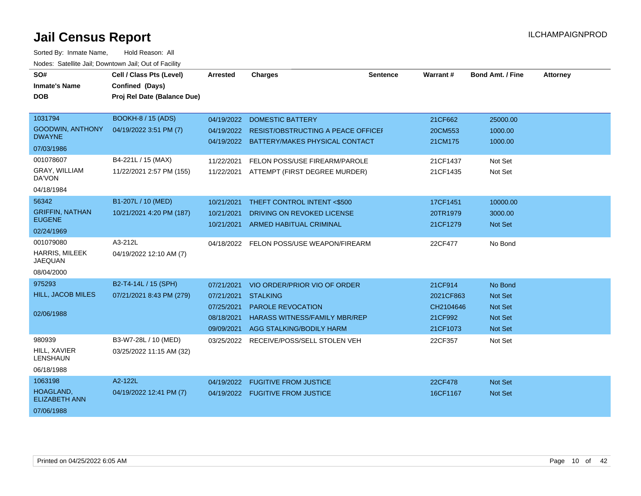| SO#<br><b>Inmate's Name</b><br><b>DOB</b> | Cell / Class Pts (Level)<br>Confined (Days)<br>Proj Rel Date (Balance Due) | <b>Arrested</b> | <b>Charges</b>                                                                  | <b>Sentence</b> | Warrant#  | <b>Bond Amt. / Fine</b> | <b>Attorney</b> |
|-------------------------------------------|----------------------------------------------------------------------------|-----------------|---------------------------------------------------------------------------------|-----------------|-----------|-------------------------|-----------------|
|                                           |                                                                            |                 |                                                                                 |                 |           |                         |                 |
| 1031794                                   | <b>BOOKH-8 / 15 (ADS)</b>                                                  | 04/19/2022      | <b>DOMESTIC BATTERY</b>                                                         |                 | 21CF662   | 25000.00                |                 |
| <b>GOODWIN, ANTHONY</b><br><b>DWAYNE</b>  | 04/19/2022 3:51 PM (7)                                                     | 04/19/2022      | RESIST/OBSTRUCTING A PEACE OFFICEF<br>04/19/2022 BATTERY/MAKES PHYSICAL CONTACT |                 | 20CM553   | 1000.00<br>1000.00      |                 |
| 07/03/1986                                |                                                                            |                 |                                                                                 |                 | 21CM175   |                         |                 |
| 001078607                                 | B4-221L / 15 (MAX)                                                         | 11/22/2021      | FELON POSS/USE FIREARM/PAROLE                                                   |                 | 21CF1437  | Not Set                 |                 |
| GRAY, WILLIAM<br>DA'VON                   | 11/22/2021 2:57 PM (155)                                                   | 11/22/2021      | ATTEMPT (FIRST DEGREE MURDER)                                                   |                 | 21CF1435  | Not Set                 |                 |
| 04/18/1984                                |                                                                            |                 |                                                                                 |                 |           |                         |                 |
| 56342                                     | B1-207L / 10 (MED)                                                         | 10/21/2021      | THEFT CONTROL INTENT <\$500                                                     |                 | 17CF1451  | 10000.00                |                 |
| <b>GRIFFIN, NATHAN</b>                    | 10/21/2021 4:20 PM (187)                                                   | 10/21/2021      | DRIVING ON REVOKED LICENSE                                                      |                 | 20TR1979  | 3000.00                 |                 |
| <b>EUGENE</b>                             |                                                                            | 10/21/2021      | <b>ARMED HABITUAL CRIMINAL</b>                                                  |                 | 21CF1279  | Not Set                 |                 |
| 02/24/1969                                |                                                                            |                 |                                                                                 |                 |           |                         |                 |
| 001079080                                 | A3-212L                                                                    |                 | 04/18/2022 FELON POSS/USE WEAPON/FIREARM                                        |                 | 22CF477   | No Bond                 |                 |
| HARRIS, MILEEK<br><b>JAEQUAN</b>          | 04/19/2022 12:10 AM (7)                                                    |                 |                                                                                 |                 |           |                         |                 |
| 08/04/2000                                |                                                                            |                 |                                                                                 |                 |           |                         |                 |
| 975293                                    | B2-T4-14L / 15 (SPH)                                                       | 07/21/2021      | VIO ORDER/PRIOR VIO OF ORDER                                                    |                 | 21CF914   | No Bond                 |                 |
| <b>HILL, JACOB MILES</b>                  | 07/21/2021 8:43 PM (279)                                                   | 07/21/2021      | <b>STALKING</b>                                                                 |                 | 2021CF863 | <b>Not Set</b>          |                 |
|                                           |                                                                            | 07/25/2021      | <b>PAROLE REVOCATION</b>                                                        |                 | CH2104646 | <b>Not Set</b>          |                 |
| 02/06/1988                                |                                                                            | 08/18/2021      | <b>HARASS WITNESS/FAMILY MBR/REP</b>                                            |                 | 21CF992   | Not Set                 |                 |
|                                           |                                                                            | 09/09/2021      | AGG STALKING/BODILY HARM                                                        |                 | 21CF1073  | <b>Not Set</b>          |                 |
| 980939                                    | B3-W7-28L / 10 (MED)                                                       | 03/25/2022      | RECEIVE/POSS/SELL STOLEN VEH                                                    |                 | 22CF357   | Not Set                 |                 |
| HILL, XAVIER<br><b>LENSHAUN</b>           | 03/25/2022 11:15 AM (32)                                                   |                 |                                                                                 |                 |           |                         |                 |
| 06/18/1988                                |                                                                            |                 |                                                                                 |                 |           |                         |                 |
| 1063198                                   | A2-122L                                                                    | 04/19/2022      | <b>FUGITIVE FROM JUSTICE</b>                                                    |                 | 22CF478   | <b>Not Set</b>          |                 |
| HOAGLAND,<br><b>ELIZABETH ANN</b>         | 04/19/2022 12:41 PM (7)                                                    |                 | 04/19/2022 FUGITIVE FROM JUSTICE                                                |                 | 16CF1167  | <b>Not Set</b>          |                 |
| 07/06/1988                                |                                                                            |                 |                                                                                 |                 |           |                         |                 |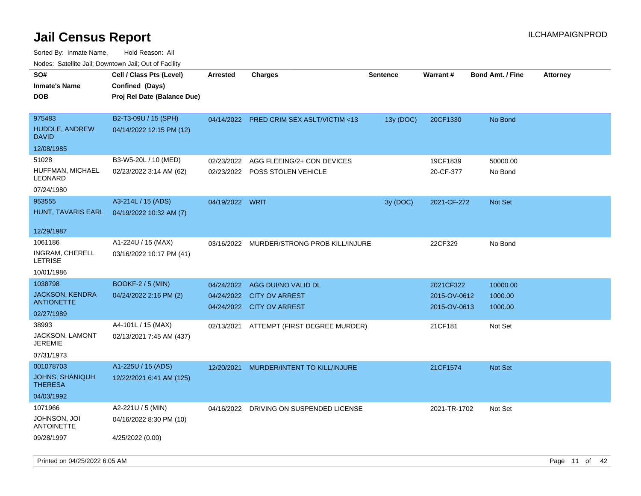| ivouss. Saleline Jali, Downtown Jali, Out of Facility |                             |                 |                                           |                 |                 |                         |                 |
|-------------------------------------------------------|-----------------------------|-----------------|-------------------------------------------|-----------------|-----------------|-------------------------|-----------------|
| SO#                                                   | Cell / Class Pts (Level)    | <b>Arrested</b> | <b>Charges</b>                            | <b>Sentence</b> | <b>Warrant#</b> | <b>Bond Amt. / Fine</b> | <b>Attorney</b> |
| Inmate's Name                                         | Confined (Days)             |                 |                                           |                 |                 |                         |                 |
| DOB                                                   | Proj Rel Date (Balance Due) |                 |                                           |                 |                 |                         |                 |
|                                                       |                             |                 |                                           |                 |                 |                         |                 |
| 975483                                                | B2-T3-09U / 15 (SPH)        |                 | 04/14/2022 PRED CRIM SEX ASLT/VICTIM <13  | 13y (DOC)       | 20CF1330        | No Bond                 |                 |
| <b>HUDDLE, ANDREW</b><br>David                        | 04/14/2022 12:15 PM (12)    |                 |                                           |                 |                 |                         |                 |
| 12/08/1985                                            |                             |                 |                                           |                 |                 |                         |                 |
| 51028                                                 | B3-W5-20L / 10 (MED)        | 02/23/2022      | AGG FLEEING/2+ CON DEVICES                |                 | 19CF1839        | 50000.00                |                 |
| HUFFMAN, MICHAEL<br>LEONARD                           | 02/23/2022 3:14 AM (62)     | 02/23/2022      | POSS STOLEN VEHICLE                       |                 | 20-CF-377       | No Bond                 |                 |
| 07/24/1980                                            |                             |                 |                                           |                 |                 |                         |                 |
| 953555                                                | A3-214L / 15 (ADS)          | 04/19/2022 WRIT |                                           | 3y (DOC)        | 2021-CF-272     | <b>Not Set</b>          |                 |
| HUNT, TAVARIS EARL                                    | 04/19/2022 10:32 AM (7)     |                 |                                           |                 |                 |                         |                 |
|                                                       |                             |                 |                                           |                 |                 |                         |                 |
| 12/29/1987                                            |                             |                 |                                           |                 |                 |                         |                 |
| 1061186                                               | A1-224U / 15 (MAX)          |                 | 03/16/2022 MURDER/STRONG PROB KILL/INJURE |                 | 22CF329         | No Bond                 |                 |
| INGRAM, CHERELL<br>LETRISE                            | 03/16/2022 10:17 PM (41)    |                 |                                           |                 |                 |                         |                 |
| 10/01/1986                                            |                             |                 |                                           |                 |                 |                         |                 |
| 1038798                                               | <b>BOOKF-2/5 (MIN)</b>      | 04/24/2022      | AGG DUI/NO VALID DL                       |                 | 2021CF322       | 10000.00                |                 |
| <b>JACKSON, KENDRA</b>                                | 04/24/2022 2:16 PM (2)      | 04/24/2022      | <b>CITY OV ARREST</b>                     |                 | 2015-OV-0612    | 1000.00                 |                 |
| ANTIONETTE                                            |                             |                 | 04/24/2022 CITY OV ARREST                 |                 | 2015-OV-0613    | 1000.00                 |                 |
| 02/27/1989                                            |                             |                 |                                           |                 |                 |                         |                 |
| 38993                                                 | A4-101L / 15 (MAX)          |                 | 02/13/2021 ATTEMPT (FIRST DEGREE MURDER)  |                 | 21CF181         | Not Set                 |                 |
| JACKSON, LAMONT<br>JEREMIE                            | 02/13/2021 7:45 AM (437)    |                 |                                           |                 |                 |                         |                 |
| 07/31/1973                                            |                             |                 |                                           |                 |                 |                         |                 |
| 001078703                                             | A1-225U / 15 (ADS)          | 12/20/2021      | MURDER/INTENT TO KILL/INJURE              |                 | 21CF1574        | <b>Not Set</b>          |                 |
| <b>JOHNS, SHANIQUH</b><br>THERESA                     | 12/22/2021 6:41 AM (125)    |                 |                                           |                 |                 |                         |                 |
| 04/03/1992                                            |                             |                 |                                           |                 |                 |                         |                 |
| 1071966                                               | A2-221U / 5 (MIN)           | 04/16/2022      | DRIVING ON SUSPENDED LICENSE              |                 | 2021-TR-1702    | Not Set                 |                 |
| Johnson, Joi<br>ANTOINETTE                            | 04/16/2022 8:30 PM (10)     |                 |                                           |                 |                 |                         |                 |
| 09/28/1997                                            | 4/25/2022 (0.00)            |                 |                                           |                 |                 |                         |                 |
|                                                       |                             |                 |                                           |                 |                 |                         |                 |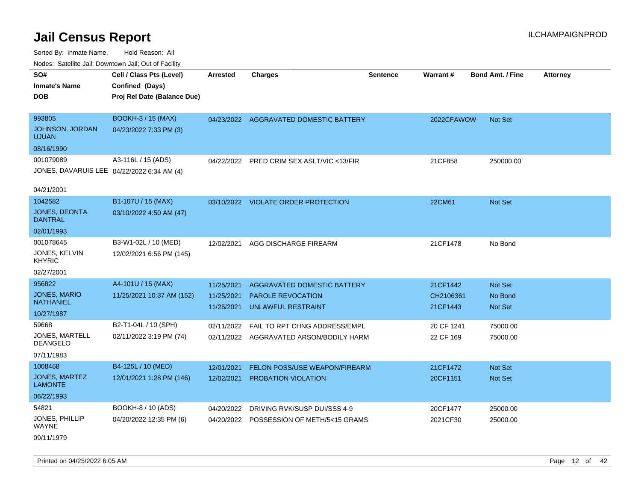Sorted By: Inmate Name, Hold Reason: All Nodes: Satellite Jail; Downtown Jail; Out of Facility

| SO#<br><b>Inmate's Name</b><br><b>DOB</b>                             | Cell / Class Pts (Level)<br>Confined (Days)<br>Proj Rel Date (Balance Due) | <b>Arrested</b>                        | <b>Charges</b>                                                                       | <b>Sentence</b> | Warrant#                          | <b>Bond Amt. / Fine</b>              | <b>Attorney</b> |
|-----------------------------------------------------------------------|----------------------------------------------------------------------------|----------------------------------------|--------------------------------------------------------------------------------------|-----------------|-----------------------------------|--------------------------------------|-----------------|
| 993805<br>JOHNSON, JORDAN<br><b>UJUAN</b><br>08/16/1990               | <b>BOOKH-3 / 15 (MAX)</b><br>04/23/2022 7:33 PM (3)                        |                                        | 04/23/2022 AGGRAVATED DOMESTIC BATTERY                                               |                 | 2022CFAWOW                        | <b>Not Set</b>                       |                 |
| 001079089<br>JONES, DAVARUIS LEE 04/22/2022 6:34 AM (4)<br>04/21/2001 | A3-116L / 15 (ADS)                                                         |                                        | 04/22/2022 PRED CRIM SEX ASLT/VIC <13/FIR                                            |                 | 21CF858                           | 250000.00                            |                 |
| 1042582<br><b>JONES, DEONTA</b><br><b>DANTRAL</b><br>02/01/1993       | B1-107U / 15 (MAX)<br>03/10/2022 4:50 AM (47)                              |                                        | 03/10/2022 VIOLATE ORDER PROTECTION                                                  |                 | 22CM61                            | <b>Not Set</b>                       |                 |
| 001078645<br>JONES, KELVIN<br><b>KHYRIC</b><br>02/27/2001             | B3-W1-02L / 10 (MED)<br>12/02/2021 6:56 PM (145)                           | 12/02/2021                             | AGG DISCHARGE FIREARM                                                                |                 | 21CF1478                          | No Bond                              |                 |
| 956822<br>JONES, MARIO<br><b>NATHANIEL</b><br>10/27/1987              | A4-101U / 15 (MAX)<br>11/25/2021 10:37 AM (152)                            | 11/25/2021<br>11/25/2021<br>11/25/2021 | AGGRAVATED DOMESTIC BATTERY<br><b>PAROLE REVOCATION</b><br><b>UNLAWFUL RESTRAINT</b> |                 | 21CF1442<br>CH2106361<br>21CF1443 | Not Set<br>No Bond<br><b>Not Set</b> |                 |
| 59668<br>JONES, MARTELL<br>DEANGELO<br>07/11/1983                     | B2-T1-04L / 10 (SPH)<br>02/11/2022 3:19 PM (74)                            | 02/11/2022                             | FAIL TO RPT CHNG ADDRESS/EMPL<br>02/11/2022 AGGRAVATED ARSON/BODILY HARM             |                 | 20 CF 1241<br>22 CF 169           | 75000.00<br>75000.00                 |                 |
| 1008468<br>JONES, MARTEZ<br><b>LAMONTE</b><br>06/22/1993              | B4-125L / 10 (MED)<br>12/01/2021 1:28 PM (146)                             | 12/01/2021<br>12/02/2021               | FELON POSS/USE WEAPON/FIREARM<br><b>PROBATION VIOLATION</b>                          |                 | 21CF1472<br>20CF1151              | <b>Not Set</b><br><b>Not Set</b>     |                 |
| 54821<br>JONES, PHILLIP<br>WAYNE<br>0.011110000                       | BOOKH-8 / 10 (ADS)<br>04/20/2022 12:35 PM (6)                              | 04/20/2022<br>04/20/2022               | DRIVING RVK/SUSP DUI/SSS 4-9<br>POSSESSION OF METH/5<15 GRAMS                        |                 | 20CF1477<br>2021CF30              | 25000.00<br>25000.00                 |                 |

09/11/1979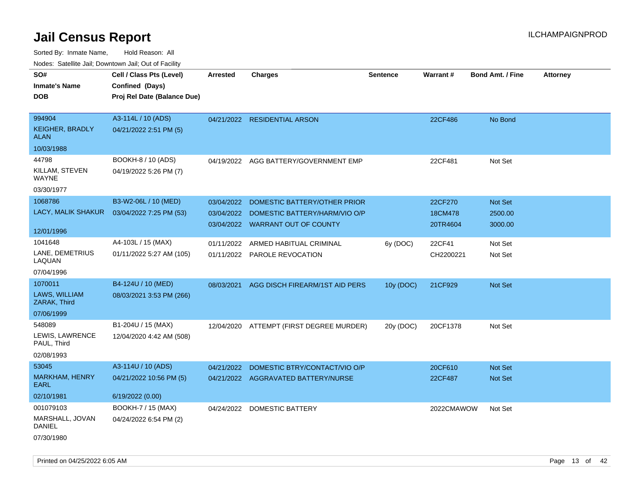| rouco. Calcillo Jali, Downtown Jali, Out of Facility |                                             |                 |                                          |                 |            |                         |                 |
|------------------------------------------------------|---------------------------------------------|-----------------|------------------------------------------|-----------------|------------|-------------------------|-----------------|
| SO#<br><b>Inmate's Name</b>                          | Cell / Class Pts (Level)<br>Confined (Days) | <b>Arrested</b> | <b>Charges</b>                           | <b>Sentence</b> | Warrant#   | <b>Bond Amt. / Fine</b> | <b>Attorney</b> |
| <b>DOB</b>                                           | Proj Rel Date (Balance Due)                 |                 |                                          |                 |            |                         |                 |
| 994904                                               | A3-114L / 10 (ADS)                          |                 | 04/21/2022 RESIDENTIAL ARSON             |                 | 22CF486    | No Bond                 |                 |
| <b>KEIGHER, BRADLY</b><br><b>ALAN</b>                | 04/21/2022 2:51 PM (5)                      |                 |                                          |                 |            |                         |                 |
| 10/03/1988                                           |                                             |                 |                                          |                 |            |                         |                 |
| 44798                                                | BOOKH-8 / 10 (ADS)                          |                 | 04/19/2022 AGG BATTERY/GOVERNMENT EMP    |                 | 22CF481    | Not Set                 |                 |
| KILLAM, STEVEN<br>WAYNE                              | 04/19/2022 5:26 PM (7)                      |                 |                                          |                 |            |                         |                 |
| 03/30/1977                                           |                                             |                 |                                          |                 |            |                         |                 |
| 1068786                                              | B3-W2-06L / 10 (MED)                        | 03/04/2022      | DOMESTIC BATTERY/OTHER PRIOR             |                 | 22CF270    | Not Set                 |                 |
| LACY, MALIK SHAKUR                                   | 03/04/2022 7:25 PM (53)                     | 03/04/2022      | DOMESTIC BATTERY/HARM/VIO O/P            |                 | 18CM478    | 2500.00                 |                 |
|                                                      |                                             |                 | 03/04/2022 WARRANT OUT OF COUNTY         |                 | 20TR4604   | 3000.00                 |                 |
| 12/01/1996                                           |                                             |                 |                                          |                 |            |                         |                 |
| 1041648                                              | A4-103L / 15 (MAX)                          | 01/11/2022      | ARMED HABITUAL CRIMINAL                  | 6y (DOC)        | 22CF41     | Not Set                 |                 |
| LANE, DEMETRIUS<br>LAQUAN                            | 01/11/2022 5:27 AM (105)                    |                 | 01/11/2022 PAROLE REVOCATION             |                 | CH2200221  | Not Set                 |                 |
| 07/04/1996                                           |                                             |                 |                                          |                 |            |                         |                 |
| 1070011                                              | B4-124U / 10 (MED)                          | 08/03/2021      | AGG DISCH FIREARM/1ST AID PERS           | 10y (DOC)       | 21CF929    | <b>Not Set</b>          |                 |
| LAWS, WILLIAM<br>ZARAK, Third                        | 08/03/2021 3:53 PM (266)                    |                 |                                          |                 |            |                         |                 |
| 07/06/1999                                           |                                             |                 |                                          |                 |            |                         |                 |
| 548089                                               | B1-204U / 15 (MAX)                          |                 | 12/04/2020 ATTEMPT (FIRST DEGREE MURDER) | 20y (DOC)       | 20CF1378   | Not Set                 |                 |
| LEWIS, LAWRENCE<br>PAUL, Third                       | 12/04/2020 4:42 AM (508)                    |                 |                                          |                 |            |                         |                 |
| 02/08/1993                                           |                                             |                 |                                          |                 |            |                         |                 |
| 53045                                                | A3-114U / 10 (ADS)                          | 04/21/2022      | DOMESTIC BTRY/CONTACT/VIO O/P            |                 | 20CF610    | Not Set                 |                 |
| MARKHAM, HENRY<br>EARL                               | 04/21/2022 10:56 PM (5)                     |                 | 04/21/2022 AGGRAVATED BATTERY/NURSE      |                 | 22CF487    | Not Set                 |                 |
| 02/10/1981                                           | 6/19/2022 (0.00)                            |                 |                                          |                 |            |                         |                 |
| 001079103                                            | BOOKH-7 / 15 (MAX)                          | 04/24/2022      | DOMESTIC BATTERY                         |                 | 2022CMAWOW | Not Set                 |                 |
| MARSHALL, JOVAN<br><b>DANIEL</b>                     | 04/24/2022 6:54 PM (2)                      |                 |                                          |                 |            |                         |                 |
| 07/30/1980                                           |                                             |                 |                                          |                 |            |                         |                 |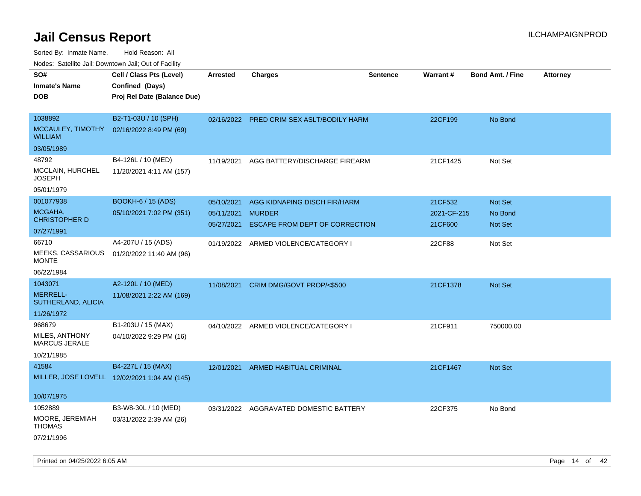Sorted By: Inmate Name, Hold Reason: All

| Nodes: Satellite Jail; Downtown Jail; Out of Facility |
|-------------------------------------------------------|
|-------------------------------------------------------|

| SO#<br><b>Inmate's Name</b><br><b>DOB</b>                      | Cell / Class Pts (Level)<br>Confined (Days)<br>Proj Rel Date (Balance Due) | Arrested                               | <b>Charges</b>                                                                  | <b>Sentence</b> | <b>Warrant#</b>                   | <b>Bond Amt. / Fine</b>              | <b>Attorney</b> |
|----------------------------------------------------------------|----------------------------------------------------------------------------|----------------------------------------|---------------------------------------------------------------------------------|-----------------|-----------------------------------|--------------------------------------|-----------------|
| 1038892<br>MCCAULEY, TIMOTHY<br><b>WILLIAM</b>                 | B2-T1-03U / 10 (SPH)<br>02/16/2022 8:49 PM (69)                            |                                        | 02/16/2022 PRED CRIM SEX ASLT/BODILY HARM                                       |                 | 22CF199                           | No Bond                              |                 |
| 03/05/1989                                                     |                                                                            |                                        |                                                                                 |                 |                                   |                                      |                 |
| 48792<br><b>MCCLAIN, HURCHEL</b><br>JOSEPH                     | B4-126L / 10 (MED)<br>11/20/2021 4:11 AM (157)                             | 11/19/2021                             | AGG BATTERY/DISCHARGE FIREARM                                                   |                 | 21CF1425                          | Not Set                              |                 |
| 05/01/1979                                                     |                                                                            |                                        |                                                                                 |                 |                                   |                                      |                 |
| 001077938<br>MCGAHA,<br><b>CHRISTOPHER D</b>                   | BOOKH-6 / 15 (ADS)<br>05/10/2021 7:02 PM (351)                             | 05/10/2021<br>05/11/2021<br>05/27/2021 | AGG KIDNAPING DISCH FIR/HARM<br><b>MURDER</b><br>ESCAPE FROM DEPT OF CORRECTION |                 | 21CF532<br>2021-CF-215<br>21CF600 | Not Set<br>No Bond<br><b>Not Set</b> |                 |
| 07/27/1991                                                     |                                                                            |                                        |                                                                                 |                 |                                   |                                      |                 |
| 66710<br>MEEKS, CASSARIOUS<br><b>MONTE</b>                     | A4-207U / 15 (ADS)<br>01/20/2022 11:40 AM (96)                             |                                        | 01/19/2022 ARMED VIOLENCE/CATEGORY I                                            |                 | 22CF88                            | Not Set                              |                 |
| 06/22/1984                                                     |                                                                            |                                        |                                                                                 |                 |                                   |                                      |                 |
| 1043071<br><b>MERRELL-</b><br>SUTHERLAND, ALICIA<br>11/26/1972 | A2-120L / 10 (MED)<br>11/08/2021 2:22 AM (169)                             | 11/08/2021                             | CRIM DMG/GOVT PROP/<\$500                                                       |                 | 21CF1378                          | Not Set                              |                 |
| 968679<br>MILES, ANTHONY<br><b>MARCUS JERALE</b>               | B1-203U / 15 (MAX)<br>04/10/2022 9:29 PM (16)                              |                                        | 04/10/2022 ARMED VIOLENCE/CATEGORY I                                            |                 | 21CF911                           | 750000.00                            |                 |
| 10/21/1985                                                     |                                                                            |                                        |                                                                                 |                 |                                   |                                      |                 |
| 41584                                                          | B4-227L / 15 (MAX)<br>MILLER, JOSE LOVELL 12/02/2021 1:04 AM (145)         | 12/01/2021                             | <b>ARMED HABITUAL CRIMINAL</b>                                                  |                 | 21CF1467                          | <b>Not Set</b>                       |                 |
| 10/07/1975                                                     |                                                                            |                                        |                                                                                 |                 |                                   |                                      |                 |
| 1052889<br>MOORE, JEREMIAH<br><b>THOMAS</b><br>07/21/1996      | B3-W8-30L / 10 (MED)<br>03/31/2022 2:39 AM (26)                            |                                        | 03/31/2022 AGGRAVATED DOMESTIC BATTERY                                          |                 | 22CF375                           | No Bond                              |                 |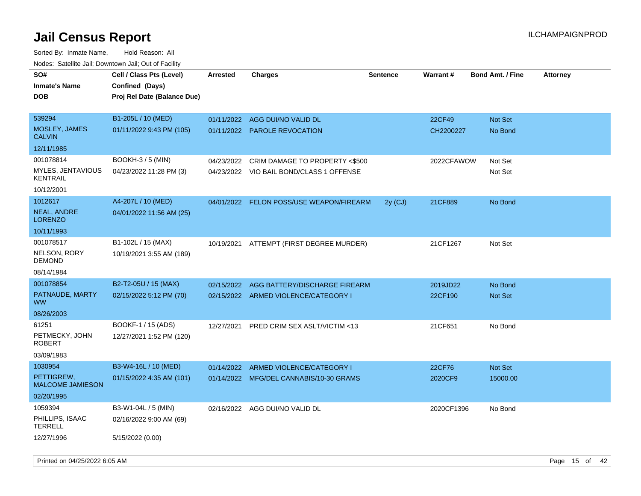Sorted By: Inmate Name, Hold Reason: All Nodes: Satellite Jail; Downtown Jail; Out of Facility

| Todoo. Catolino can, Bowritown can, Oat or Fability<br>SO#<br><b>Inmate's Name</b><br><b>DOB</b> | Cell / Class Pts (Level)<br>Confined (Days)<br>Proj Rel Date (Balance Due) | <b>Arrested</b>          | <b>Charges</b>                           | <b>Sentence</b> | Warrant#            | <b>Bond Amt. / Fine</b>   | <b>Attorney</b> |
|--------------------------------------------------------------------------------------------------|----------------------------------------------------------------------------|--------------------------|------------------------------------------|-----------------|---------------------|---------------------------|-----------------|
| 539294<br><b>MOSLEY, JAMES</b><br><b>CALVIN</b>                                                  | B1-205L / 10 (MED)<br>01/11/2022 9:43 PM (105)                             | 01/11/2022<br>01/11/2022 | AGG DUI/NO VALID DL<br>PAROLE REVOCATION |                 | 22CF49<br>CH2200227 | <b>Not Set</b><br>No Bond |                 |
| 12/11/1985                                                                                       |                                                                            |                          |                                          |                 |                     |                           |                 |
| 001078814                                                                                        | <b>BOOKH-3/5 (MIN)</b>                                                     | 04/23/2022               | CRIM DAMAGE TO PROPERTY <\$500           |                 | 2022CFAWOW          | Not Set                   |                 |
| <b>MYLES, JENTAVIOUS</b><br><b>KENTRAIL</b>                                                      | 04/23/2022 11:28 PM (3)                                                    |                          | 04/23/2022 VIO BAIL BOND/CLASS 1 OFFENSE |                 |                     | Not Set                   |                 |
| 10/12/2001                                                                                       |                                                                            |                          |                                          |                 |                     |                           |                 |
| 1012617                                                                                          | A4-207L / 10 (MED)                                                         | 04/01/2022               | FELON POSS/USE WEAPON/FIREARM            | 2y(CJ)          | 21CF889             | No Bond                   |                 |
| NEAL, ANDRE<br><b>LORENZO</b>                                                                    | 04/01/2022 11:56 AM (25)                                                   |                          |                                          |                 |                     |                           |                 |
| 10/11/1993                                                                                       |                                                                            |                          |                                          |                 |                     |                           |                 |
| 001078517                                                                                        | B1-102L / 15 (MAX)                                                         |                          | 10/19/2021 ATTEMPT (FIRST DEGREE MURDER) |                 | 21CF1267            | Not Set                   |                 |
| NELSON, RORY<br><b>DEMOND</b>                                                                    | 10/19/2021 3:55 AM (189)                                                   |                          |                                          |                 |                     |                           |                 |
| 08/14/1984                                                                                       |                                                                            |                          |                                          |                 |                     |                           |                 |
| 001078854                                                                                        | B2-T2-05U / 15 (MAX)                                                       | 02/15/2022               | AGG BATTERY/DISCHARGE FIREARM            |                 | 2019JD22            | No Bond                   |                 |
| PATNAUDE, MARTY<br><b>WW</b>                                                                     | 02/15/2022 5:12 PM (70)                                                    |                          | 02/15/2022 ARMED VIOLENCE/CATEGORY I     |                 | 22CF190             | <b>Not Set</b>            |                 |
| 08/26/2003                                                                                       |                                                                            |                          |                                          |                 |                     |                           |                 |
| 61251                                                                                            | BOOKF-1 / 15 (ADS)                                                         | 12/27/2021               | PRED CRIM SEX ASLT/VICTIM <13            |                 | 21CF651             | No Bond                   |                 |
| PETMECKY, JOHN<br>ROBERT                                                                         | 12/27/2021 1:52 PM (120)                                                   |                          |                                          |                 |                     |                           |                 |
| 03/09/1983                                                                                       |                                                                            |                          |                                          |                 |                     |                           |                 |
| 1030954                                                                                          | B3-W4-16L / 10 (MED)                                                       | 01/14/2022               | ARMED VIOLENCE/CATEGORY I                |                 | 22CF76              | Not Set                   |                 |
| PETTIGREW,<br><b>MALCOME JAMIESON</b>                                                            | 01/15/2022 4:35 AM (101)                                                   |                          | 01/14/2022 MFG/DEL CANNABIS/10-30 GRAMS  |                 | 2020CF9             | 15000.00                  |                 |
| 02/20/1995                                                                                       |                                                                            |                          |                                          |                 |                     |                           |                 |
| 1059394                                                                                          | B3-W1-04L / 5 (MIN)                                                        |                          | 02/16/2022 AGG DUI/NO VALID DL           |                 | 2020CF1396          | No Bond                   |                 |
| PHILLIPS, ISAAC<br><b>TERRELL</b>                                                                | 02/16/2022 9:00 AM (69)                                                    |                          |                                          |                 |                     |                           |                 |
| 12/27/1996                                                                                       | 5/15/2022 (0.00)                                                           |                          |                                          |                 |                     |                           |                 |

Printed on 04/25/2022 6:05 AM Page 15 of 42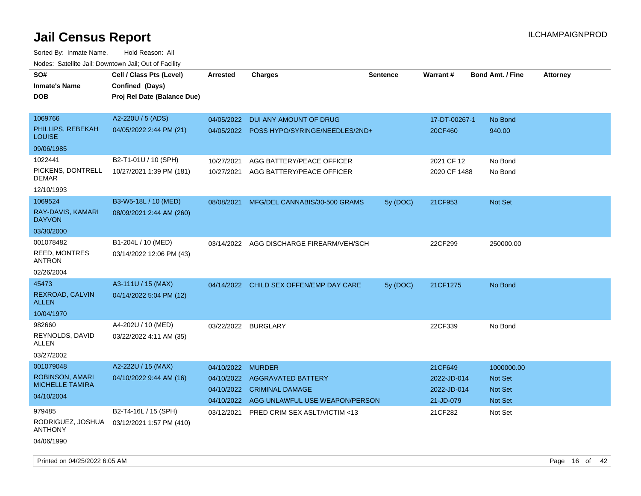| SO#<br><b>Inmate's Name</b><br><b>DOB</b>                   | Cell / Class Pts (Level)<br>Confined (Days)<br>Proj Rel Date (Balance Due) | <b>Arrested</b>          | <b>Charges</b>                                                      | <b>Sentence</b> | Warrant#                   | <b>Bond Amt. / Fine</b> | <b>Attorney</b> |
|-------------------------------------------------------------|----------------------------------------------------------------------------|--------------------------|---------------------------------------------------------------------|-----------------|----------------------------|-------------------------|-----------------|
| 1069766<br>PHILLIPS, REBEKAH<br><b>LOUISE</b><br>09/06/1985 | A2-220U / 5 (ADS)<br>04/05/2022 2:44 PM (21)                               | 04/05/2022               | DUI ANY AMOUNT OF DRUG<br>04/05/2022 POSS HYPO/SYRINGE/NEEDLES/2ND+ |                 | 17-DT-00267-1<br>20CF460   | No Bond<br>940.00       |                 |
| 1022441                                                     | B2-T1-01U / 10 (SPH)                                                       |                          |                                                                     |                 |                            |                         |                 |
| PICKENS, DONTRELL<br><b>DEMAR</b>                           | 10/27/2021 1:39 PM (181)                                                   | 10/27/2021<br>10/27/2021 | AGG BATTERY/PEACE OFFICER<br>AGG BATTERY/PEACE OFFICER              |                 | 2021 CF 12<br>2020 CF 1488 | No Bond<br>No Bond      |                 |
| 12/10/1993                                                  |                                                                            |                          |                                                                     |                 |                            |                         |                 |
| 1069524<br>RAY-DAVIS, KAMARI<br><b>DAYVON</b><br>03/30/2000 | B3-W5-18L / 10 (MED)<br>08/09/2021 2:44 AM (260)                           | 08/08/2021               | MFG/DEL CANNABIS/30-500 GRAMS                                       | 5y(DOC)         | 21CF953                    | <b>Not Set</b>          |                 |
| 001078482                                                   |                                                                            |                          |                                                                     |                 |                            |                         |                 |
| <b>REED, MONTRES</b><br><b>ANTRON</b>                       | B1-204L / 10 (MED)<br>03/14/2022 12:06 PM (43)                             | 03/14/2022               | AGG DISCHARGE FIREARM/VEH/SCH                                       |                 | 22CF299                    | 250000.00               |                 |
| 02/26/2004                                                  |                                                                            |                          |                                                                     |                 |                            |                         |                 |
| 45473                                                       | A3-111U / 15 (MAX)                                                         |                          | 04/14/2022 CHILD SEX OFFEN/EMP DAY CARE                             | 5y (DOC)        | 21CF1275                   | No Bond                 |                 |
| REXROAD, CALVIN<br><b>ALLEN</b>                             | 04/14/2022 5:04 PM (12)                                                    |                          |                                                                     |                 |                            |                         |                 |
| 10/04/1970                                                  |                                                                            |                          |                                                                     |                 |                            |                         |                 |
| 982660                                                      | A4-202U / 10 (MED)                                                         | 03/22/2022 BURGLARY      |                                                                     |                 | 22CF339                    | No Bond                 |                 |
| REYNOLDS, DAVID<br>ALLEN                                    | 03/22/2022 4:11 AM (35)                                                    |                          |                                                                     |                 |                            |                         |                 |
| 03/27/2002                                                  |                                                                            |                          |                                                                     |                 |                            |                         |                 |
| 001079048                                                   | A2-222U / 15 (MAX)                                                         | 04/10/2022               | <b>MURDER</b>                                                       |                 | 21CF649                    | 1000000.00              |                 |
| <b>ROBINSON, AMARI</b>                                      | 04/10/2022 9:44 AM (16)                                                    | 04/10/2022               | <b>AGGRAVATED BATTERY</b>                                           |                 | 2022-JD-014                | Not Set                 |                 |
| <b>MICHELLE TAMIRA</b>                                      |                                                                            | 04/10/2022               | <b>CRIMINAL DAMAGE</b>                                              |                 | 2022-JD-014                | Not Set                 |                 |
| 04/10/2004                                                  |                                                                            | 04/10/2022               | AGG UNLAWFUL USE WEAPON/PERSON                                      |                 | 21-JD-079                  | Not Set                 |                 |
| 979485<br>RODRIGUEZ, JOSHUA<br><b>ANTHONY</b>               | B2-T4-16L / 15 (SPH)<br>03/12/2021 1:57 PM (410)                           | 03/12/2021               | PRED CRIM SEX ASLT/VICTIM <13                                       |                 | 21CF282                    | Not Set                 |                 |
| 04/06/1990                                                  |                                                                            |                          |                                                                     |                 |                            |                         |                 |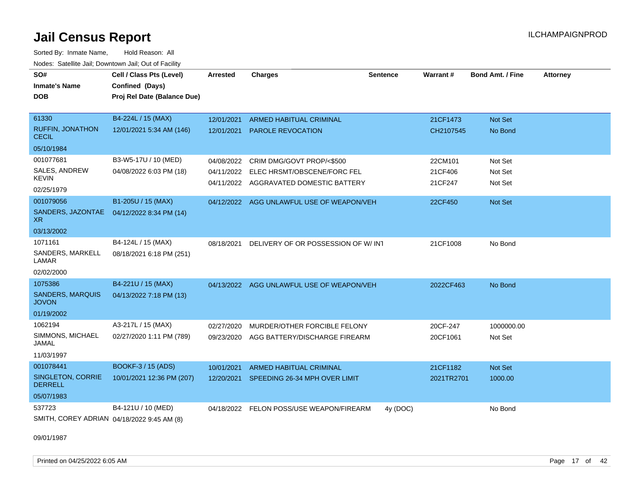Sorted By: Inmate Name, Hold Reason: All Nodes: Satellite Jail; Downtown Jail; Out of Facility

| SO#                                        | Cell / Class Pts (Level)    | <b>Arrested</b> | <b>Charges</b>                            | <b>Sentence</b> | Warrant#   | <b>Bond Amt. / Fine</b> | <b>Attorney</b> |
|--------------------------------------------|-----------------------------|-----------------|-------------------------------------------|-----------------|------------|-------------------------|-----------------|
| <b>Inmate's Name</b>                       | Confined (Days)             |                 |                                           |                 |            |                         |                 |
| <b>DOB</b>                                 | Proj Rel Date (Balance Due) |                 |                                           |                 |            |                         |                 |
|                                            |                             |                 |                                           |                 |            |                         |                 |
| 61330                                      | B4-224L / 15 (MAX)          | 12/01/2021      | ARMED HABITUAL CRIMINAL                   |                 | 21CF1473   | Not Set                 |                 |
| <b>RUFFIN, JONATHON</b><br><b>CECIL</b>    | 12/01/2021 5:34 AM (146)    | 12/01/2021      | <b>PAROLE REVOCATION</b>                  |                 | CH2107545  | No Bond                 |                 |
| 05/10/1984                                 |                             |                 |                                           |                 |            |                         |                 |
| 001077681                                  | B3-W5-17U / 10 (MED)        |                 | 04/08/2022 CRIM DMG/GOVT PROP/<\$500      |                 | 22CM101    | Not Set                 |                 |
| SALES, ANDREW                              | 04/08/2022 6:03 PM (18)     | 04/11/2022      | ELEC HRSMT/OBSCENE/FORC FEL               |                 | 21CF406    | Not Set                 |                 |
| KEVIN                                      |                             |                 | 04/11/2022 AGGRAVATED DOMESTIC BATTERY    |                 | 21CF247    | Not Set                 |                 |
| 02/25/1979                                 |                             |                 |                                           |                 |            |                         |                 |
| 001079056                                  | B1-205U / 15 (MAX)          |                 | 04/12/2022 AGG UNLAWFUL USE OF WEAPON/VEH |                 | 22CF450    | Not Set                 |                 |
| SANDERS, JAZONTAE<br>XR.                   | 04/12/2022 8:34 PM (14)     |                 |                                           |                 |            |                         |                 |
| 03/13/2002                                 |                             |                 |                                           |                 |            |                         |                 |
| 1071161                                    | B4-124L / 15 (MAX)          | 08/18/2021      | DELIVERY OF OR POSSESSION OF W/INT        |                 | 21CF1008   | No Bond                 |                 |
| SANDERS, MARKELL<br>LAMAR                  | 08/18/2021 6:18 PM (251)    |                 |                                           |                 |            |                         |                 |
| 02/02/2000                                 |                             |                 |                                           |                 |            |                         |                 |
| 1075386                                    | B4-221U / 15 (MAX)          |                 | 04/13/2022 AGG UNLAWFUL USE OF WEAPON/VEH |                 | 2022CF463  | No Bond                 |                 |
| <b>SANDERS, MARQUIS</b><br><b>JOVON</b>    | 04/13/2022 7:18 PM (13)     |                 |                                           |                 |            |                         |                 |
| 01/19/2002                                 |                             |                 |                                           |                 |            |                         |                 |
| 1062194                                    | A3-217L / 15 (MAX)          | 02/27/2020      | MURDER/OTHER FORCIBLE FELONY              |                 | 20CF-247   | 1000000.00              |                 |
| SIMMONS, MICHAEL<br>JAMAL                  | 02/27/2020 1:11 PM (789)    | 09/23/2020      | AGG BATTERY/DISCHARGE FIREARM             |                 | 20CF1061   | Not Set                 |                 |
| 11/03/1997                                 |                             |                 |                                           |                 |            |                         |                 |
| 001078441                                  | BOOKF-3 / 15 (ADS)          | 10/01/2021      | <b>ARMED HABITUAL CRIMINAL</b>            |                 | 21CF1182   | Not Set                 |                 |
| <b>SINGLETON, CORRIE</b><br><b>DERRELL</b> | 10/01/2021 12:36 PM (207)   | 12/20/2021      | SPEEDING 26-34 MPH OVER LIMIT             |                 | 2021TR2701 | 1000.00                 |                 |
| 05/07/1983                                 |                             |                 |                                           |                 |            |                         |                 |
| 537723                                     | B4-121U / 10 (MED)          | 04/18/2022      | FELON POSS/USE WEAPON/FIREARM             | 4y (DOC)        |            | No Bond                 |                 |
| SMITH, COREY ADRIAN 04/18/2022 9:45 AM (8) |                             |                 |                                           |                 |            |                         |                 |

09/01/1987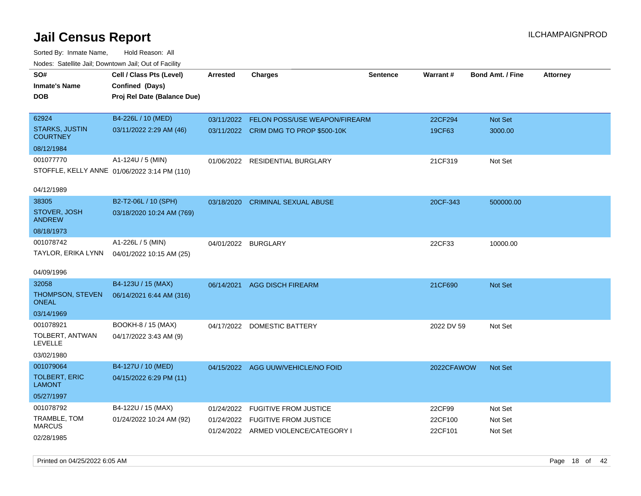| SO#                                      | Cell / Class Pts (Level)                     | <b>Arrested</b>     | <b>Charges</b>                        | <b>Sentence</b> | Warrant#   | <b>Bond Amt. / Fine</b> | <b>Attorney</b> |
|------------------------------------------|----------------------------------------------|---------------------|---------------------------------------|-----------------|------------|-------------------------|-----------------|
| <b>Inmate's Name</b>                     | Confined (Days)                              |                     |                                       |                 |            |                         |                 |
| <b>DOB</b>                               | Proj Rel Date (Balance Due)                  |                     |                                       |                 |            |                         |                 |
|                                          |                                              |                     |                                       |                 |            |                         |                 |
| 62924                                    | B4-226L / 10 (MED)                           | 03/11/2022          | FELON POSS/USE WEAPON/FIREARM         |                 | 22CF294    | Not Set                 |                 |
| <b>STARKS, JUSTIN</b><br><b>COURTNEY</b> | 03/11/2022 2:29 AM (46)                      |                     | 03/11/2022 CRIM DMG TO PROP \$500-10K |                 | 19CF63     | 3000.00                 |                 |
| 08/12/1984                               |                                              |                     |                                       |                 |            |                         |                 |
| 001077770                                | A1-124U / 5 (MIN)                            | 01/06/2022          | RESIDENTIAL BURGLARY                  |                 | 21CF319    | Not Set                 |                 |
|                                          | STOFFLE, KELLY ANNE 01/06/2022 3:14 PM (110) |                     |                                       |                 |            |                         |                 |
|                                          |                                              |                     |                                       |                 |            |                         |                 |
| 04/12/1989                               |                                              |                     |                                       |                 |            |                         |                 |
| 38305                                    | B2-T2-06L / 10 (SPH)                         | 03/18/2020          | <b>CRIMINAL SEXUAL ABUSE</b>          |                 | 20CF-343   | 500000.00               |                 |
| STOVER, JOSH<br><b>ANDREW</b>            | 03/18/2020 10:24 AM (769)                    |                     |                                       |                 |            |                         |                 |
| 08/18/1973                               |                                              |                     |                                       |                 |            |                         |                 |
| 001078742                                | A1-226L / 5 (MIN)                            | 04/01/2022 BURGLARY |                                       |                 | 22CF33     | 10000.00                |                 |
| TAYLOR, ERIKA LYNN                       | 04/01/2022 10:15 AM (25)                     |                     |                                       |                 |            |                         |                 |
|                                          |                                              |                     |                                       |                 |            |                         |                 |
| 04/09/1996                               |                                              |                     |                                       |                 |            |                         |                 |
| 32058                                    | B4-123U / 15 (MAX)                           | 06/14/2021          | <b>AGG DISCH FIREARM</b>              |                 | 21CF690    | <b>Not Set</b>          |                 |
| THOMPSON, STEVEN<br><b>ONEAL</b>         | 06/14/2021 6:44 AM (316)                     |                     |                                       |                 |            |                         |                 |
| 03/14/1969                               |                                              |                     |                                       |                 |            |                         |                 |
| 001078921                                | BOOKH-8 / 15 (MAX)                           | 04/17/2022          | <b>DOMESTIC BATTERY</b>               |                 | 2022 DV 59 | Not Set                 |                 |
| TOLBERT, ANTWAN<br>LEVELLE               | 04/17/2022 3:43 AM (9)                       |                     |                                       |                 |            |                         |                 |
| 03/02/1980                               |                                              |                     |                                       |                 |            |                         |                 |
| 001079064                                | B4-127U / 10 (MED)                           |                     | 04/15/2022 AGG UUW/VEHICLE/NO FOID    |                 | 2022CFAWOW | Not Set                 |                 |
| <b>TOLBERT, ERIC</b><br><b>LAMONT</b>    | 04/15/2022 6:29 PM (11)                      |                     |                                       |                 |            |                         |                 |
| 05/27/1997                               |                                              |                     |                                       |                 |            |                         |                 |
| 001078792                                | B4-122U / 15 (MAX)                           | 01/24/2022          | <b>FUGITIVE FROM JUSTICE</b>          |                 | 22CF99     | Not Set                 |                 |
| TRAMBLE, TOM                             | 01/24/2022 10:24 AM (92)                     |                     | 01/24/2022 FUGITIVE FROM JUSTICE      |                 | 22CF100    | Not Set                 |                 |
| <b>MARCUS</b>                            |                                              |                     | 01/24/2022 ARMED VIOLENCE/CATEGORY I  |                 | 22CF101    | Not Set                 |                 |
| 02/28/1985                               |                                              |                     |                                       |                 |            |                         |                 |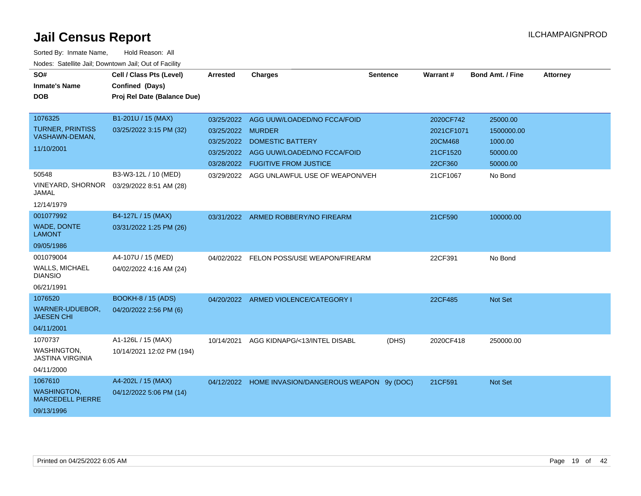| SO#                                           | Cell / Class Pts (Level)    | <b>Arrested</b>   | <b>Charges</b>                                     | <b>Sentence</b> | Warrant#   | <b>Bond Amt. / Fine</b> | <b>Attorney</b> |
|-----------------------------------------------|-----------------------------|-------------------|----------------------------------------------------|-----------------|------------|-------------------------|-----------------|
| <b>Inmate's Name</b>                          | Confined (Days)             |                   |                                                    |                 |            |                         |                 |
| <b>DOB</b>                                    | Proj Rel Date (Balance Due) |                   |                                                    |                 |            |                         |                 |
|                                               |                             |                   |                                                    |                 |            |                         |                 |
| 1076325                                       | B1-201U / 15 (MAX)          |                   | 03/25/2022 AGG UUW/LOADED/NO FCCA/FOID             |                 | 2020CF742  | 25000.00                |                 |
| <b>TURNER, PRINTISS</b>                       | 03/25/2022 3:15 PM (32)     | 03/25/2022 MURDER |                                                    |                 | 2021CF1071 | 1500000.00              |                 |
| VASHAWN-DEMAN,                                |                             | 03/25/2022        | <b>DOMESTIC BATTERY</b>                            |                 | 20CM468    | 1000.00                 |                 |
| 11/10/2001                                    |                             | 03/25/2022        | AGG UUW/LOADED/NO FCCA/FOID                        |                 | 21CF1520   | 50000.00                |                 |
|                                               |                             |                   | 03/28/2022 FUGITIVE FROM JUSTICE                   |                 | 22CF360    | 50000.00                |                 |
| 50548                                         | B3-W3-12L / 10 (MED)        |                   | 03/29/2022 AGG UNLAWFUL USE OF WEAPON/VEH          |                 | 21CF1067   | No Bond                 |                 |
| VINEYARD, SHORNOR<br><b>JAMAL</b>             | 03/29/2022 8:51 AM (28)     |                   |                                                    |                 |            |                         |                 |
| 12/14/1979                                    |                             |                   |                                                    |                 |            |                         |                 |
| 001077992                                     | B4-127L / 15 (MAX)          |                   | 03/31/2022 ARMED ROBBERY/NO FIREARM                |                 | 21CF590    | 100000.00               |                 |
| <b>WADE, DONTE</b><br><b>LAMONT</b>           | 03/31/2022 1:25 PM (26)     |                   |                                                    |                 |            |                         |                 |
| 09/05/1986                                    |                             |                   |                                                    |                 |            |                         |                 |
| 001079004                                     | A4-107U / 15 (MED)          |                   | 04/02/2022 FELON POSS/USE WEAPON/FIREARM           |                 | 22CF391    | No Bond                 |                 |
| WALLS, MICHAEL<br><b>DIANSIO</b>              | 04/02/2022 4:16 AM (24)     |                   |                                                    |                 |            |                         |                 |
| 06/21/1991                                    |                             |                   |                                                    |                 |            |                         |                 |
| 1076520                                       | <b>BOOKH-8 / 15 (ADS)</b>   |                   | 04/20/2022 ARMED VIOLENCE/CATEGORY I               |                 | 22CF485    | <b>Not Set</b>          |                 |
| WARNER-UDUEBOR,<br><b>JAESEN CHI</b>          | 04/20/2022 2:56 PM (6)      |                   |                                                    |                 |            |                         |                 |
| 04/11/2001                                    |                             |                   |                                                    |                 |            |                         |                 |
| 1070737                                       | A1-126L / 15 (MAX)          | 10/14/2021        | AGG KIDNAPG/<13/INTEL DISABL                       | (DHS)           | 2020CF418  | 250000.00               |                 |
| WASHINGTON,<br><b>JASTINA VIRGINIA</b>        | 10/14/2021 12:02 PM (194)   |                   |                                                    |                 |            |                         |                 |
| 04/11/2000                                    |                             |                   |                                                    |                 |            |                         |                 |
| 1067610                                       | A4-202L / 15 (MAX)          |                   | 04/12/2022 HOME INVASION/DANGEROUS WEAPON 9y (DOC) |                 | 21CF591    | <b>Not Set</b>          |                 |
| <b>WASHINGTON,</b><br><b>MARCEDELL PIERRE</b> | 04/12/2022 5:06 PM (14)     |                   |                                                    |                 |            |                         |                 |
| 09/13/1996                                    |                             |                   |                                                    |                 |            |                         |                 |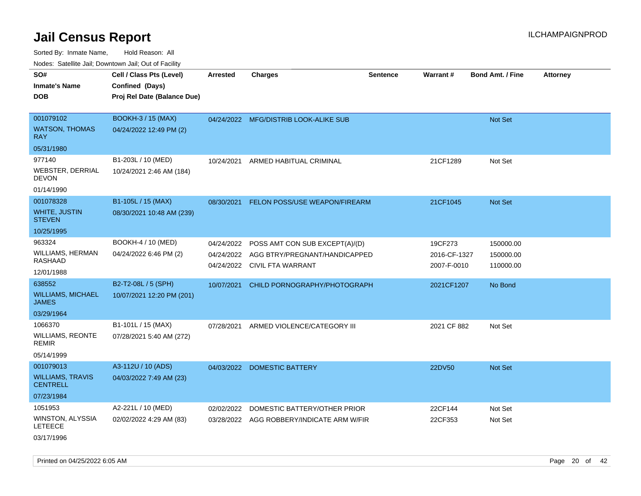|                                            | ivuutos. Saltiilit Jali, Duwilluwii Jali, Oul of Facility |                 |                                           |                 |              |                         |                 |  |  |
|--------------------------------------------|-----------------------------------------------------------|-----------------|-------------------------------------------|-----------------|--------------|-------------------------|-----------------|--|--|
| SO#                                        | Cell / Class Pts (Level)                                  | <b>Arrested</b> | <b>Charges</b>                            | <b>Sentence</b> | Warrant#     | <b>Bond Amt. / Fine</b> | <b>Attorney</b> |  |  |
| <b>Inmate's Name</b>                       | Confined (Days)                                           |                 |                                           |                 |              |                         |                 |  |  |
| <b>DOB</b>                                 | Proj Rel Date (Balance Due)                               |                 |                                           |                 |              |                         |                 |  |  |
|                                            |                                                           |                 |                                           |                 |              |                         |                 |  |  |
| 001079102                                  | <b>BOOKH-3 / 15 (MAX)</b>                                 |                 | 04/24/2022 MFG/DISTRIB LOOK-ALIKE SUB     |                 |              | Not Set                 |                 |  |  |
| <b>WATSON, THOMAS</b><br><b>RAY</b>        | 04/24/2022 12:49 PM (2)                                   |                 |                                           |                 |              |                         |                 |  |  |
| 05/31/1980                                 |                                                           |                 |                                           |                 |              |                         |                 |  |  |
| 977140                                     | B1-203L / 10 (MED)                                        | 10/24/2021      | ARMED HABITUAL CRIMINAL                   |                 | 21CF1289     | Not Set                 |                 |  |  |
| WEBSTER, DERRIAL<br><b>DEVON</b>           | 10/24/2021 2:46 AM (184)                                  |                 |                                           |                 |              |                         |                 |  |  |
| 01/14/1990                                 |                                                           |                 |                                           |                 |              |                         |                 |  |  |
| 001078328                                  | B1-105L / 15 (MAX)                                        | 08/30/2021      | FELON POSS/USE WEAPON/FIREARM             |                 | 21CF1045     | Not Set                 |                 |  |  |
| WHITE, JUSTIN<br><b>STEVEN</b>             | 08/30/2021 10:48 AM (239)                                 |                 |                                           |                 |              |                         |                 |  |  |
| 10/25/1995                                 |                                                           |                 |                                           |                 |              |                         |                 |  |  |
| 963324                                     | BOOKH-4 / 10 (MED)                                        | 04/24/2022      | POSS AMT CON SUB EXCEPT(A)/(D)            |                 | 19CF273      | 150000.00               |                 |  |  |
| <b>WILLIAMS, HERMAN</b>                    | 04/24/2022 6:46 PM (2)                                    |                 | 04/24/2022 AGG BTRY/PREGNANT/HANDICAPPED  |                 | 2016-CF-1327 | 150000.00               |                 |  |  |
| RASHAAD                                    |                                                           |                 | 04/24/2022 CIVIL FTA WARRANT              |                 | 2007-F-0010  | 110000.00               |                 |  |  |
| 12/01/1988                                 |                                                           |                 |                                           |                 |              |                         |                 |  |  |
| 638552                                     | B2-T2-08L / 5 (SPH)                                       | 10/07/2021      | CHILD PORNOGRAPHY/PHOTOGRAPH              |                 | 2021CF1207   | No Bond                 |                 |  |  |
| <b>WILLIAMS, MICHAEL</b><br><b>JAMES</b>   | 10/07/2021 12:20 PM (201)                                 |                 |                                           |                 |              |                         |                 |  |  |
| 03/29/1964                                 |                                                           |                 |                                           |                 |              |                         |                 |  |  |
| 1066370                                    | B1-101L / 15 (MAX)                                        | 07/28/2021      | ARMED VIOLENCE/CATEGORY III               |                 | 2021 CF 882  | Not Set                 |                 |  |  |
| <b>WILLIAMS, REONTE</b><br><b>REMIR</b>    | 07/28/2021 5:40 AM (272)                                  |                 |                                           |                 |              |                         |                 |  |  |
| 05/14/1999                                 |                                                           |                 |                                           |                 |              |                         |                 |  |  |
| 001079013                                  | A3-112U / 10 (ADS)                                        | 04/03/2022      | <b>DOMESTIC BATTERY</b>                   |                 | 22DV50       | Not Set                 |                 |  |  |
| <b>WILLIAMS, TRAVIS</b><br><b>CENTRELL</b> | 04/03/2022 7:49 AM (23)                                   |                 |                                           |                 |              |                         |                 |  |  |
| 07/23/1984                                 |                                                           |                 |                                           |                 |              |                         |                 |  |  |
| 1051953                                    | A2-221L / 10 (MED)                                        | 02/02/2022      | DOMESTIC BATTERY/OTHER PRIOR              |                 | 22CF144      | Not Set                 |                 |  |  |
| WINSTON, ALYSSIA<br><b>LETEECE</b>         | 02/02/2022 4:29 AM (83)                                   |                 | 03/28/2022 AGG ROBBERY/INDICATE ARM W/FIR |                 | 22CF353      | Not Set                 |                 |  |  |
| 03/17/1996                                 |                                                           |                 |                                           |                 |              |                         |                 |  |  |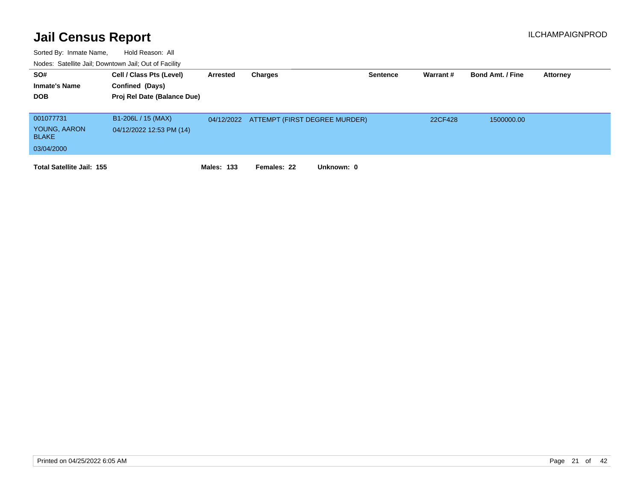| SO#<br><b>Inmate's Name</b><br><b>DOB</b> | Cell / Class Pts (Level)<br>Confined (Days)<br>Proj Rel Date (Balance Due) | Arrested          | Charges                                  | <b>Sentence</b> | Warrant# | <b>Bond Amt. / Fine</b> | <b>Attorney</b> |
|-------------------------------------------|----------------------------------------------------------------------------|-------------------|------------------------------------------|-----------------|----------|-------------------------|-----------------|
| 001077731                                 | B1-206L / 15 (MAX)                                                         |                   | 04/12/2022 ATTEMPT (FIRST DEGREE MURDER) |                 | 22CF428  | 1500000.00              |                 |
| YOUNG, AARON<br><b>BLAKE</b>              | 04/12/2022 12:53 PM (14)                                                   |                   |                                          |                 |          |                         |                 |
| 03/04/2000                                |                                                                            |                   |                                          |                 |          |                         |                 |
| <b>Total Satellite Jail: 155</b>          |                                                                            | <b>Males: 133</b> | Unknown: 0<br>Females: 22                |                 |          |                         |                 |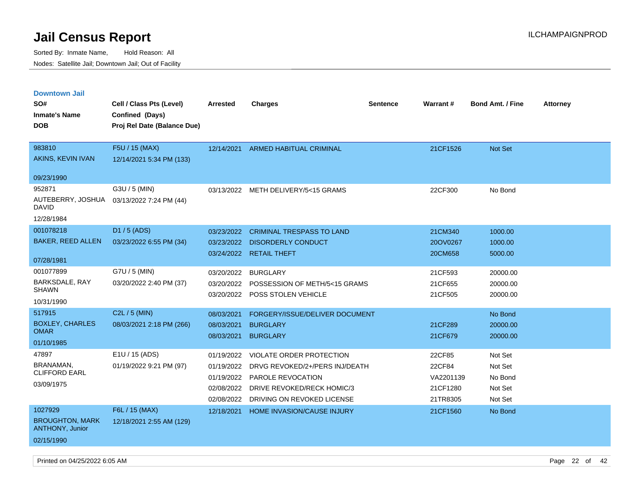| <b>Downtown Jail</b>                             |                             |                 |                                     |                 |           |                         |                 |
|--------------------------------------------------|-----------------------------|-----------------|-------------------------------------|-----------------|-----------|-------------------------|-----------------|
| SO#                                              | Cell / Class Pts (Level)    | <b>Arrested</b> | <b>Charges</b>                      | <b>Sentence</b> | Warrant#  | <b>Bond Amt. / Fine</b> | <b>Attorney</b> |
| <b>Inmate's Name</b>                             | Confined (Days)             |                 |                                     |                 |           |                         |                 |
| <b>DOB</b>                                       | Proj Rel Date (Balance Due) |                 |                                     |                 |           |                         |                 |
|                                                  |                             |                 |                                     |                 |           |                         |                 |
| 983810                                           | F5U / 15 (MAX)              | 12/14/2021      | <b>ARMED HABITUAL CRIMINAL</b>      |                 | 21CF1526  | <b>Not Set</b>          |                 |
| AKINS, KEVIN IVAN                                | 12/14/2021 5:34 PM (133)    |                 |                                     |                 |           |                         |                 |
| 09/23/1990                                       |                             |                 |                                     |                 |           |                         |                 |
| 952871                                           | G3U / 5 (MIN)               |                 | 03/13/2022 METH DELIVERY/5<15 GRAMS |                 | 22CF300   | No Bond                 |                 |
| AUTEBERRY, JOSHUA<br>DAVID                       | 03/13/2022 7:24 PM (44)     |                 |                                     |                 |           |                         |                 |
| 12/28/1984                                       |                             |                 |                                     |                 |           |                         |                 |
| 001078218                                        | D1 / 5 (ADS)                | 03/23/2022      | <b>CRIMINAL TRESPASS TO LAND</b>    |                 | 21CM340   | 1000.00                 |                 |
| <b>BAKER, REED ALLEN</b>                         | 03/23/2022 6:55 PM (34)     | 03/23/2022      | <b>DISORDERLY CONDUCT</b>           |                 | 20OV0267  | 1000.00                 |                 |
|                                                  |                             |                 | 03/24/2022 RETAIL THEFT             |                 | 20CM658   | 5000.00                 |                 |
| 07/28/1981                                       |                             |                 |                                     |                 |           |                         |                 |
| 001077899                                        | G7U / 5 (MIN)               | 03/20/2022      | <b>BURGLARY</b>                     |                 | 21CF593   | 20000.00                |                 |
| <b>BARKSDALE, RAY</b><br><b>SHAWN</b>            | 03/20/2022 2:40 PM (37)     | 03/20/2022      | POSSESSION OF METH/5<15 GRAMS       |                 | 21CF655   | 20000.00                |                 |
| 10/31/1990                                       |                             | 03/20/2022      | POSS STOLEN VEHICLE                 |                 | 21CF505   | 20000.00                |                 |
|                                                  |                             |                 |                                     |                 |           |                         |                 |
| 517915                                           | $C2L / 5$ (MIN)             | 08/03/2021      | FORGERY/ISSUE/DELIVER DOCUMENT      |                 |           | No Bond                 |                 |
| <b>BOXLEY, CHARLES</b><br><b>OMAR</b>            | 08/03/2021 2:18 PM (266)    | 08/03/2021      | <b>BURGLARY</b>                     |                 | 21CF289   | 20000.00                |                 |
| 01/10/1985                                       |                             | 08/03/2021      | <b>BURGLARY</b>                     |                 | 21CF679   | 20000.00                |                 |
| 47897                                            | E1U / 15 (ADS)              | 01/19/2022      | VIOLATE ORDER PROTECTION            |                 | 22CF85    | Not Set                 |                 |
| BRANAMAN,<br><b>CLIFFORD EARL</b>                | 01/19/2022 9:21 PM (97)     | 01/19/2022      | DRVG REVOKED/2+/PERS INJ/DEATH      |                 | 22CF84    | Not Set                 |                 |
|                                                  |                             | 01/19/2022      | PAROLE REVOCATION                   |                 | VA2201139 | No Bond                 |                 |
| 03/09/1975                                       |                             | 02/08/2022      | DRIVE REVOKED/RECK HOMIC/3          |                 | 21CF1280  | Not Set                 |                 |
|                                                  |                             | 02/08/2022      | DRIVING ON REVOKED LICENSE          |                 | 21TR8305  | Not Set                 |                 |
| 1027929                                          | F6L / 15 (MAX)              | 12/18/2021      | HOME INVASION/CAUSE INJURY          |                 | 21CF1560  | No Bond                 |                 |
| <b>BROUGHTON, MARK</b><br><b>ANTHONY, Junior</b> | 12/18/2021 2:55 AM (129)    |                 |                                     |                 |           |                         |                 |
| 02/15/1990                                       |                             |                 |                                     |                 |           |                         |                 |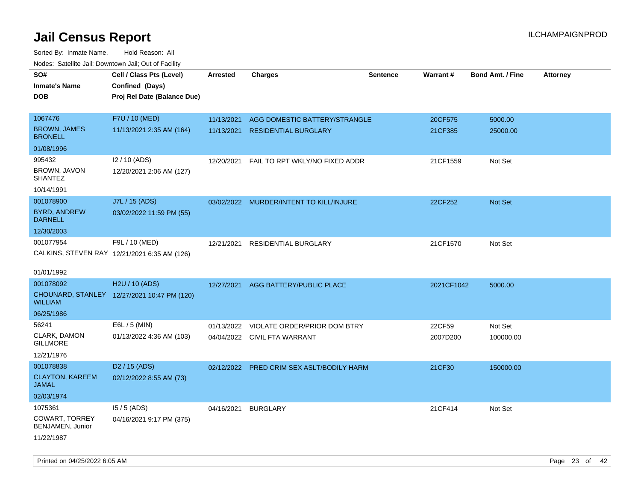| rougs. Calcing Jan, Downtown Jan, Out of Facility |                                              |                 |                                         |                 |            |                         |                 |
|---------------------------------------------------|----------------------------------------------|-----------------|-----------------------------------------|-----------------|------------|-------------------------|-----------------|
| SO#                                               | Cell / Class Pts (Level)                     | <b>Arrested</b> | <b>Charges</b>                          | <b>Sentence</b> | Warrant#   | <b>Bond Amt. / Fine</b> | <b>Attorney</b> |
| <b>Inmate's Name</b>                              | Confined (Days)                              |                 |                                         |                 |            |                         |                 |
| <b>DOB</b>                                        | Proj Rel Date (Balance Due)                  |                 |                                         |                 |            |                         |                 |
|                                                   |                                              |                 |                                         |                 |            |                         |                 |
| 1067476                                           | F7U / 10 (MED)                               | 11/13/2021      | AGG DOMESTIC BATTERY/STRANGLE           |                 | 20CF575    | 5000.00                 |                 |
| <b>BROWN, JAMES</b><br><b>BRONELL</b>             | 11/13/2021 2:35 AM (164)                     | 11/13/2021      | <b>RESIDENTIAL BURGLARY</b>             |                 | 21CF385    | 25000.00                |                 |
| 01/08/1996                                        |                                              |                 |                                         |                 |            |                         |                 |
| 995432                                            | I2 / 10 (ADS)                                | 12/20/2021      | FAIL TO RPT WKLY/NO FIXED ADDR          |                 | 21CF1559   | Not Set                 |                 |
| BROWN, JAVON<br><b>SHANTEZ</b>                    | 12/20/2021 2:06 AM (127)                     |                 |                                         |                 |            |                         |                 |
| 10/14/1991                                        |                                              |                 |                                         |                 |            |                         |                 |
| 001078900                                         | J7L / 15 (ADS)                               |                 | 03/02/2022 MURDER/INTENT TO KILL/INJURE |                 | 22CF252    | <b>Not Set</b>          |                 |
| <b>BYRD, ANDREW</b><br><b>DARNELL</b>             | 03/02/2022 11:59 PM (55)                     |                 |                                         |                 |            |                         |                 |
| 12/30/2003                                        |                                              |                 |                                         |                 |            |                         |                 |
| 001077954                                         | F9L / 10 (MED)                               | 12/21/2021      | RESIDENTIAL BURGLARY                    |                 | 21CF1570   | Not Set                 |                 |
|                                                   | CALKINS, STEVEN RAY 12/21/2021 6:35 AM (126) |                 |                                         |                 |            |                         |                 |
|                                                   |                                              |                 |                                         |                 |            |                         |                 |
| 01/01/1992                                        |                                              |                 |                                         |                 |            |                         |                 |
| 001078092                                         | H2U / 10 (ADS)                               | 12/27/2021      | AGG BATTERY/PUBLIC PLACE                |                 | 2021CF1042 | 5000.00                 |                 |
| <b>WILLIAM</b>                                    | CHOUNARD, STANLEY 12/27/2021 10:47 PM (120)  |                 |                                         |                 |            |                         |                 |
| 06/25/1986                                        |                                              |                 |                                         |                 |            |                         |                 |
| 56241                                             | E6L / 5 (MIN)                                | 01/13/2022      | VIOLATE ORDER/PRIOR DOM BTRY            |                 | 22CF59     | Not Set                 |                 |
| CLARK, DAMON<br><b>GILLMORE</b>                   | 01/13/2022 4:36 AM (103)                     |                 | 04/04/2022 CIVIL FTA WARRANT            |                 | 2007D200   | 100000.00               |                 |
| 12/21/1976                                        |                                              |                 |                                         |                 |            |                         |                 |
| 001078838                                         | D <sub>2</sub> / 15 (ADS)                    | 02/12/2022      | PRED CRIM SEX ASLT/BODILY HARM          |                 | 21CF30     | 150000.00               |                 |
| <b>CLAYTON, KAREEM</b><br>JAMAL                   | 02/12/2022 8:55 AM (73)                      |                 |                                         |                 |            |                         |                 |
| 02/03/1974                                        |                                              |                 |                                         |                 |            |                         |                 |
| 1075361                                           | $15/5$ (ADS)                                 | 04/16/2021      | <b>BURGLARY</b>                         |                 | 21CF414    | Not Set                 |                 |
| COWART, TORREY<br>BENJAMEN, Junior                | 04/16/2021 9:17 PM (375)                     |                 |                                         |                 |            |                         |                 |
| 11/22/1987                                        |                                              |                 |                                         |                 |            |                         |                 |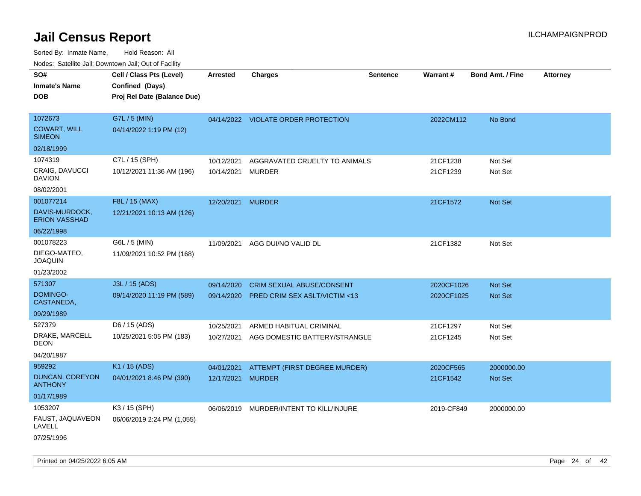Sorted By: Inmate Name, Hold Reason: All Nodes: Satellite Jail; Downtown Jail; Out of Facility

| rouce. Calcinic Jan, Downtown Jan, Out or Facility |                             |                   |                                          |                 |            |                         |                 |
|----------------------------------------------------|-----------------------------|-------------------|------------------------------------------|-----------------|------------|-------------------------|-----------------|
| SO#                                                | Cell / Class Pts (Level)    | <b>Arrested</b>   | <b>Charges</b>                           | <b>Sentence</b> | Warrant#   | <b>Bond Amt. / Fine</b> | <b>Attorney</b> |
| <b>Inmate's Name</b>                               | Confined (Days)             |                   |                                          |                 |            |                         |                 |
| <b>DOB</b>                                         | Proj Rel Date (Balance Due) |                   |                                          |                 |            |                         |                 |
|                                                    |                             |                   |                                          |                 |            |                         |                 |
| 1072673                                            | G7L / 5 (MIN)               |                   | 04/14/2022 VIOLATE ORDER PROTECTION      |                 | 2022CM112  | No Bond                 |                 |
| <b>COWART, WILL</b><br><b>SIMEON</b>               | 04/14/2022 1:19 PM (12)     |                   |                                          |                 |            |                         |                 |
| 02/18/1999                                         |                             |                   |                                          |                 |            |                         |                 |
| 1074319                                            | C7L / 15 (SPH)              | 10/12/2021        | AGGRAVATED CRUELTY TO ANIMALS            |                 | 21CF1238   | Not Set                 |                 |
| CRAIG, DAVUCCI<br><b>DAVION</b>                    | 10/12/2021 11:36 AM (196)   | 10/14/2021 MURDER |                                          |                 | 21CF1239   | Not Set                 |                 |
| 08/02/2001                                         |                             |                   |                                          |                 |            |                         |                 |
| 001077214                                          | F8L / 15 (MAX)              | 12/20/2021 MURDER |                                          |                 | 21CF1572   | Not Set                 |                 |
| DAVIS-MURDOCK,<br><b>ERION VASSHAD</b>             | 12/21/2021 10:13 AM (126)   |                   |                                          |                 |            |                         |                 |
| 06/22/1998                                         |                             |                   |                                          |                 |            |                         |                 |
| 001078223                                          | G6L / 5 (MIN)               | 11/09/2021        | AGG DUI/NO VALID DL                      |                 | 21CF1382   | Not Set                 |                 |
| DIEGO-MATEO,<br><b>JOAQUIN</b>                     | 11/09/2021 10:52 PM (168)   |                   |                                          |                 |            |                         |                 |
| 01/23/2002                                         |                             |                   |                                          |                 |            |                         |                 |
| 571307                                             | J3L / 15 (ADS)              | 09/14/2020        | <b>CRIM SEXUAL ABUSE/CONSENT</b>         |                 | 2020CF1026 | <b>Not Set</b>          |                 |
| <b>DOMINGO-</b><br>CASTANEDA,                      | 09/14/2020 11:19 PM (589)   | 09/14/2020        | PRED CRIM SEX ASLT/VICTIM <13            |                 | 2020CF1025 | Not Set                 |                 |
| 09/29/1989                                         |                             |                   |                                          |                 |            |                         |                 |
| 527379                                             | D6 / 15 (ADS)               | 10/25/2021        | ARMED HABITUAL CRIMINAL                  |                 | 21CF1297   | Not Set                 |                 |
| DRAKE, MARCELL<br><b>DEON</b>                      | 10/25/2021 5:05 PM (183)    |                   | 10/27/2021 AGG DOMESTIC BATTERY/STRANGLE |                 | 21CF1245   | Not Set                 |                 |
| 04/20/1987                                         |                             |                   |                                          |                 |            |                         |                 |
| 959292                                             | K1 / 15 (ADS)               | 04/01/2021        | ATTEMPT (FIRST DEGREE MURDER)            |                 | 2020CF565  | 2000000.00              |                 |
| <b>DUNCAN, COREYON</b><br><b>ANTHONY</b>           | 04/01/2021 8:46 PM (390)    | 12/17/2021 MURDER |                                          |                 | 21CF1542   | Not Set                 |                 |
| 01/17/1989                                         |                             |                   |                                          |                 |            |                         |                 |
| 1053207                                            | K3 / 15 (SPH)               |                   | 06/06/2019 MURDER/INTENT TO KILL/INJURE  |                 | 2019-CF849 | 2000000.00              |                 |
| FAUST, JAQUAVEON<br>LAVELL                         | 06/06/2019 2:24 PM (1,055)  |                   |                                          |                 |            |                         |                 |
| 07/25/1996                                         |                             |                   |                                          |                 |            |                         |                 |

Printed on 04/25/2022 6:05 AM Page 24 of 42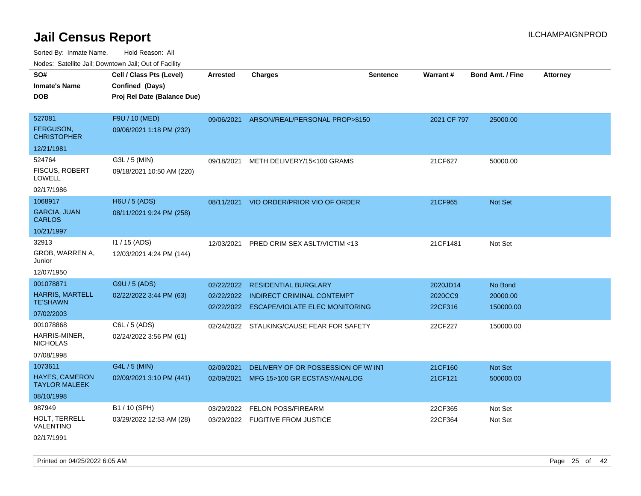| roaco. Catolino dall, Downtown dall, Out of Fability |                             |                 |                                           |                 |             |                         |                 |
|------------------------------------------------------|-----------------------------|-----------------|-------------------------------------------|-----------------|-------------|-------------------------|-----------------|
| SO#                                                  | Cell / Class Pts (Level)    | <b>Arrested</b> | <b>Charges</b>                            | <b>Sentence</b> | Warrant#    | <b>Bond Amt. / Fine</b> | <b>Attorney</b> |
| <b>Inmate's Name</b>                                 | Confined (Days)             |                 |                                           |                 |             |                         |                 |
| <b>DOB</b>                                           | Proj Rel Date (Balance Due) |                 |                                           |                 |             |                         |                 |
|                                                      |                             |                 |                                           |                 |             |                         |                 |
| 527081                                               | F9U / 10 (MED)              |                 | 09/06/2021 ARSON/REAL/PERSONAL PROP>\$150 |                 | 2021 CF 797 | 25000.00                |                 |
| FERGUSON,<br><b>CHRISTOPHER</b>                      | 09/06/2021 1:18 PM (232)    |                 |                                           |                 |             |                         |                 |
| 12/21/1981                                           |                             |                 |                                           |                 |             |                         |                 |
| 524764                                               | G3L / 5 (MIN)               | 09/18/2021      | METH DELIVERY/15<100 GRAMS                |                 | 21CF627     | 50000.00                |                 |
| <b>FISCUS, ROBERT</b><br>LOWELL                      | 09/18/2021 10:50 AM (220)   |                 |                                           |                 |             |                         |                 |
| 02/17/1986                                           |                             |                 |                                           |                 |             |                         |                 |
| 1068917                                              | H6U / 5 (ADS)               |                 | 08/11/2021 VIO ORDER/PRIOR VIO OF ORDER   |                 | 21CF965     | Not Set                 |                 |
| <b>GARCIA, JUAN</b><br><b>CARLOS</b>                 | 08/11/2021 9:24 PM (258)    |                 |                                           |                 |             |                         |                 |
| 10/21/1997                                           |                             |                 |                                           |                 |             |                         |                 |
| 32913                                                | $11/15$ (ADS)               | 12/03/2021      | PRED CRIM SEX ASLT/VICTIM <13             |                 | 21CF1481    | Not Set                 |                 |
| GROB, WARREN A,<br>Junior                            | 12/03/2021 4:24 PM (144)    |                 |                                           |                 |             |                         |                 |
| 12/07/1950                                           |                             |                 |                                           |                 |             |                         |                 |
| 001078871                                            | G9U / 5 (ADS)               | 02/22/2022      | <b>RESIDENTIAL BURGLARY</b>               |                 | 2020JD14    | No Bond                 |                 |
| <b>HARRIS, MARTELL</b>                               | 02/22/2022 3:44 PM (63)     |                 | 02/22/2022 INDIRECT CRIMINAL CONTEMPT     |                 | 2020CC9     | 20000.00                |                 |
| <b>TE'SHAWN</b>                                      |                             |                 | 02/22/2022 ESCAPE/VIOLATE ELEC MONITORING |                 | 22CF316     | 150000.00               |                 |
| 07/02/2003                                           |                             |                 |                                           |                 |             |                         |                 |
| 001078868                                            | C6L / 5 (ADS)               |                 | 02/24/2022 STALKING/CAUSE FEAR FOR SAFETY |                 | 22CF227     | 150000.00               |                 |
| HARRIS-MINER,<br><b>NICHOLAS</b>                     | 02/24/2022 3:56 PM (61)     |                 |                                           |                 |             |                         |                 |
| 07/08/1998                                           |                             |                 |                                           |                 |             |                         |                 |
| 1073611                                              | G4L / 5 (MIN)               | 02/09/2021      | DELIVERY OF OR POSSESSION OF W/ INT       |                 | 21CF160     | Not Set                 |                 |
| HAYES, CAMERON<br><b>TAYLOR MALEEK</b>               | 02/09/2021 3:10 PM (441)    |                 | 02/09/2021 MFG 15>100 GR ECSTASY/ANALOG   |                 | 21CF121     | 500000.00               |                 |
| 08/10/1998                                           |                             |                 |                                           |                 |             |                         |                 |
| 987949                                               | B1 / 10 (SPH)               | 03/29/2022      | <b>FELON POSS/FIREARM</b>                 |                 | 22CF365     | Not Set                 |                 |
| HOLT, TERRELL<br>VALENTINO                           | 03/29/2022 12:53 AM (28)    |                 | 03/29/2022 FUGITIVE FROM JUSTICE          |                 | 22CF364     | Not Set                 |                 |
| 02/17/1991                                           |                             |                 |                                           |                 |             |                         |                 |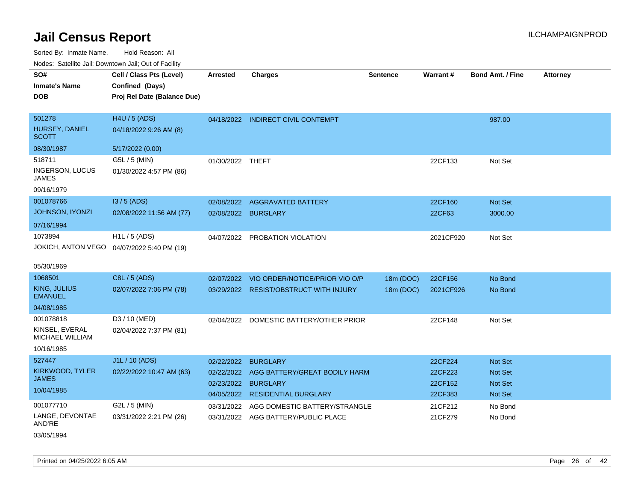| Noues. Salemie Jan, Downtown Jan, Out of Facility |                                             |                  |                                        |                 |           |                         |                 |
|---------------------------------------------------|---------------------------------------------|------------------|----------------------------------------|-----------------|-----------|-------------------------|-----------------|
| SO#                                               | Cell / Class Pts (Level)                    | <b>Arrested</b>  | <b>Charges</b>                         | <b>Sentence</b> | Warrant#  | <b>Bond Amt. / Fine</b> | <b>Attorney</b> |
| <b>Inmate's Name</b>                              | Confined (Days)                             |                  |                                        |                 |           |                         |                 |
| <b>DOB</b>                                        | Proj Rel Date (Balance Due)                 |                  |                                        |                 |           |                         |                 |
|                                                   |                                             |                  |                                        |                 |           |                         |                 |
| 501278                                            | H4U / 5 (ADS)                               |                  | 04/18/2022 INDIRECT CIVIL CONTEMPT     |                 |           | 987.00                  |                 |
| HURSEY, DANIEL<br><b>SCOTT</b>                    | 04/18/2022 9:26 AM (8)                      |                  |                                        |                 |           |                         |                 |
| 08/30/1987                                        | 5/17/2022 (0.00)                            |                  |                                        |                 |           |                         |                 |
| 518711                                            | G5L / 5 (MIN)                               | 01/30/2022 THEFT |                                        |                 | 22CF133   | Not Set                 |                 |
| INGERSON, LUCUS<br>JAMES                          | 01/30/2022 4:57 PM (86)                     |                  |                                        |                 |           |                         |                 |
| 09/16/1979                                        |                                             |                  |                                        |                 |           |                         |                 |
| 001078766                                         | I3 / 5 (ADS)                                | 02/08/2022       | <b>AGGRAVATED BATTERY</b>              |                 | 22CF160   | Not Set                 |                 |
| <b>JOHNSON, IYONZI</b>                            | 02/08/2022 11:56 AM (77)                    | 02/08/2022       | <b>BURGLARY</b>                        |                 | 22CF63    | 3000.00                 |                 |
| 07/16/1994                                        |                                             |                  |                                        |                 |           |                         |                 |
| 1073894                                           | H1L / 5 (ADS)                               | 04/07/2022       | PROBATION VIOLATION                    |                 | 2021CF920 | Not Set                 |                 |
|                                                   | JOKICH, ANTON VEGO  04/07/2022 5:40 PM (19) |                  |                                        |                 |           |                         |                 |
|                                                   |                                             |                  |                                        |                 |           |                         |                 |
| 05/30/1969                                        |                                             |                  |                                        |                 |           |                         |                 |
| 1068501                                           | C8L / 5 (ADS)                               | 02/07/2022       | VIO ORDER/NOTICE/PRIOR VIO O/P         | 18m (DOC)       | 22CF156   | No Bond                 |                 |
| KING, JULIUS<br><b>EMANUEL</b>                    | 02/07/2022 7:06 PM (78)                     |                  | 03/29/2022 RESIST/OBSTRUCT WITH INJURY | 18m (DOC)       | 2021CF926 | No Bond                 |                 |
| 04/08/1985                                        |                                             |                  |                                        |                 |           |                         |                 |
| 001078818                                         | D3 / 10 (MED)                               | 02/04/2022       | DOMESTIC BATTERY/OTHER PRIOR           |                 | 22CF148   | Not Set                 |                 |
| KINSEL, EVERAL<br><b>MICHAEL WILLIAM</b>          | 02/04/2022 7:37 PM (81)                     |                  |                                        |                 |           |                         |                 |
| 10/16/1985                                        |                                             |                  |                                        |                 |           |                         |                 |
| 527447                                            | J1L / 10 (ADS)                              | 02/22/2022       | <b>BURGLARY</b>                        |                 | 22CF224   | <b>Not Set</b>          |                 |
| KIRKWOOD, TYLER                                   | 02/22/2022 10:47 AM (63)                    | 02/22/2022       | AGG BATTERY/GREAT BODILY HARM          |                 | 22CF223   | <b>Not Set</b>          |                 |
| <b>JAMES</b>                                      |                                             | 02/23/2022       | <b>BURGLARY</b>                        |                 | 22CF152   | <b>Not Set</b>          |                 |
| 10/04/1985                                        |                                             |                  | 04/05/2022 RESIDENTIAL BURGLARY        |                 | 22CF383   | Not Set                 |                 |
| 001077710                                         | G2L / 5 (MIN)                               | 03/31/2022       | AGG DOMESTIC BATTERY/STRANGLE          |                 | 21CF212   | No Bond                 |                 |
| LANGE, DEVONTAE<br>AND'RE                         | 03/31/2022 2:21 PM (26)                     |                  | 03/31/2022 AGG BATTERY/PUBLIC PLACE    |                 | 21CF279   | No Bond                 |                 |
| 03/05/1994                                        |                                             |                  |                                        |                 |           |                         |                 |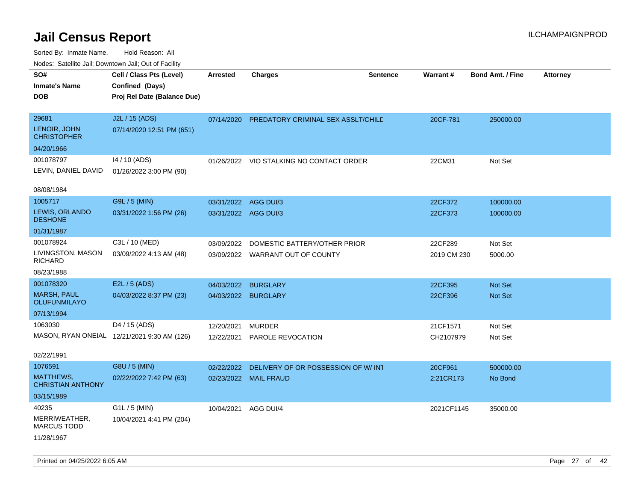| rouco. Calcinic Jan, Downtown Jan, Out of Facility                    |                                                                            |                                              |                                                                  |                 |                        |                                  |                 |
|-----------------------------------------------------------------------|----------------------------------------------------------------------------|----------------------------------------------|------------------------------------------------------------------|-----------------|------------------------|----------------------------------|-----------------|
| SO#<br>Inmate's Name<br>DOB                                           | Cell / Class Pts (Level)<br>Confined (Days)<br>Proj Rel Date (Balance Due) | <b>Arrested</b>                              | <b>Charges</b>                                                   | <b>Sentence</b> | Warrant#               | <b>Bond Amt. / Fine</b>          | <b>Attorney</b> |
| 29681<br>LENOIR, JOHN<br><b>CHRISTOPHER</b>                           | J2L / 15 (ADS)<br>07/14/2020 12:51 PM (651)                                | 07/14/2020                                   | PREDATORY CRIMINAL SEX ASSLT/CHILE                               |                 | 20CF-781               | 250000.00                        |                 |
| 04/20/1966<br>001078797<br>LEVIN, DANIEL DAVID<br>08/08/1984          | 14 / 10 (ADS)<br>01/26/2022 3:00 PM (90)                                   |                                              | 01/26/2022 VIO STALKING NO CONTACT ORDER                         |                 | 22CM31                 | Not Set                          |                 |
| 1005717<br><b>LEWIS, ORLANDO</b><br><b>DESHONE</b><br>01/31/1987      | G9L / 5 (MIN)<br>03/31/2022 1:56 PM (26)                                   | 03/31/2022 AGG DUI/3<br>03/31/2022 AGG DUI/3 |                                                                  |                 | 22CF372<br>22CF373     | 100000.00<br>100000.00           |                 |
| 001078924<br>LIVINGSTON, MASON<br>RICHARD<br>08/23/1988               | C3L / 10 (MED)<br>03/09/2022 4:13 AM (48)                                  | 03/09/2022                                   | DOMESTIC BATTERY/OTHER PRIOR<br>03/09/2022 WARRANT OUT OF COUNTY |                 | 22CF289<br>2019 CM 230 | Not Set<br>5000.00               |                 |
| 001078320<br><b>MARSH, PAUL</b><br>OLUFUNMILAYO<br>07/13/1994         | E2L / 5 (ADS)<br>04/03/2022 8:37 PM (23)                                   | 04/03/2022                                   | <b>BURGLARY</b><br>04/03/2022 BURGLARY                           |                 | 22CF395<br>22CF396     | <b>Not Set</b><br><b>Not Set</b> |                 |
| 1063030<br>02/22/1991                                                 | D4 / 15 (ADS)<br>MASON, RYAN ONEIAL 12/21/2021 9:30 AM (126)               | 12/20/2021<br>12/22/2021                     | <b>MURDER</b><br>PAROLE REVOCATION                               |                 | 21CF1571<br>CH2107979  | Not Set<br>Not Set               |                 |
| 1076591<br><b>MATTHEWS,</b><br><b>CHRISTIAN ANTHONY</b><br>03/15/1989 | G8U / 5 (MIN)<br>02/22/2022 7:42 PM (63)                                   | 02/22/2022                                   | DELIVERY OF OR POSSESSION OF W/INT<br>02/23/2022 MAIL FRAUD      |                 | 20CF961<br>2:21CR173   | 500000.00<br>No Bond             |                 |
| 40235<br>MERRIWEATHER,<br>MARCUS TODD<br>11/28/1967                   | $G1L / 5$ (MIN)<br>10/04/2021 4:41 PM (204)                                | 10/04/2021                                   | AGG DUI/4                                                        |                 | 2021CF1145             | 35000.00                         |                 |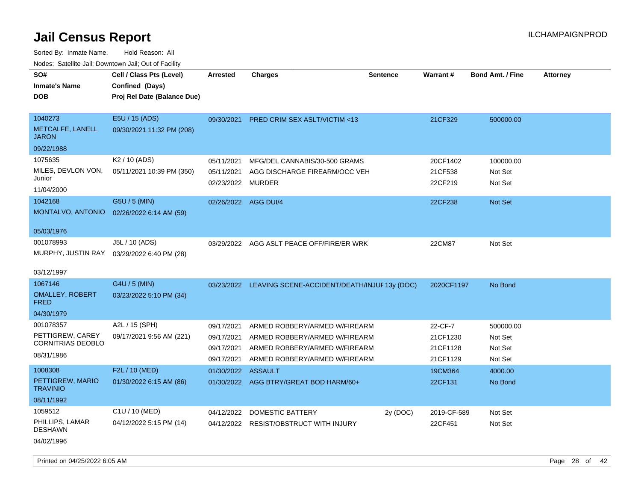Sorted By: Inmate Name, Hold Reason: All Nodes: Satellite Jail; Downtown Jail; Out of Facility

| rougs. Calcinic Jan, Downtown Jan, Out of Facility                      |                                                                            |                                                      |                                                                                                                                  |                 |                                             |                                            |                 |
|-------------------------------------------------------------------------|----------------------------------------------------------------------------|------------------------------------------------------|----------------------------------------------------------------------------------------------------------------------------------|-----------------|---------------------------------------------|--------------------------------------------|-----------------|
| SO#<br><b>Inmate's Name</b><br><b>DOB</b>                               | Cell / Class Pts (Level)<br>Confined (Days)<br>Proj Rel Date (Balance Due) | <b>Arrested</b>                                      | <b>Charges</b>                                                                                                                   | <b>Sentence</b> | Warrant#                                    | <b>Bond Amt. / Fine</b>                    | <b>Attorney</b> |
| 1040273<br>METCALFE, LANELL<br><b>JARON</b>                             | E5U / 15 (ADS)<br>09/30/2021 11:32 PM (208)                                | 09/30/2021                                           | PRED CRIM SEX ASLT/VICTIM <13                                                                                                    |                 | 21CF329                                     | 500000.00                                  |                 |
| 09/22/1988                                                              |                                                                            |                                                      |                                                                                                                                  |                 |                                             |                                            |                 |
| 1075635<br>MILES, DEVLON VON,<br>Junior<br>11/04/2000                   | K <sub>2</sub> / 10 (ADS)<br>05/11/2021 10:39 PM (350)                     | 05/11/2021<br>05/11/2021<br>02/23/2022 MURDER        | MFG/DEL CANNABIS/30-500 GRAMS<br>AGG DISCHARGE FIREARM/OCC VEH                                                                   |                 | 20CF1402<br>21CF538<br>22CF219              | 100000.00<br>Not Set<br>Not Set            |                 |
| 1042168<br>MONTALVO, ANTONIO                                            | G5U / 5 (MIN)<br>02/26/2022 6:14 AM (59)                                   | 02/26/2022 AGG DUI/4                                 |                                                                                                                                  |                 | 22CF238                                     | <b>Not Set</b>                             |                 |
| 05/03/1976                                                              |                                                                            |                                                      |                                                                                                                                  |                 |                                             |                                            |                 |
| 001078993<br>MURPHY, JUSTIN RAY<br>03/12/1997                           | J5L / 10 (ADS)<br>03/29/2022 6:40 PM (28)                                  |                                                      | 03/29/2022 AGG ASLT PEACE OFF/FIRE/ER WRK                                                                                        |                 | 22CM87                                      | Not Set                                    |                 |
| 1067146                                                                 | G4U / 5 (MIN)                                                              |                                                      | 03/23/2022 LEAVING SCENE-ACCIDENT/DEATH/INJUF 13y (DOC)                                                                          |                 | 2020CF1197                                  | No Bond                                    |                 |
| <b>OMALLEY, ROBERT</b><br><b>FRED</b>                                   | 03/23/2022 5:10 PM (34)                                                    |                                                      |                                                                                                                                  |                 |                                             |                                            |                 |
| 04/30/1979                                                              |                                                                            |                                                      |                                                                                                                                  |                 |                                             |                                            |                 |
| 001078357<br>PETTIGREW, CAREY<br><b>CORNITRIAS DEOBLO</b><br>08/31/1986 | A2L / 15 (SPH)<br>09/17/2021 9:56 AM (221)                                 | 09/17/2021<br>09/17/2021<br>09/17/2021<br>09/17/2021 | ARMED ROBBERY/ARMED W/FIREARM<br>ARMED ROBBERY/ARMED W/FIREARM<br>ARMED ROBBERY/ARMED W/FIREARM<br>ARMED ROBBERY/ARMED W/FIREARM |                 | 22-CF-7<br>21CF1230<br>21CF1128<br>21CF1129 | 500000.00<br>Not Set<br>Not Set<br>Not Set |                 |
| 1008308                                                                 | F2L / 10 (MED)                                                             | 01/30/2022 ASSAULT                                   |                                                                                                                                  |                 | 19CM364                                     | 4000.00                                    |                 |
| PETTIGREW, MARIO<br><b>TRAVINIO</b>                                     | 01/30/2022 6:15 AM (86)                                                    |                                                      | 01/30/2022 AGG BTRY/GREAT BOD HARM/60+                                                                                           |                 | 22CF131                                     | No Bond                                    |                 |
| 08/11/1992                                                              |                                                                            |                                                      |                                                                                                                                  |                 |                                             |                                            |                 |
| 1059512                                                                 | C1U / 10 (MED)                                                             | 04/12/2022                                           | <b>DOMESTIC BATTERY</b>                                                                                                          | 2y (DOC)        | 2019-CF-589                                 | Not Set                                    |                 |
| PHILLIPS, LAMAR<br><b>DESHAWN</b><br>04/02/1996                         | 04/12/2022 5:15 PM (14)                                                    |                                                      | 04/12/2022 RESIST/OBSTRUCT WITH INJURY                                                                                           |                 | 22CF451                                     | Not Set                                    |                 |

Printed on 04/25/2022 6:05 AM Page 28 of 42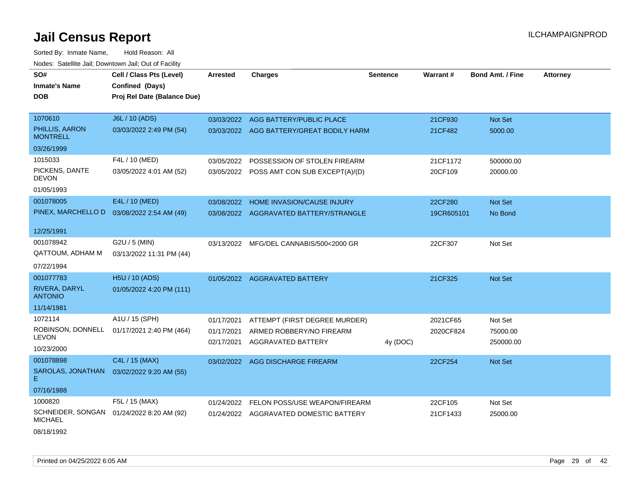Sorted By: Inmate Name, Hold Reason: All Nodes: Satellite Jail; Downtown Jail; Out of Facility

| SO#                                 | Cell / Class Pts (Level)    | <b>Arrested</b> | <b>Charges</b>                            | <b>Sentence</b> | <b>Warrant#</b> | <b>Bond Amt. / Fine</b> | <b>Attorney</b> |
|-------------------------------------|-----------------------------|-----------------|-------------------------------------------|-----------------|-----------------|-------------------------|-----------------|
| <b>Inmate's Name</b>                | Confined (Days)             |                 |                                           |                 |                 |                         |                 |
| <b>DOB</b>                          | Proj Rel Date (Balance Due) |                 |                                           |                 |                 |                         |                 |
|                                     |                             |                 |                                           |                 |                 |                         |                 |
| 1070610                             | J6L / 10 (ADS)              |                 | 03/03/2022 AGG BATTERY/PUBLIC PLACE       |                 | 21CF930         | Not Set                 |                 |
| PHILLIS, AARON<br><b>MONTRELL</b>   | 03/03/2022 2:49 PM (54)     |                 | 03/03/2022 AGG BATTERY/GREAT BODILY HARM  |                 | 21CF482         | 5000.00                 |                 |
| 03/26/1999                          |                             |                 |                                           |                 |                 |                         |                 |
| 1015033                             | F4L / 10 (MED)              | 03/05/2022      | POSSESSION OF STOLEN FIREARM              |                 | 21CF1172        | 500000.00               |                 |
| PICKENS, DANTE<br><b>DEVON</b>      | 03/05/2022 4:01 AM (52)     |                 | 03/05/2022 POSS AMT CON SUB EXCEPT(A)/(D) |                 | 20CF109         | 20000.00                |                 |
| 01/05/1993                          |                             |                 |                                           |                 |                 |                         |                 |
| 001078005                           | E4L / 10 (MED)              |                 | 03/08/2022 HOME INVASION/CAUSE INJURY     |                 | 22CF280         | Not Set                 |                 |
| PINEX, MARCHELLO D                  | 03/08/2022 2:54 AM (49)     |                 | 03/08/2022 AGGRAVATED BATTERY/STRANGLE    |                 | 19CR605101      | No Bond                 |                 |
| 12/25/1991                          |                             |                 |                                           |                 |                 |                         |                 |
| 001078942                           | G2U / 5 (MIN)               | 03/13/2022      | MFG/DEL CANNABIS/500<2000 GR              |                 | 22CF307         | Not Set                 |                 |
| <b>QATTOUM, ADHAM M</b>             | 03/13/2022 11:31 PM (44)    |                 |                                           |                 |                 |                         |                 |
| 07/22/1994                          |                             |                 |                                           |                 |                 |                         |                 |
| 001077783                           | H5U / 10 (ADS)              |                 | 01/05/2022 AGGRAVATED BATTERY             |                 | 21CF325         | Not Set                 |                 |
| RIVERA, DARYL<br><b>ANTONIO</b>     | 01/05/2022 4:20 PM (111)    |                 |                                           |                 |                 |                         |                 |
| 11/14/1981                          |                             |                 |                                           |                 |                 |                         |                 |
| 1072114                             | A1U / 15 (SPH)              | 01/17/2021      | ATTEMPT (FIRST DEGREE MURDER)             |                 | 2021CF65        | Not Set                 |                 |
| ROBINSON, DONNELL                   | 01/17/2021 2:40 PM (464)    | 01/17/2021      | ARMED ROBBERY/NO FIREARM                  |                 | 2020CF824       | 75000.00                |                 |
| <b>LEVON</b>                        |                             | 02/17/2021      | <b>AGGRAVATED BATTERY</b>                 | 4y (DOC)        |                 | 250000.00               |                 |
| 10/23/2000                          |                             |                 |                                           |                 |                 |                         |                 |
| 001078898                           | C4L / 15 (MAX)              |                 | 03/02/2022 AGG DISCHARGE FIREARM          |                 | 22CF254         | Not Set                 |                 |
| SAROLAS, JONATHAN<br>E.             | 03/02/2022 9:20 AM (55)     |                 |                                           |                 |                 |                         |                 |
| 07/16/1988                          |                             |                 |                                           |                 |                 |                         |                 |
| 1000820                             | F5L / 15 (MAX)              | 01/24/2022      | FELON POSS/USE WEAPON/FIREARM             |                 | 22CF105         | Not Set                 |                 |
| SCHNEIDER, SONGAN<br><b>MICHAEL</b> | 01/24/2022 8:20 AM (92)     | 01/24/2022      | AGGRAVATED DOMESTIC BATTERY               |                 | 21CF1433        | 25000.00                |                 |

08/18/1992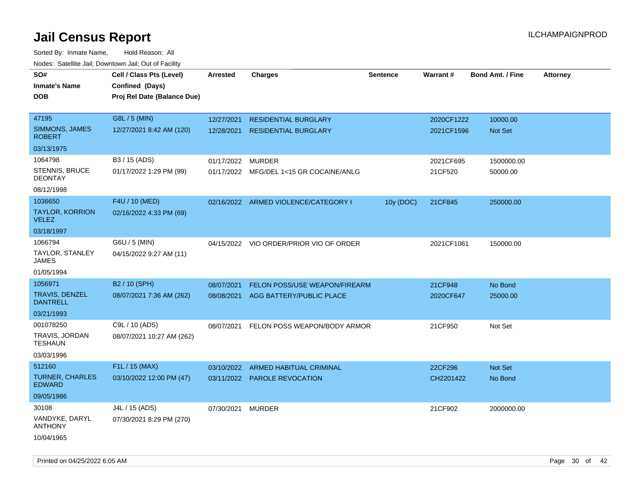| ivodes. Satellite Jali, Downtown Jali, Out of Facility |                             |            |                                         |                 |                 |                         |                 |
|--------------------------------------------------------|-----------------------------|------------|-----------------------------------------|-----------------|-----------------|-------------------------|-----------------|
| SO#                                                    | Cell / Class Pts (Level)    | Arrested   | <b>Charges</b>                          | <b>Sentence</b> | <b>Warrant#</b> | <b>Bond Amt. / Fine</b> | <b>Attorney</b> |
| <b>Inmate's Name</b>                                   | Confined (Days)             |            |                                         |                 |                 |                         |                 |
| <b>DOB</b>                                             | Proj Rel Date (Balance Due) |            |                                         |                 |                 |                         |                 |
|                                                        |                             |            |                                         |                 |                 |                         |                 |
| 47195                                                  | G8L / 5 (MIN)               | 12/27/2021 | <b>RESIDENTIAL BURGLARY</b>             |                 | 2020CF1222      | 10000.00                |                 |
| SIMMONS, JAMES<br><b>ROBERT</b>                        | 12/27/2021 8:42 AM (120)    | 12/28/2021 | <b>RESIDENTIAL BURGLARY</b>             |                 | 2021CF1596      | <b>Not Set</b>          |                 |
| 03/13/1975                                             |                             |            |                                         |                 |                 |                         |                 |
| 1064798                                                | B3 / 15 (ADS)               | 01/17/2022 | <b>MURDER</b>                           |                 | 2021CF695       | 1500000.00              |                 |
| STENNIS, BRUCE<br>DEONTAY                              | 01/17/2022 1:29 PM (99)     |            | 01/17/2022 MFG/DEL 1<15 GR COCAINE/ANLG |                 | 21CF520         | 50000.00                |                 |
| 08/12/1998                                             |                             |            |                                         |                 |                 |                         |                 |
| 1036650                                                | F4U / 10 (MED)              |            | 02/16/2022 ARMED VIOLENCE/CATEGORY I    | 10y (DOC)       | 21CF845         | 250000.00               |                 |
| TAYLOR, KORRION<br>VELEZ                               | 02/16/2022 4:33 PM (69)     |            |                                         |                 |                 |                         |                 |
| 03/18/1997                                             |                             |            |                                         |                 |                 |                         |                 |
| 1066794                                                | G6U / 5 (MIN)               |            | 04/15/2022 VIO ORDER/PRIOR VIO OF ORDER |                 | 2021CF1061      | 150000.00               |                 |
| TAYLOR, STANLEY<br>JAMES                               | 04/15/2022 9:27 AM (11)     |            |                                         |                 |                 |                         |                 |
| 01/05/1994                                             |                             |            |                                         |                 |                 |                         |                 |
| 1056971                                                | B <sub>2</sub> / 10 (SPH)   | 08/07/2021 | <b>FELON POSS/USE WEAPON/FIREARM</b>    |                 | 21CF948         | No Bond                 |                 |
| TRAVIS, DENZEL<br><b>DANTRELL</b>                      | 08/07/2021 7:36 AM (262)    | 08/08/2021 | AGG BATTERY/PUBLIC PLACE                |                 | 2020CF647       | 25000.00                |                 |
| 03/21/1993                                             |                             |            |                                         |                 |                 |                         |                 |
| 001078250                                              | C9L / 10 (ADS)              | 08/07/2021 | FELON POSS WEAPON/BODY ARMOR            |                 | 21CF950         | Not Set                 |                 |
| TRAVIS, JORDAN<br>TESHAUN                              | 08/07/2021 10:27 AM (262)   |            |                                         |                 |                 |                         |                 |
| 03/03/1996                                             |                             |            |                                         |                 |                 |                         |                 |
| 512160                                                 | F1L / 15 (MAX)              | 03/10/2022 | ARMED HABITUAL CRIMINAL                 |                 | 22CF296         | <b>Not Set</b>          |                 |
| <b>TURNER, CHARLES</b><br><b>EDWARD</b>                | 03/10/2022 12:00 PM (47)    |            | 03/11/2022 PAROLE REVOCATION            |                 | CH2201422       | No Bond                 |                 |
| 09/05/1986                                             |                             |            |                                         |                 |                 |                         |                 |
| 30108                                                  | J4L / 15 (ADS)              | 07/30/2021 | <b>MURDER</b>                           |                 | 21CF902         | 2000000.00              |                 |
| VANDYKE, DARYL<br>ANTHONY                              | 07/30/2021 8:29 PM (270)    |            |                                         |                 |                 |                         |                 |
| 10/04/1965                                             |                             |            |                                         |                 |                 |                         |                 |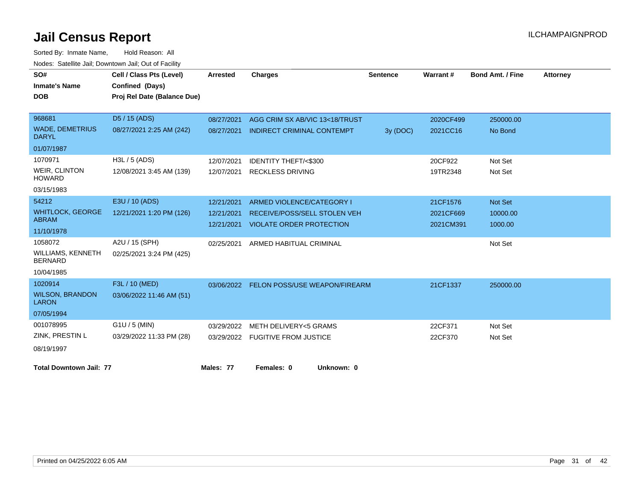| SO#                                    | Cell / Class Pts (Level)    | <b>Arrested</b> | <b>Charges</b>                           | <b>Sentence</b> | Warrant#  | <b>Bond Amt. / Fine</b> | <b>Attorney</b> |
|----------------------------------------|-----------------------------|-----------------|------------------------------------------|-----------------|-----------|-------------------------|-----------------|
| <b>Inmate's Name</b>                   | Confined (Days)             |                 |                                          |                 |           |                         |                 |
| <b>DOB</b>                             | Proj Rel Date (Balance Due) |                 |                                          |                 |           |                         |                 |
|                                        |                             |                 |                                          |                 |           |                         |                 |
| 968681                                 | D5 / 15 (ADS)               | 08/27/2021      | AGG CRIM SX AB/VIC 13<18/TRUST           |                 | 2020CF499 | 250000.00               |                 |
| <b>WADE, DEMETRIUS</b><br><b>DARYL</b> | 08/27/2021 2:25 AM (242)    | 08/27/2021      | <b>INDIRECT CRIMINAL CONTEMPT</b>        | 3y (DOC)        | 2021CC16  | No Bond                 |                 |
| 01/07/1987                             |                             |                 |                                          |                 |           |                         |                 |
| 1070971                                | H3L / 5 (ADS)               | 12/07/2021      | <b>IDENTITY THEFT/&lt;\$300</b>          |                 | 20CF922   | Not Set                 |                 |
| <b>WEIR, CLINTON</b><br><b>HOWARD</b>  | 12/08/2021 3:45 AM (139)    | 12/07/2021      | <b>RECKLESS DRIVING</b>                  |                 | 19TR2348  | Not Set                 |                 |
| 03/15/1983                             |                             |                 |                                          |                 |           |                         |                 |
| 54212                                  | E3U / 10 (ADS)              | 12/21/2021      | ARMED VIOLENCE/CATEGORY I                |                 | 21CF1576  | Not Set                 |                 |
| <b>WHITLOCK, GEORGE</b>                | 12/21/2021 1:20 PM (126)    | 12/21/2021      | <b>RECEIVE/POSS/SELL STOLEN VEH</b>      |                 | 2021CF669 | 10000.00                |                 |
| <b>ABRAM</b>                           |                             | 12/21/2021      | <b>VIOLATE ORDER PROTECTION</b>          |                 | 2021CM391 | 1000.00                 |                 |
| 11/10/1978                             |                             |                 |                                          |                 |           |                         |                 |
| 1058072                                | A2U / 15 (SPH)              | 02/25/2021      | ARMED HABITUAL CRIMINAL                  |                 |           | Not Set                 |                 |
| WILLIAMS, KENNETH<br><b>BERNARD</b>    | 02/25/2021 3:24 PM (425)    |                 |                                          |                 |           |                         |                 |
| 10/04/1985                             |                             |                 |                                          |                 |           |                         |                 |
| 1020914                                | F3L / 10 (MED)              |                 | 03/06/2022 FELON POSS/USE WEAPON/FIREARM |                 | 21CF1337  | 250000.00               |                 |
| <b>WILSON, BRANDON</b><br><b>LARON</b> | 03/06/2022 11:46 AM (51)    |                 |                                          |                 |           |                         |                 |
| 07/05/1994                             |                             |                 |                                          |                 |           |                         |                 |
| 001078995                              | $G1U / 5$ (MIN)             | 03/29/2022      | <b>METH DELIVERY&lt;5 GRAMS</b>          |                 | 22CF371   | Not Set                 |                 |
| ZINK, PRESTIN L                        | 03/29/2022 11:33 PM (28)    |                 | 03/29/2022 FUGITIVE FROM JUSTICE         |                 | 22CF370   | Not Set                 |                 |
| 08/19/1997                             |                             |                 |                                          |                 |           |                         |                 |
| <b>Total Downtown Jail: 77</b>         |                             | Males: 77       | Females: 0<br>Unknown: 0                 |                 |           |                         |                 |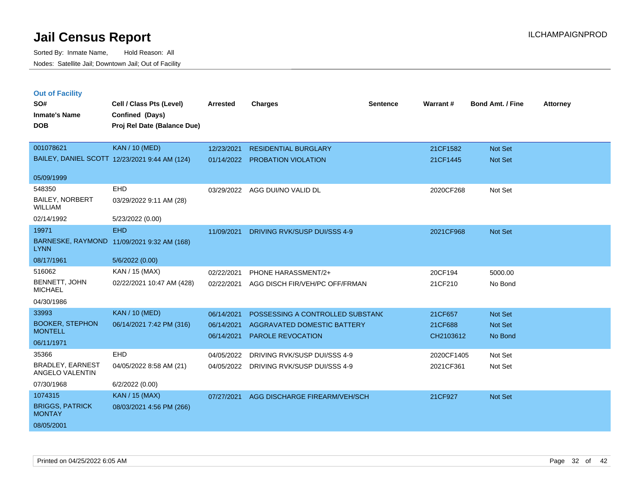Sorted By: Inmate Name, Hold Reason: All Nodes: Satellite Jail; Downtown Jail; Out of Facility

| <b>Out of Facility</b>                     |                                               |                 |                                  |                 |            |                         |                 |
|--------------------------------------------|-----------------------------------------------|-----------------|----------------------------------|-----------------|------------|-------------------------|-----------------|
| SO#                                        | Cell / Class Pts (Level)                      | <b>Arrested</b> | <b>Charges</b>                   | <b>Sentence</b> | Warrant#   | <b>Bond Amt. / Fine</b> | <b>Attorney</b> |
| <b>Inmate's Name</b>                       | Confined (Days)                               |                 |                                  |                 |            |                         |                 |
| <b>DOB</b>                                 | Proj Rel Date (Balance Due)                   |                 |                                  |                 |            |                         |                 |
|                                            |                                               |                 |                                  |                 |            |                         |                 |
| 001078621                                  | <b>KAN / 10 (MED)</b>                         | 12/23/2021      | <b>RESIDENTIAL BURGLARY</b>      |                 | 21CF1582   | <b>Not Set</b>          |                 |
|                                            | BAILEY, DANIEL SCOTT 12/23/2021 9:44 AM (124) | 01/14/2022      | <b>PROBATION VIOLATION</b>       |                 | 21CF1445   | Not Set                 |                 |
|                                            |                                               |                 |                                  |                 |            |                         |                 |
| 05/09/1999                                 |                                               |                 |                                  |                 |            |                         |                 |
| 548350                                     | <b>EHD</b>                                    | 03/29/2022      | AGG DUI/NO VALID DL              |                 | 2020CF268  | Not Set                 |                 |
| <b>BAILEY, NORBERT</b><br>WILLIAM          | 03/29/2022 9:11 AM (28)                       |                 |                                  |                 |            |                         |                 |
| 02/14/1992                                 | 5/23/2022 (0.00)                              |                 |                                  |                 |            |                         |                 |
| 19971                                      | <b>EHD</b>                                    | 11/09/2021      | DRIVING RVK/SUSP DUI/SSS 4-9     |                 | 2021CF968  | Not Set                 |                 |
| <b>LYNN</b>                                | BARNESKE, RAYMOND 11/09/2021 9:32 AM (168)    |                 |                                  |                 |            |                         |                 |
| 08/17/1961                                 | 5/6/2022 (0.00)                               |                 |                                  |                 |            |                         |                 |
| 516062                                     | KAN / 15 (MAX)                                | 02/22/2021      | PHONE HARASSMENT/2+              |                 | 20CF194    | 5000.00                 |                 |
| BENNETT, JOHN<br><b>MICHAEL</b>            | 02/22/2021 10:47 AM (428)                     | 02/22/2021      | AGG DISCH FIR/VEH/PC OFF/FRMAN   |                 | 21CF210    | No Bond                 |                 |
| 04/30/1986                                 |                                               |                 |                                  |                 |            |                         |                 |
| 33993                                      | <b>KAN / 10 (MED)</b>                         | 06/14/2021      | POSSESSING A CONTROLLED SUBSTANC |                 | 21CF657    | <b>Not Set</b>          |                 |
| <b>BOOKER, STEPHON</b>                     | 06/14/2021 7:42 PM (316)                      | 06/14/2021      | AGGRAVATED DOMESTIC BATTERY      |                 | 21CF688    | <b>Not Set</b>          |                 |
| <b>MONTELL</b>                             |                                               | 06/14/2021      | PAROLE REVOCATION                |                 | CH2103612  | No Bond                 |                 |
| 06/11/1971                                 |                                               |                 |                                  |                 |            |                         |                 |
| 35366                                      | <b>EHD</b>                                    | 04/05/2022      | DRIVING RVK/SUSP DUI/SSS 4-9     |                 | 2020CF1405 | Not Set                 |                 |
| <b>BRADLEY, EARNEST</b><br>ANGELO VALENTIN | 04/05/2022 8:58 AM (21)                       | 04/05/2022      | DRIVING RVK/SUSP DUI/SSS 4-9     |                 | 2021CF361  | Not Set                 |                 |

BRADLEY, EA ANGELO VALE 07/30/1968 6/2/2022 (0.00) BRIGGS, PATRICK **MONTAY** 1074315 KAN / 15 (MAX) 08/03/2021 4:56 PM (266) 08/05/2001 07/27/2021 AGG DISCHARGE FIREARM/VEH/SCH 21CF927 Not Set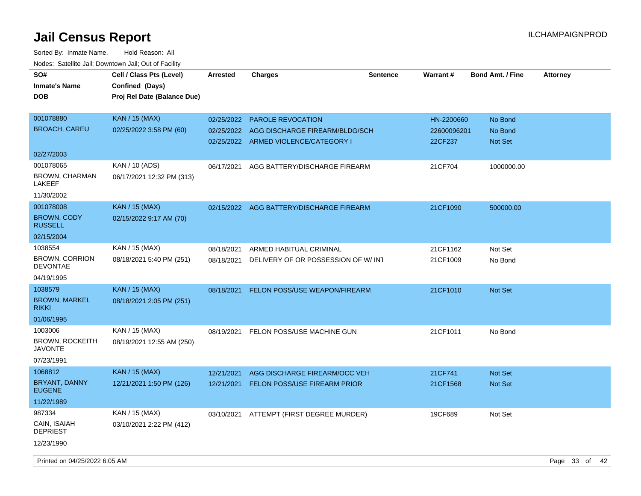| SO#<br><b>Inmate's Name</b><br><b>DOB</b>         | Cell / Class Pts (Level)<br>Confined (Days)<br>Proj Rel Date (Balance Due) | <b>Arrested</b> | <b>Charges</b>                                                         | <b>Sentence</b> | <b>Warrant#</b>        | <b>Bond Amt. / Fine</b> | <b>Attorney</b> |  |
|---------------------------------------------------|----------------------------------------------------------------------------|-----------------|------------------------------------------------------------------------|-----------------|------------------------|-------------------------|-----------------|--|
| 001078880                                         | <b>KAN / 15 (MAX)</b>                                                      | 02/25/2022      | <b>PAROLE REVOCATION</b>                                               |                 | HN-2200660             | No Bond                 |                 |  |
| <b>BROACH, CAREU</b>                              | 02/25/2022 3:58 PM (60)                                                    | 02/25/2022      | AGG DISCHARGE FIREARM/BLDG/SCH<br>02/25/2022 ARMED VIOLENCE/CATEGORY I |                 | 22600096201<br>22CF237 | No Bond<br>Not Set      |                 |  |
| 02/27/2003                                        |                                                                            |                 |                                                                        |                 |                        |                         |                 |  |
| 001078065<br><b>BROWN, CHARMAN</b><br>LAKEEF      | KAN / 10 (ADS)<br>06/17/2021 12:32 PM (313)                                | 06/17/2021      | AGG BATTERY/DISCHARGE FIREARM                                          |                 | 21CF704                | 1000000.00              |                 |  |
| 11/30/2002                                        |                                                                            |                 |                                                                        |                 |                        |                         |                 |  |
| 001078008<br><b>BROWN, CODY</b><br><b>RUSSELL</b> | <b>KAN / 15 (MAX)</b><br>02/15/2022 9:17 AM (70)                           | 02/15/2022      | AGG BATTERY/DISCHARGE FIREARM                                          |                 | 21CF1090               | 500000.00               |                 |  |
| 02/15/2004                                        |                                                                            |                 |                                                                        |                 |                        |                         |                 |  |
| 1038554                                           | KAN / 15 (MAX)                                                             | 08/18/2021      | ARMED HABITUAL CRIMINAL                                                |                 | 21CF1162               | Not Set                 |                 |  |
| <b>BROWN, CORRION</b><br><b>DEVONTAE</b>          | 08/18/2021 5:40 PM (251)                                                   | 08/18/2021      | DELIVERY OF OR POSSESSION OF W/INT                                     |                 | 21CF1009               | No Bond                 |                 |  |
| 04/19/1995                                        |                                                                            |                 |                                                                        |                 |                        |                         |                 |  |
| 1038579                                           | <b>KAN / 15 (MAX)</b>                                                      | 08/18/2021      | FELON POSS/USE WEAPON/FIREARM                                          |                 | 21CF1010               | Not Set                 |                 |  |
| <b>BROWN, MARKEL</b><br><b>RIKKI</b>              | 08/18/2021 2:05 PM (251)                                                   |                 |                                                                        |                 |                        |                         |                 |  |
| 01/06/1995                                        |                                                                            |                 |                                                                        |                 |                        |                         |                 |  |
| 1003006                                           | KAN / 15 (MAX)                                                             | 08/19/2021      | FELON POSS/USE MACHINE GUN                                             |                 | 21CF1011               | No Bond                 |                 |  |
| <b>BROWN, ROCKEITH</b><br>JAVONTE                 | 08/19/2021 12:55 AM (250)                                                  |                 |                                                                        |                 |                        |                         |                 |  |
| 07/23/1991                                        |                                                                            |                 |                                                                        |                 |                        |                         |                 |  |
| 1068812                                           | <b>KAN / 15 (MAX)</b>                                                      | 12/21/2021      | AGG DISCHARGE FIREARM/OCC VEH                                          |                 | 21CF741                | <b>Not Set</b>          |                 |  |
| BRYANT, DANNY<br><b>EUGENE</b>                    | 12/21/2021 1:50 PM (126)                                                   | 12/21/2021      | <b>FELON POSS/USE FIREARM PRIOR</b>                                    |                 | 21CF1568               | <b>Not Set</b>          |                 |  |
| 11/22/1989                                        |                                                                            |                 |                                                                        |                 |                        |                         |                 |  |
| 987334                                            | KAN / 15 (MAX)                                                             |                 | 03/10/2021 ATTEMPT (FIRST DEGREE MURDER)                               |                 | 19CF689                | Not Set                 |                 |  |
| CAIN, ISAIAH<br>DEPRIEST                          | 03/10/2021 2:22 PM (412)                                                   |                 |                                                                        |                 |                        |                         |                 |  |
| 12/23/1990                                        |                                                                            |                 |                                                                        |                 |                        |                         |                 |  |
| Printed on 04/25/2022 6:05 AM                     |                                                                            |                 |                                                                        |                 |                        |                         | Page 33 of 42   |  |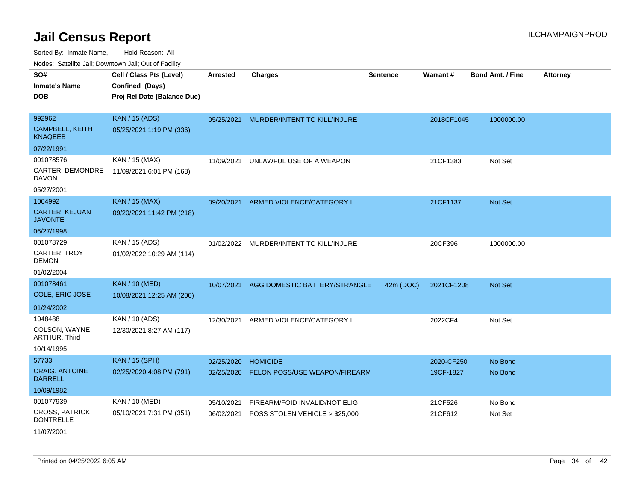Sorted By: Inmate Name, Hold Reason: All Nodes: Satellite Jail; Downtown Jail; Out of Facility

| voues. Saleline Jail, Downtown Jail, Out of Facility |                             |                 |                                |                 |            |                         |                 |
|------------------------------------------------------|-----------------------------|-----------------|--------------------------------|-----------------|------------|-------------------------|-----------------|
| SO#                                                  | Cell / Class Pts (Level)    | <b>Arrested</b> | <b>Charges</b>                 | <b>Sentence</b> | Warrant#   | <b>Bond Amt. / Fine</b> | <b>Attorney</b> |
| <b>Inmate's Name</b>                                 | Confined (Days)             |                 |                                |                 |            |                         |                 |
| <b>DOB</b>                                           | Proj Rel Date (Balance Due) |                 |                                |                 |            |                         |                 |
|                                                      |                             |                 |                                |                 |            |                         |                 |
| 992962                                               | <b>KAN / 15 (ADS)</b>       | 05/25/2021      | MURDER/INTENT TO KILL/INJURE   |                 | 2018CF1045 | 1000000.00              |                 |
| <b>CAMPBELL, KEITH</b><br><b>KNAQEEB</b>             | 05/25/2021 1:19 PM (336)    |                 |                                |                 |            |                         |                 |
| 07/22/1991                                           |                             |                 |                                |                 |            |                         |                 |
| 001078576                                            | KAN / 15 (MAX)              | 11/09/2021      | UNLAWFUL USE OF A WEAPON       |                 | 21CF1383   | Not Set                 |                 |
| CARTER, DEMONDRE<br><b>DAVON</b>                     | 11/09/2021 6:01 PM (168)    |                 |                                |                 |            |                         |                 |
| 05/27/2001                                           |                             |                 |                                |                 |            |                         |                 |
| 1064992                                              | <b>KAN / 15 (MAX)</b>       | 09/20/2021      | ARMED VIOLENCE/CATEGORY I      |                 | 21CF1137   | Not Set                 |                 |
| CARTER, KEJUAN<br><b>JAVONTE</b>                     | 09/20/2021 11:42 PM (218)   |                 |                                |                 |            |                         |                 |
| 06/27/1998                                           |                             |                 |                                |                 |            |                         |                 |
| 001078729                                            | KAN / 15 (ADS)              | 01/02/2022      | MURDER/INTENT TO KILL/INJURE   |                 | 20CF396    | 1000000.00              |                 |
| CARTER, TROY<br><b>DEMON</b>                         | 01/02/2022 10:29 AM (114)   |                 |                                |                 |            |                         |                 |
| 01/02/2004                                           |                             |                 |                                |                 |            |                         |                 |
| 001078461                                            | <b>KAN / 10 (MED)</b>       | 10/07/2021      | AGG DOMESTIC BATTERY/STRANGLE  | 42m (DOC)       | 2021CF1208 | <b>Not Set</b>          |                 |
| COLE, ERIC JOSE                                      | 10/08/2021 12:25 AM (200)   |                 |                                |                 |            |                         |                 |
| 01/24/2002                                           |                             |                 |                                |                 |            |                         |                 |
| 1048488                                              | KAN / 10 (ADS)              | 12/30/2021      | ARMED VIOLENCE/CATEGORY I      |                 | 2022CF4    | Not Set                 |                 |
| COLSON, WAYNE<br>ARTHUR, Third                       | 12/30/2021 8:27 AM (117)    |                 |                                |                 |            |                         |                 |
| 10/14/1995                                           |                             |                 |                                |                 |            |                         |                 |
| 57733                                                | <b>KAN / 15 (SPH)</b>       | 02/25/2020      | <b>HOMICIDE</b>                |                 | 2020-CF250 | No Bond                 |                 |
| <b>CRAIG, ANTOINE</b><br><b>DARRELL</b>              | 02/25/2020 4:08 PM (791)    | 02/25/2020      | FELON POSS/USE WEAPON/FIREARM  |                 | 19CF-1827  | No Bond                 |                 |
| 10/09/1982                                           |                             |                 |                                |                 |            |                         |                 |
| 001077939                                            | KAN / 10 (MED)              | 05/10/2021      | FIREARM/FOID INVALID/NOT ELIG  |                 | 21CF526    | No Bond                 |                 |
| <b>CROSS, PATRICK</b><br><b>DONTRELLE</b>            | 05/10/2021 7:31 PM (351)    | 06/02/2021      | POSS STOLEN VEHICLE > \$25,000 |                 | 21CF612    | Not Set                 |                 |
| 11/07/2001                                           |                             |                 |                                |                 |            |                         |                 |

Printed on 04/25/2022 6:05 AM **Page 34** of 42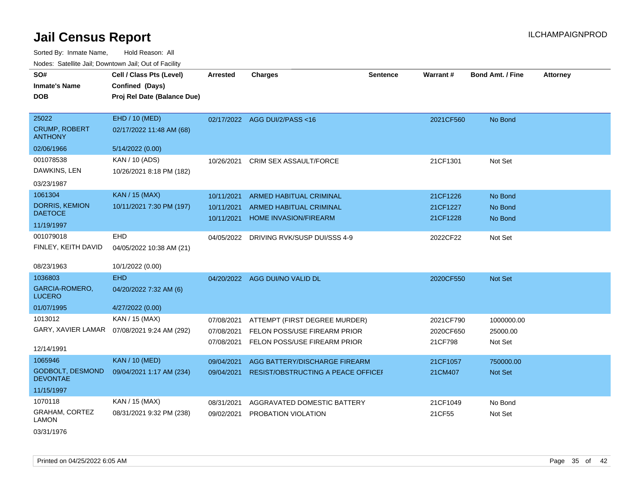| SO#                                    | Cell / Class Pts (Level)    | <b>Arrested</b> | <b>Charges</b>                     | <b>Sentence</b> | <b>Warrant#</b> | <b>Bond Amt. / Fine</b> | <b>Attorney</b> |
|----------------------------------------|-----------------------------|-----------------|------------------------------------|-----------------|-----------------|-------------------------|-----------------|
| <b>Inmate's Name</b>                   | Confined (Days)             |                 |                                    |                 |                 |                         |                 |
| <b>DOB</b>                             | Proj Rel Date (Balance Due) |                 |                                    |                 |                 |                         |                 |
|                                        |                             |                 |                                    |                 |                 |                         |                 |
| 25022                                  | EHD / 10 (MED)              |                 | 02/17/2022 AGG DUI/2/PASS<16       |                 | 2021CF560       | No Bond                 |                 |
| <b>CRUMP, ROBERT</b><br><b>ANTHONY</b> | 02/17/2022 11:48 AM (68)    |                 |                                    |                 |                 |                         |                 |
| 02/06/1966                             | 5/14/2022 (0.00)            |                 |                                    |                 |                 |                         |                 |
| 001078538                              | KAN / 10 (ADS)              | 10/26/2021      | CRIM SEX ASSAULT/FORCE             |                 | 21CF1301        | Not Set                 |                 |
| DAWKINS, LEN                           | 10/26/2021 8:18 PM (182)    |                 |                                    |                 |                 |                         |                 |
| 03/23/1987                             |                             |                 |                                    |                 |                 |                         |                 |
| 1061304                                | <b>KAN / 15 (MAX)</b>       | 10/11/2021      | <b>ARMED HABITUAL CRIMINAL</b>     |                 | 21CF1226        | No Bond                 |                 |
| <b>DORRIS, KEMION</b>                  | 10/11/2021 7:30 PM (197)    | 10/11/2021      | <b>ARMED HABITUAL CRIMINAL</b>     |                 | 21CF1227        | No Bond                 |                 |
| <b>DAETOCE</b>                         |                             | 10/11/2021      | <b>HOME INVASION/FIREARM</b>       |                 | 21CF1228        | No Bond                 |                 |
| 11/19/1997                             |                             |                 |                                    |                 |                 |                         |                 |
| 001079018                              | <b>EHD</b>                  | 04/05/2022      | DRIVING RVK/SUSP DUI/SSS 4-9       |                 | 2022CF22        | Not Set                 |                 |
| FINLEY, KEITH DAVID                    | 04/05/2022 10:38 AM (21)    |                 |                                    |                 |                 |                         |                 |
| 08/23/1963                             | 10/1/2022 (0.00)            |                 |                                    |                 |                 |                         |                 |
| 1036803                                | <b>EHD</b>                  |                 | 04/20/2022 AGG DUI/NO VALID DL     |                 | 2020CF550       | Not Set                 |                 |
| <b>GARCIA-ROMERO,</b><br><b>LUCERO</b> | 04/20/2022 7:32 AM (6)      |                 |                                    |                 |                 |                         |                 |
| 01/07/1995                             | 4/27/2022 (0.00)            |                 |                                    |                 |                 |                         |                 |
| 1013012                                | KAN / 15 (MAX)              | 07/08/2021      | ATTEMPT (FIRST DEGREE MURDER)      |                 | 2021CF790       | 1000000.00              |                 |
| GARY, XAVIER LAMAR                     | 07/08/2021 9:24 AM (292)    | 07/08/2021      | FELON POSS/USE FIREARM PRIOR       |                 | 2020CF650       | 25000.00                |                 |
|                                        |                             | 07/08/2021      | FELON POSS/USE FIREARM PRIOR       |                 | 21CF798         | Not Set                 |                 |
| 12/14/1991                             |                             |                 |                                    |                 |                 |                         |                 |
| 1065946                                | <b>KAN / 10 (MED)</b>       | 09/04/2021      | AGG BATTERY/DISCHARGE FIREARM      |                 | 21CF1057        | 750000.00               |                 |
| GODBOLT, DESMOND<br><b>DEVONTAE</b>    | 09/04/2021 1:17 AM (234)    | 09/04/2021      | RESIST/OBSTRUCTING A PEACE OFFICEF |                 | 21CM407         | Not Set                 |                 |
| 11/15/1997                             |                             |                 |                                    |                 |                 |                         |                 |
| 1070118                                | KAN / 15 (MAX)              | 08/31/2021      | AGGRAVATED DOMESTIC BATTERY        |                 | 21CF1049        | No Bond                 |                 |
| GRAHAM, CORTEZ<br><b>LAMON</b>         | 08/31/2021 9:32 PM (238)    | 09/02/2021      | PROBATION VIOLATION                |                 | 21CF55          | Not Set                 |                 |
| 03/31/1976                             |                             |                 |                                    |                 |                 |                         |                 |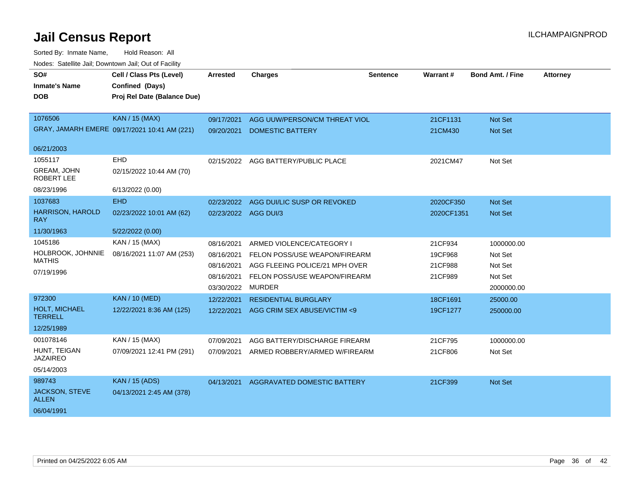| SO#<br><b>Inmate's Name</b>             | Cell / Class Pts (Level)<br>Confined (Days)  | <b>Arrested</b>      | <b>Charges</b>                     | <b>Sentence</b> | Warrant#   | <b>Bond Amt. / Fine</b> | <b>Attorney</b> |
|-----------------------------------------|----------------------------------------------|----------------------|------------------------------------|-----------------|------------|-------------------------|-----------------|
| <b>DOB</b>                              | Proj Rel Date (Balance Due)                  |                      |                                    |                 |            |                         |                 |
|                                         |                                              |                      |                                    |                 |            |                         |                 |
| 1076506                                 | KAN / 15 (MAX)                               | 09/17/2021           | AGG UUW/PERSON/CM THREAT VIOL      |                 | 21CF1131   | <b>Not Set</b>          |                 |
|                                         | GRAY, JAMARH EMERE 09/17/2021 10:41 AM (221) | 09/20/2021           | <b>DOMESTIC BATTERY</b>            |                 | 21CM430    | Not Set                 |                 |
| 06/21/2003                              |                                              |                      |                                    |                 |            |                         |                 |
| 1055117                                 | <b>EHD</b>                                   | 02/15/2022           | AGG BATTERY/PUBLIC PLACE           |                 | 2021CM47   | Not Set                 |                 |
| <b>GREAM, JOHN</b><br><b>ROBERT LEE</b> | 02/15/2022 10:44 AM (70)                     |                      |                                    |                 |            |                         |                 |
| 08/23/1996                              | 6/13/2022 (0.00)                             |                      |                                    |                 |            |                         |                 |
| 1037683                                 | EHD                                          | 02/23/2022           | AGG DUI/LIC SUSP OR REVOKED        |                 | 2020CF350  | <b>Not Set</b>          |                 |
| <b>HARRISON, HAROLD</b><br>RAY          | 02/23/2022 10:01 AM (62)                     | 02/23/2022 AGG DUI/3 |                                    |                 | 2020CF1351 | <b>Not Set</b>          |                 |
| 11/30/1963                              | 5/22/2022 (0.00)                             |                      |                                    |                 |            |                         |                 |
| 1045186                                 | KAN / 15 (MAX)                               | 08/16/2021           | ARMED VIOLENCE/CATEGORY I          |                 | 21CF934    | 1000000.00              |                 |
| HOLBROOK, JOHNNIE<br><b>MATHIS</b>      | 08/16/2021 11:07 AM (253)                    | 08/16/2021           | FELON POSS/USE WEAPON/FIREARM      |                 | 19CF968    | Not Set                 |                 |
|                                         |                                              | 08/16/2021           | AGG FLEEING POLICE/21 MPH OVER     |                 | 21CF988    | Not Set                 |                 |
| 07/19/1996                              |                                              | 08/16/2021           | FELON POSS/USE WEAPON/FIREARM      |                 | 21CF989    | Not Set                 |                 |
|                                         |                                              | 03/30/2022           | <b>MURDER</b>                      |                 |            | 2000000.00              |                 |
| 972300                                  | <b>KAN / 10 (MED)</b>                        | 12/22/2021           | <b>RESIDENTIAL BURGLARY</b>        |                 | 18CF1691   | 25000.00                |                 |
| HOLT, MICHAEL<br><b>TERRELL</b>         | 12/22/2021 8:36 AM (125)                     | 12/22/2021           | AGG CRIM SEX ABUSE/VICTIM <9       |                 | 19CF1277   | 250000.00               |                 |
| 12/25/1989                              |                                              |                      |                                    |                 |            |                         |                 |
| 001078146                               | KAN / 15 (MAX)                               | 07/09/2021           | AGG BATTERY/DISCHARGE FIREARM      |                 | 21CF795    | 1000000.00              |                 |
| HUNT, TEIGAN<br><b>JAZAIREO</b>         | 07/09/2021 12:41 PM (291)                    | 07/09/2021           | ARMED ROBBERY/ARMED W/FIREARM      |                 | 21CF806    | Not Set                 |                 |
| 05/14/2003                              |                                              |                      |                                    |                 |            |                         |                 |
| 989743                                  | <b>KAN / 15 (ADS)</b>                        | 04/13/2021           | <b>AGGRAVATED DOMESTIC BATTERY</b> |                 | 21CF399    | <b>Not Set</b>          |                 |
| <b>JACKSON, STEVE</b><br><b>ALLEN</b>   | 04/13/2021 2:45 AM (378)                     |                      |                                    |                 |            |                         |                 |
| 06/04/1991                              |                                              |                      |                                    |                 |            |                         |                 |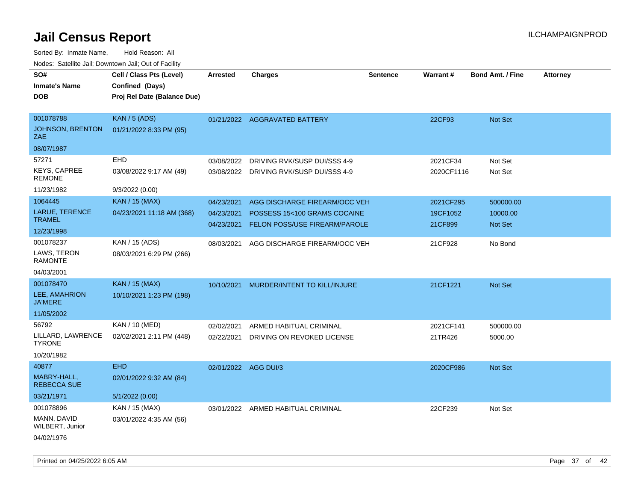| SO#<br><b>Inmate's Name</b><br><b>DOB</b>                  | Cell / Class Pts (Level)<br>Confined (Days)<br>Proj Rel Date (Balance Due) | <b>Arrested</b>                        | <b>Charges</b>                                                                                        | <b>Sentence</b> | <b>Warrant#</b>                  | <b>Bond Amt. / Fine</b>                 | <b>Attorney</b> |
|------------------------------------------------------------|----------------------------------------------------------------------------|----------------------------------------|-------------------------------------------------------------------------------------------------------|-----------------|----------------------------------|-----------------------------------------|-----------------|
| 001078788<br>JOHNSON, BRENTON<br><b>ZAE</b>                | <b>KAN / 5 (ADS)</b><br>01/21/2022 8:33 PM (95)                            |                                        | 01/21/2022 AGGRAVATED BATTERY                                                                         |                 | 22CF93                           | Not Set                                 |                 |
| 08/07/1987                                                 |                                                                            |                                        |                                                                                                       |                 |                                  |                                         |                 |
| 57271<br><b>KEYS, CAPREE</b><br><b>REMONE</b>              | EHD<br>03/08/2022 9:17 AM (49)                                             | 03/08/2022                             | DRIVING RVK/SUSP DUI/SSS 4-9<br>03/08/2022 DRIVING RVK/SUSP DUI/SSS 4-9                               |                 | 2021CF34<br>2020CF1116           | Not Set<br>Not Set                      |                 |
| 11/23/1982                                                 | 9/3/2022 (0.00)                                                            |                                        |                                                                                                       |                 |                                  |                                         |                 |
| 1064445<br>LARUE, TERENCE<br><b>TRAMEL</b><br>12/23/1998   | <b>KAN / 15 (MAX)</b><br>04/23/2021 11:18 AM (368)                         | 04/23/2021<br>04/23/2021<br>04/23/2021 | AGG DISCHARGE FIREARM/OCC VEH<br>POSSESS 15<100 GRAMS COCAINE<br><b>FELON POSS/USE FIREARM/PAROLE</b> |                 | 2021CF295<br>19CF1052<br>21CF899 | 500000.00<br>10000.00<br><b>Not Set</b> |                 |
| 001078237<br>LAWS, TERON<br><b>RAMONTE</b><br>04/03/2001   | KAN / 15 (ADS)<br>08/03/2021 6:29 PM (266)                                 | 08/03/2021                             | AGG DISCHARGE FIREARM/OCC VEH                                                                         |                 | 21CF928                          | No Bond                                 |                 |
| 001078470<br>LEE, AMAHRION<br><b>JA'MERE</b><br>11/05/2002 | <b>KAN / 15 (MAX)</b><br>10/10/2021 1:23 PM (198)                          | 10/10/2021                             | MURDER/INTENT TO KILL/INJURE                                                                          |                 | 21CF1221                         | Not Set                                 |                 |
| 56792<br>LILLARD, LAWRENCE<br><b>TYRONE</b><br>10/20/1982  | KAN / 10 (MED)<br>02/02/2021 2:11 PM (448)                                 | 02/02/2021<br>02/22/2021               | ARMED HABITUAL CRIMINAL<br>DRIVING ON REVOKED LICENSE                                                 |                 | 2021CF141<br>21TR426             | 500000.00<br>5000.00                    |                 |
| 40877<br>MABRY-HALL,<br><b>REBECCA SUE</b><br>03/21/1971   | <b>EHD</b><br>02/01/2022 9:32 AM (84)<br>5/1/2022 (0.00)                   | 02/01/2022 AGG DUI/3                   |                                                                                                       |                 | 2020CF986                        | Not Set                                 |                 |
| 001078896<br>MANN, DAVID<br>WILBERT, Junior<br>04/02/1976  | KAN / 15 (MAX)<br>03/01/2022 4:35 AM (56)                                  |                                        | 03/01/2022 ARMED HABITUAL CRIMINAL                                                                    |                 | 22CF239                          | Not Set                                 |                 |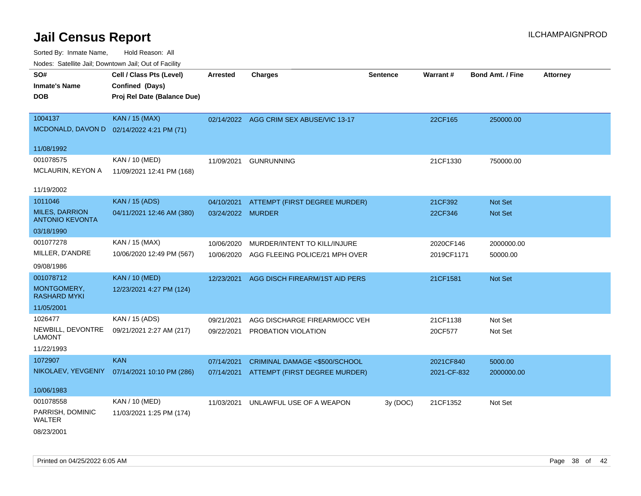Sorted By: Inmate Name, Hold Reason: All Nodes: Satellite Jail; Downtown Jail; Out of Facility

| ivuutta. Saltiilitti valli, Duwilluwii Jalli, Out ol Facility |                                           |                   |                                          |                 |             |                         |                 |
|---------------------------------------------------------------|-------------------------------------------|-------------------|------------------------------------------|-----------------|-------------|-------------------------|-----------------|
| SO#                                                           | Cell / Class Pts (Level)                  | <b>Arrested</b>   | <b>Charges</b>                           | <b>Sentence</b> | Warrant#    | <b>Bond Amt. / Fine</b> | <b>Attorney</b> |
| <b>Inmate's Name</b>                                          | Confined (Days)                           |                   |                                          |                 |             |                         |                 |
| <b>DOB</b>                                                    | Proj Rel Date (Balance Due)               |                   |                                          |                 |             |                         |                 |
|                                                               |                                           |                   |                                          |                 |             |                         |                 |
| 1004137                                                       | <b>KAN / 15 (MAX)</b>                     |                   | 02/14/2022 AGG CRIM SEX ABUSE/VIC 13-17  |                 | 22CF165     | 250000.00               |                 |
|                                                               | MCDONALD, DAVON D 02/14/2022 4:21 PM (71) |                   |                                          |                 |             |                         |                 |
| 11/08/1992                                                    |                                           |                   |                                          |                 |             |                         |                 |
| 001078575                                                     | KAN / 10 (MED)                            | 11/09/2021        | <b>GUNRUNNING</b>                        |                 | 21CF1330    | 750000.00               |                 |
| MCLAURIN, KEYON A                                             | 11/09/2021 12:41 PM (168)                 |                   |                                          |                 |             |                         |                 |
|                                                               |                                           |                   |                                          |                 |             |                         |                 |
| 11/19/2002                                                    |                                           |                   |                                          |                 |             |                         |                 |
| 1011046                                                       | <b>KAN / 15 (ADS)</b>                     |                   | 04/10/2021 ATTEMPT (FIRST DEGREE MURDER) |                 | 21CF392     | Not Set                 |                 |
| <b>MILES, DARRION</b><br><b>ANTONIO KEVONTA</b>               | 04/11/2021 12:46 AM (380)                 | 03/24/2022 MURDER |                                          |                 | 22CF346     | Not Set                 |                 |
| 03/18/1990                                                    |                                           |                   |                                          |                 |             |                         |                 |
| 001077278                                                     | KAN / 15 (MAX)                            | 10/06/2020        | MURDER/INTENT TO KILL/INJURE             |                 | 2020CF146   | 2000000.00              |                 |
| MILLER, D'ANDRE                                               | 10/06/2020 12:49 PM (567)                 | 10/06/2020        | AGG FLEEING POLICE/21 MPH OVER           |                 | 2019CF1171  | 50000.00                |                 |
| 09/08/1986                                                    |                                           |                   |                                          |                 |             |                         |                 |
| 001078712                                                     | <b>KAN / 10 (MED)</b>                     | 12/23/2021        | AGG DISCH FIREARM/1ST AID PERS           |                 | 21CF1581    | Not Set                 |                 |
| MONTGOMERY,<br><b>RASHARD MYKI</b>                            | 12/23/2021 4:27 PM (124)                  |                   |                                          |                 |             |                         |                 |
| 11/05/2001                                                    |                                           |                   |                                          |                 |             |                         |                 |
| 1026477                                                       | KAN / 15 (ADS)                            | 09/21/2021        | AGG DISCHARGE FIREARM/OCC VEH            |                 | 21CF1138    | Not Set                 |                 |
| NEWBILL, DEVONTRE<br><b>LAMONT</b>                            | 09/21/2021 2:27 AM (217)                  |                   | 09/22/2021 PROBATION VIOLATION           |                 | 20CF577     | Not Set                 |                 |
| 11/22/1993                                                    |                                           |                   |                                          |                 |             |                         |                 |
| 1072907                                                       | <b>KAN</b>                                | 07/14/2021        | CRIMINAL DAMAGE <\$500/SCHOOL            |                 | 2021CF840   | 5000.00                 |                 |
| NIKOLAEV, YEVGENIY                                            | 07/14/2021 10:10 PM (286)                 |                   | 07/14/2021 ATTEMPT (FIRST DEGREE MURDER) |                 | 2021-CF-832 | 2000000.00              |                 |
|                                                               |                                           |                   |                                          |                 |             |                         |                 |
| 10/06/1983                                                    |                                           |                   |                                          |                 |             |                         |                 |
| 001078558                                                     | KAN / 10 (MED)                            | 11/03/2021        | UNLAWFUL USE OF A WEAPON                 | 3y (DOC)        | 21CF1352    | Not Set                 |                 |
| PARRISH, DOMINIC<br><b>WALTER</b>                             | 11/03/2021 1:25 PM (174)                  |                   |                                          |                 |             |                         |                 |
| 08/23/2001                                                    |                                           |                   |                                          |                 |             |                         |                 |

Printed on 04/25/2022 6:05 AM Page 38 of 42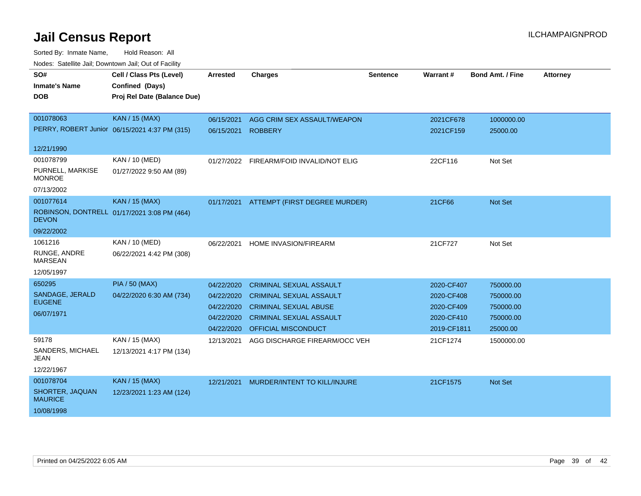| SO#<br><b>Inmate's Name</b><br>DOB                           | Cell / Class Pts (Level)<br>Confined (Days)<br>Proj Rel Date (Balance Due) | <b>Arrested</b>                                                    | <b>Charges</b>                                                                                                                                            | <b>Sentence</b> | <b>Warrant#</b>                                                     | <b>Bond Amt. / Fine</b>                                      | <b>Attorney</b> |
|--------------------------------------------------------------|----------------------------------------------------------------------------|--------------------------------------------------------------------|-----------------------------------------------------------------------------------------------------------------------------------------------------------|-----------------|---------------------------------------------------------------------|--------------------------------------------------------------|-----------------|
| 001078063                                                    | KAN / 15 (MAX)<br>PERRY, ROBERT Junior 06/15/2021 4:37 PM (315)            | 06/15/2021<br>06/15/2021                                           | AGG CRIM SEX ASSAULT/WEAPON<br><b>ROBBERY</b>                                                                                                             |                 | 2021CF678<br>2021CF159                                              | 1000000.00<br>25000.00                                       |                 |
| 12/21/1990                                                   |                                                                            |                                                                    |                                                                                                                                                           |                 |                                                                     |                                                              |                 |
| 001078799<br>PURNELL, MARKISE<br><b>MONROE</b><br>07/13/2002 | KAN / 10 (MED)<br>01/27/2022 9:50 AM (89)                                  | 01/27/2022                                                         | FIREARM/FOID INVALID/NOT ELIG                                                                                                                             |                 | 22CF116                                                             | Not Set                                                      |                 |
| 001077614<br><b>DEVON</b><br>09/22/2002                      | <b>KAN / 15 (MAX)</b><br>ROBINSON, DONTRELL 01/17/2021 3:08 PM (464)       | 01/17/2021                                                         | ATTEMPT (FIRST DEGREE MURDER)                                                                                                                             |                 | 21CF66                                                              | <b>Not Set</b>                                               |                 |
| 1061216<br>RUNGE, ANDRE<br><b>MARSEAN</b><br>12/05/1997      | KAN / 10 (MED)<br>06/22/2021 4:42 PM (308)                                 | 06/22/2021                                                         | <b>HOME INVASION/FIREARM</b>                                                                                                                              |                 | 21CF727                                                             | Not Set                                                      |                 |
| 650295<br>SANDAGE, JERALD<br><b>EUGENE</b><br>06/07/1971     | <b>PIA / 50 (MAX)</b><br>04/22/2020 6:30 AM (734)                          | 04/22/2020<br>04/22/2020<br>04/22/2020<br>04/22/2020<br>04/22/2020 | <b>CRIMINAL SEXUAL ASSAULT</b><br><b>CRIMINAL SEXUAL ASSAULT</b><br><b>CRIMINAL SEXUAL ABUSE</b><br><b>CRIMINAL SEXUAL ASSAULT</b><br>OFFICIAL MISCONDUCT |                 | 2020-CF407<br>2020-CF408<br>2020-CF409<br>2020-CF410<br>2019-CF1811 | 750000.00<br>750000.00<br>750000.00<br>750000.00<br>25000.00 |                 |
| 59178<br>SANDERS, MICHAEL<br>JEAN<br>12/22/1967              | KAN / 15 (MAX)<br>12/13/2021 4:17 PM (134)                                 | 12/13/2021                                                         | AGG DISCHARGE FIREARM/OCC VEH                                                                                                                             |                 | 21CF1274                                                            | 1500000.00                                                   |                 |
| 001078704<br>SHORTER, JAQUAN<br><b>MAURICE</b><br>10/08/1998 | KAN / 15 (MAX)<br>12/23/2021 1:23 AM (124)                                 | 12/21/2021                                                         | MURDER/INTENT TO KILL/INJURE                                                                                                                              |                 | 21CF1575                                                            | <b>Not Set</b>                                               |                 |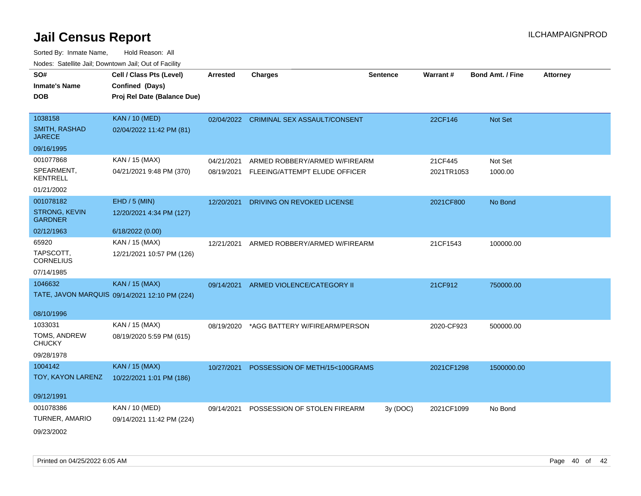| SO#<br><b>Inmate's Name</b><br><b>DOB</b> | Cell / Class Pts (Level)<br>Confined (Days)<br>Proj Rel Date (Balance Due) | <b>Arrested</b> | <b>Charges</b>                          | <b>Sentence</b> | Warrant#   | <b>Bond Amt. / Fine</b> | <b>Attorney</b> |
|-------------------------------------------|----------------------------------------------------------------------------|-----------------|-----------------------------------------|-----------------|------------|-------------------------|-----------------|
| 1038158                                   | <b>KAN / 10 (MED)</b>                                                      |                 | 02/04/2022 CRIMINAL SEX ASSAULT/CONSENT |                 | 22CF146    | Not Set                 |                 |
| <b>SMITH, RASHAD</b><br><b>JARECE</b>     | 02/04/2022 11:42 PM (81)                                                   |                 |                                         |                 |            |                         |                 |
| 09/16/1995                                |                                                                            |                 |                                         |                 |            |                         |                 |
| 001077868                                 | KAN / 15 (MAX)                                                             | 04/21/2021      | ARMED ROBBERY/ARMED W/FIREARM           |                 | 21CF445    | Not Set                 |                 |
| SPEARMENT,<br><b>KENTRELL</b>             | 04/21/2021 9:48 PM (370)                                                   | 08/19/2021      | FLEEING/ATTEMPT ELUDE OFFICER           |                 | 2021TR1053 | 1000.00                 |                 |
| 01/21/2002                                |                                                                            |                 |                                         |                 |            |                         |                 |
| 001078182                                 | $EHD / 5$ (MIN)                                                            | 12/20/2021      | DRIVING ON REVOKED LICENSE              |                 | 2021CF800  | No Bond                 |                 |
| STRONG, KEVIN<br><b>GARDNER</b>           | 12/20/2021 4:34 PM (127)                                                   |                 |                                         |                 |            |                         |                 |
| 02/12/1963                                | 6/18/2022 (0.00)                                                           |                 |                                         |                 |            |                         |                 |
| 65920                                     | KAN / 15 (MAX)                                                             | 12/21/2021      | ARMED ROBBERY/ARMED W/FIREARM           |                 | 21CF1543   | 100000.00               |                 |
| TAPSCOTT,<br><b>CORNELIUS</b>             | 12/21/2021 10:57 PM (126)                                                  |                 |                                         |                 |            |                         |                 |
| 07/14/1985                                |                                                                            |                 |                                         |                 |            |                         |                 |
| 1046632                                   | <b>KAN / 15 (MAX)</b>                                                      | 09/14/2021      | ARMED VIOLENCE/CATEGORY II              |                 | 21CF912    | 750000.00               |                 |
|                                           | TATE, JAVON MARQUIS 09/14/2021 12:10 PM (224)                              |                 |                                         |                 |            |                         |                 |
| 08/10/1996                                |                                                                            |                 |                                         |                 |            |                         |                 |
| 1033031                                   | KAN / 15 (MAX)                                                             | 08/19/2020      | *AGG BATTERY W/FIREARM/PERSON           |                 | 2020-CF923 | 500000.00               |                 |
| TOMS, ANDREW<br><b>CHUCKY</b>             | 08/19/2020 5:59 PM (615)                                                   |                 |                                         |                 |            |                         |                 |
| 09/28/1978                                |                                                                            |                 |                                         |                 |            |                         |                 |
| 1004142                                   | <b>KAN / 15 (MAX)</b>                                                      | 10/27/2021      | POSSESSION OF METH/15<100GRAMS          |                 | 2021CF1298 | 1500000.00              |                 |
| TOY, KAYON LARENZ                         | 10/22/2021 1:01 PM (186)                                                   |                 |                                         |                 |            |                         |                 |
| 09/12/1991                                |                                                                            |                 |                                         |                 |            |                         |                 |
| 001078386                                 | KAN / 10 (MED)                                                             | 09/14/2021      | POSSESSION OF STOLEN FIREARM            | 3y(DOC)         | 2021CF1099 | No Bond                 |                 |
| TURNER, AMARIO                            | 09/14/2021 11:42 PM (224)                                                  |                 |                                         |                 |            |                         |                 |
| 09/23/2002                                |                                                                            |                 |                                         |                 |            |                         |                 |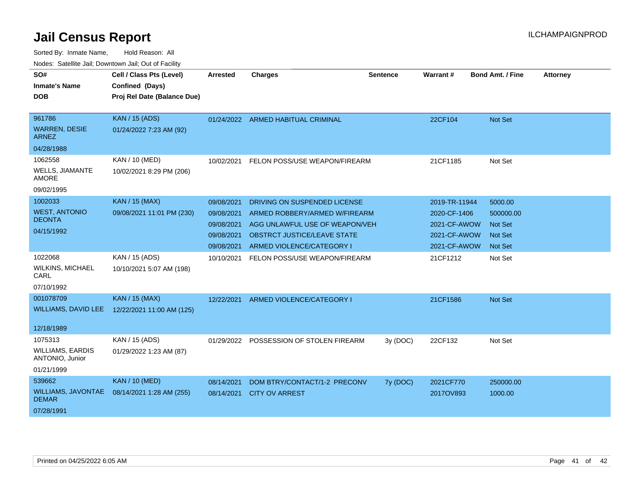| SO#<br><b>Inmate's Name</b>                | Cell / Class Pts (Level)<br>Confined (Days) | <b>Arrested</b> | <b>Charges</b>                          | <b>Sentence</b> | Warrant#      | <b>Bond Amt. / Fine</b> | <b>Attorney</b> |
|--------------------------------------------|---------------------------------------------|-----------------|-----------------------------------------|-----------------|---------------|-------------------------|-----------------|
| <b>DOB</b>                                 | Proj Rel Date (Balance Due)                 |                 |                                         |                 |               |                         |                 |
|                                            |                                             |                 |                                         |                 |               |                         |                 |
| 961786                                     | KAN / 15 (ADS)                              |                 | 01/24/2022 ARMED HABITUAL CRIMINAL      |                 | 22CF104       | <b>Not Set</b>          |                 |
| <b>WARREN, DESIE</b><br>ARNEZ              | 01/24/2022 7:23 AM (92)                     |                 |                                         |                 |               |                         |                 |
| 04/28/1988                                 |                                             |                 |                                         |                 |               |                         |                 |
| 1062558                                    | KAN / 10 (MED)                              | 10/02/2021      | FELON POSS/USE WEAPON/FIREARM           |                 | 21CF1185      | Not Set                 |                 |
| <b>WELLS, JIAMANTE</b><br><b>AMORE</b>     | 10/02/2021 8:29 PM (206)                    |                 |                                         |                 |               |                         |                 |
| 09/02/1995                                 |                                             |                 |                                         |                 |               |                         |                 |
| 1002033                                    | <b>KAN / 15 (MAX)</b>                       | 09/08/2021      | DRIVING ON SUSPENDED LICENSE            |                 | 2019-TR-11944 | 5000.00                 |                 |
| <b>WEST, ANTONIO</b>                       | 09/08/2021 11:01 PM (230)                   | 09/08/2021      | ARMED ROBBERY/ARMED W/FIREARM           |                 | 2020-CF-1406  | 500000.00               |                 |
| <b>DEONTA</b>                              |                                             | 09/08/2021      | AGG UNLAWFUL USE OF WEAPON/VEH          |                 | 2021-CF-AWOW  | <b>Not Set</b>          |                 |
| 04/15/1992                                 |                                             | 09/08/2021      | <b>OBSTRCT JUSTICE/LEAVE STATE</b>      |                 | 2021-CF-AWOW  | <b>Not Set</b>          |                 |
|                                            |                                             | 09/08/2021      | ARMED VIOLENCE/CATEGORY I               |                 | 2021-CF-AWOW  | <b>Not Set</b>          |                 |
| 1022068                                    | KAN / 15 (ADS)                              | 10/10/2021      | FELON POSS/USE WEAPON/FIREARM           |                 | 21CF1212      | Not Set                 |                 |
| <b>WILKINS, MICHAEL</b><br>CARL            | 10/10/2021 5:07 AM (198)                    |                 |                                         |                 |               |                         |                 |
| 07/10/1992                                 |                                             |                 |                                         |                 |               |                         |                 |
| 001078709                                  | <b>KAN / 15 (MAX)</b>                       | 12/22/2021      | ARMED VIOLENCE/CATEGORY I               |                 | 21CF1586      | Not Set                 |                 |
| <b>WILLIAMS, DAVID LEE</b>                 | 12/22/2021 11:00 AM (125)                   |                 |                                         |                 |               |                         |                 |
| 12/18/1989                                 |                                             |                 |                                         |                 |               |                         |                 |
| 1075313                                    | KAN / 15 (ADS)                              |                 | 01/29/2022 POSSESSION OF STOLEN FIREARM | 3y (DOC)        | 22CF132       | Not Set                 |                 |
| <b>WILLIAMS, EARDIS</b><br>ANTONIO, Junior | 01/29/2022 1:23 AM (87)                     |                 |                                         |                 |               |                         |                 |
| 01/21/1999                                 |                                             |                 |                                         |                 |               |                         |                 |
| 539662                                     | <b>KAN / 10 (MED)</b>                       | 08/14/2021      | DOM BTRY/CONTACT/1-2 PRECONV            | 7y (DOC)        | 2021CF770     | 250000.00               |                 |
| <b>WILLIAMS, JAVONTAE</b><br><b>DEMAR</b>  | 08/14/2021 1:28 AM (255)                    | 08/14/2021      | <b>CITY OV ARREST</b>                   |                 | 2017OV893     | 1000.00                 |                 |
| 07/28/1991                                 |                                             |                 |                                         |                 |               |                         |                 |